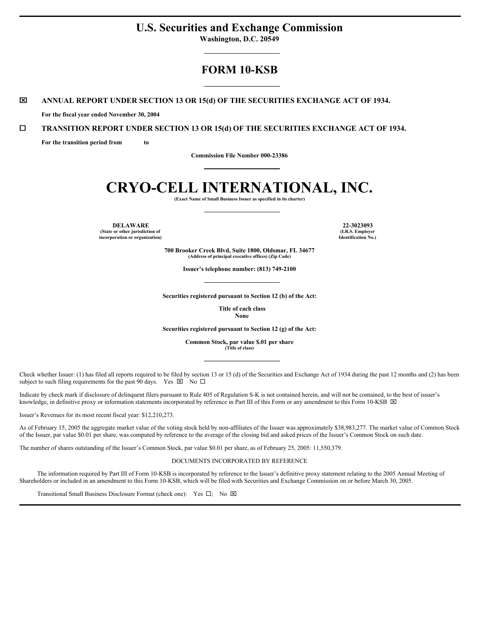# **U.S. Securities and Exchange Commission**

**Washington, D.C. 20549**

# **FORM 10-KSB**

# x **ANNUAL REPORT UNDER SECTION 13 OR 15(d) OF THE SECURITIES EXCHANGE ACT OF 1934.**

**For the fiscal year ended November 30, 2004**

# ¨ **TRANSITION REPORT UNDER SECTION 13 OR 15(d) OF THE SECURITIES EXCHANGE ACT OF 1934.**

**For the transition period from to**

**Commission File Number 000-23386**

# **CRYO-CELL INTERNATIONAL, INC.**

**(Exact Name of Small Business Issuer as specified in its charter)**

**DELAWARE 22-3023093 (State or other jurisdiction of incorporation or organization)**

**(I.R.S. Employer Identification No.)**

**700 Brooker Creek Blvd, Suite 1800, Oldsmar, FL 34677 (Address of principal executive offices) (Zip Code)**

**Issuer's telephone number: (813) 749-2100**

**Securities registered pursuant to Section 12 (b) of the Act:**

**Title of each class None**

**Securities registered pursuant to Section 12 (g) of the Act:**

**Common Stock, par value \$.01 per share (Title of class)**

Check whether Issuer: (1) has filed all reports required to be filed by section 13 or 15 (d) of the Securities and Exchange Act of 1934 during the past 12 months and (2) has been subject to such filing requirements for the past 90 days. Yes  $\boxtimes$  No  $\Box$ 

Indicate by check mark if disclosure of delinquent filers pursuant to Rule 405 of Regulation S-K is not contained herein, and will not be contained, to the best of issuer's knowledge, in definitive proxy or information statements incorporated by reference in Part III of this Form or any amendment to this Form 10-KSB  $\boxtimes$ 

Issuer's Revenues for its most recent fiscal year: \$12,210,273.

As of February 15, 2005 the aggregate market value of the voting stock held by non-affiliates of the Issuer was approximately \$38,983,277. The market value of Common Stock of the Issuer, par value \$0.01 per share, was computed by reference to the average of the closing bid and asked prices of the Issuer's Common Stock on such date.

The number of shares outstanding of the Issuer's Common Stock, par value \$0.01 per share, as of February 25, 2005: 11,550,379.

DOCUMENTS INCORPORATED BY REFERENCE

The information required by Part III of Form 10-KSB is incorporated by reference to the Issuer's definitive proxy statement relating to the 2005 Annual Meeting of Shareholders or included in an amendment to this Form 10-KSB, which will be filed with Securities and Exchange Commission on or before March 30, 2005.

Transitional Small Business Disclosure Format (check one): Yes  $\Box$ ; No  $\boxtimes$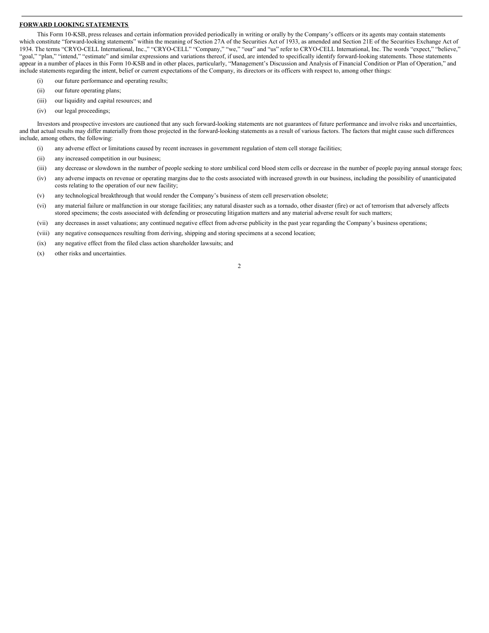# **FORWARD LOOKING STATEMENTS**

This Form 10-KSB, press releases and certain information provided periodically in writing or orally by the Company's officers or its agents may contain statements which constitute "forward-looking statements" within the meaning of Section 27A of the Securities Act of 1933, as amended and Section 21E of the Securities Exchange Act of 1934. The terms "CRYO-CELL International, Inc.," "CRYO-CELL" "Company," "we," "our" and "us" refer to CRYO-CELL International, Inc. The words "expect," "believe," "goal," "plan," "intend," "estimate" and similar expressions and variations thereof, if used, are intended to specifically identify forward-looking statements. Those statements appear in a number of places in this Form 10-KSB and in other places, particularly, "Management's Discussion and Analysis of Financial Condition or Plan of Operation," and include statements regarding the intent, belief or current expectations of the Company, its directors or its officers with respect to, among other things:

- (i) our future performance and operating results;
- (ii) our future operating plans;
- (iii) our liquidity and capital resources; and
- (iv) our legal proceedings;

Investors and prospective investors are cautioned that any such forward-looking statements are not guarantees of future performance and involve risks and uncertainties, and that actual results may differ materially from those projected in the forward-looking statements as a result of various factors. The factors that might cause such differences include, among others, the following:

- (i) any adverse effect or limitations caused by recent increases in government regulation of stem cell storage facilities;
- (ii) any increased competition in our business;
- (iii) any decrease or slowdown in the number of people seeking to store umbilical cord blood stem cells or decrease in the number of people paying annual storage fees;
- (iv) any adverse impacts on revenue or operating margins due to the costs associated with increased growth in our business, including the possibility of unanticipated costs relating to the operation of our new facility;
- (v) any technological breakthrough that would render the Company's business of stem cell preservation obsolete;
- (vi) any material failure or malfunction in our storage facilities; any natural disaster such as a tornado, other disaster (fire) or act of terrorism that adversely affects stored specimens; the costs associated with defending or prosecuting litigation matters and any material adverse result for such matters;
- (vii) any decreases in asset valuations; any continued negative effect from adverse publicity in the past year regarding the Company's business operations;
- (viii) any negative consequences resulting from deriving, shipping and storing specimens at a second location;
- (ix) any negative effect from the filed class action shareholder lawsuits; and
- (x) other risks and uncertainties.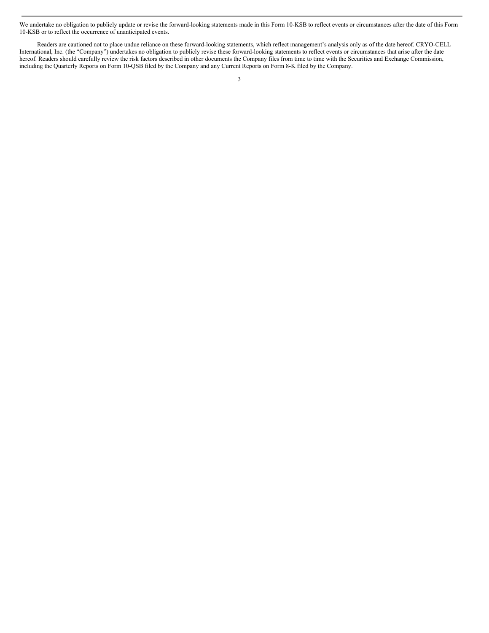We undertake no obligation to publicly update or revise the forward-looking statements made in this Form 10-KSB to reflect events or circumstances after the date of this Form 10-KSB or to reflect the occurrence of unanticipated events.

Readers are cautioned not to place undue reliance on these forward-looking statements, which reflect management's analysis only as of the date hereof. CRYO-CELL International, Inc. (the "Company") undertakes no obligation to publicly revise these forward-looking statements to reflect events or circumstances that arise after the date hereof. Readers should carefully review the risk factors described in other documents the Company files from time to time with the Securities and Exchange Commission, including the Quarterly Reports on Form 10-QSB filed by the Company and any Current Reports on Form 8-K filed by the Company.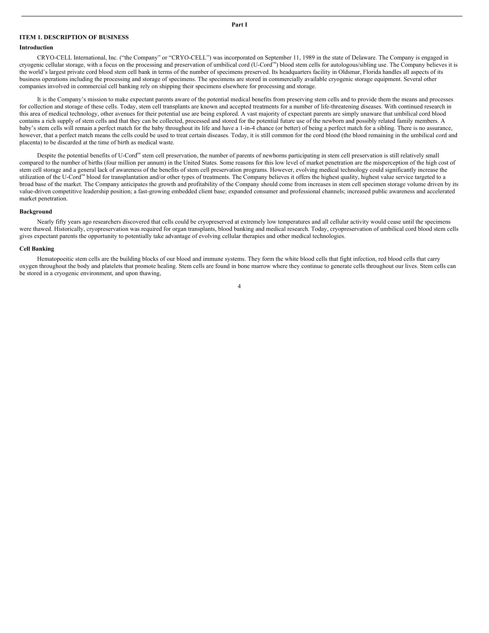#### **ITEM 1. DESCRIPTION OF BUSINESS**

# **Introduction**

CRYO-CELL International, Inc. ("the Company" or "CRYO-CELL") was incorporated on September 11, 1989 in the state of Delaware. The Company is engaged in cryogenic cellular storage, with a focus on the processing and preservation of umbilical cord (U-Cord™) blood stem cells for autologous/sibling use. The Company believes it is the world's largest private cord blood stem cell bank in terms of the number of specimens preserved. Its headquarters facility in Oldsmar, Florida handles all aspects of its business operations including the processing and storage of specimens. The specimens are stored in commercially available cryogenic storage equipment. Several other companies involved in commercial cell banking rely on shipping their specimens elsewhere for processing and storage.

It is the Company's mission to make expectant parents aware of the potential medical benefits from preserving stem cells and to provide them the means and processes for collection and storage of these cells. Today, stem cell transplants are known and accepted treatments for a number of life-threatening diseases. With continued research in this area of medical technology, other avenues for their potential use are being explored. A vast majority of expectant parents are simply unaware that umbilical cord blood contains a rich supply of stem cells and that they can be collected, processed and stored for the potential future use of the newborn and possibly related family members. A baby's stem cells will remain a perfect match for the baby throughout its life and have a 1-in-4 chance (or better) of being a perfect match for a sibling. There is no assurance, however, that a perfect match means the cells could be used to treat certain diseases. Today, it is still common for the cord blood (the blood remaining in the umbilical cord and placenta) to be discarded at the time of birth as medical waste.

Despite the potential benefits of U-Cord™ stem cell preservation, the number of parents of newborns participating in stem cell preservation is still relatively small compared to the number of births (four million per annum) in the United States. Some reasons for this low level of market penetration are the misperception of the high cost of stem cell storage and a general lack of awareness of the benefits of stem cell preservation programs. However, evolving medical technology could significantly increase the utilization of the U-Cord™ blood for transplantation and/or other types of treatments. The Company believes it offers the highest quality, highest value service targeted to a broad base of the market. The Company anticipates the growth and profitability of the Company should come from increases in stem cell specimen storage volume driven by its value-driven competitive leadership position; a fast-growing embedded client base; expanded consumer and professional channels; increased public awareness and accelerated market penetration.

#### **Background**

Nearly fifty years ago researchers discovered that cells could be cryopreserved at extremely low temperatures and all cellular activity would cease until the specimens were thawed. Historically, cryopreservation was required for organ transplants, blood banking and medical research. Today, cryopreservation of umbilical cord blood stem cells gives expectant parents the opportunity to potentially take advantage of evolving cellular therapies and other medical technologies.

# **Cell Banking**

Hematopoeitic stem cells are the building blocks of our blood and immune systems. They form the white blood cells that fight infection, red blood cells that carry oxygen throughout the body and platelets that promote healing. Stem cells are found in bone marrow where they continue to generate cells throughout our lives. Stem cells can be stored in a cryogenic environment, and upon thawing,

#### **Part I**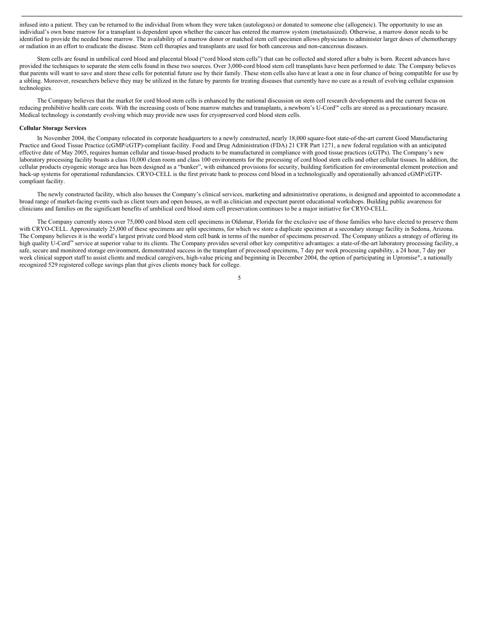infused into a patient. They can be returned to the individual from whom they were taken (autologous) or donated to someone else (allogeneic). The opportunity to use an individual's own bone marrow for a transplant is dependent upon whether the cancer has entered the marrow system (metastasized). Otherwise, a marrow donor needs to be identified to provide the needed bone marrow. The availability of a marrow donor or matched stem cell specimen allows physicians to administer larger doses of chemotherapy or radiation in an effort to eradicate the disease. Stem cell therapies and transplants are used for both cancerous and non-cancerous diseases.

Stem cells are found in umbilical cord blood and placental blood ("cord blood stem cells") that can be collected and stored after a baby is born. Recent advances have provided the techniques to separate the stem cells found in these two sources. Over 3,000-cord blood stem cell transplants have been performed to date. The Company believes that parents will want to save and store these cells for potential future use by their family. These stem cells also have at least a one in four chance of being compatible for use by a sibling. Moreover, researchers believe they may be utilized in the future by parents for treating diseases that currently have no cure as a result of evolving cellular expansion technologies.

The Company believes that the market for cord blood stem cells is enhanced by the national discussion on stem cell research developments and the current focus on reducing prohibitive health care costs. With the increasing costs of bone marrow matches and transplants, a newborn's U-Cord™ cells are stored as a precautionary measure. Medical technology is constantly evolving which may provide new uses for cryopreserved cord blood stem cells.

#### **Cellular Storage Services**

In November 2004, the Company relocated its corporate headquarters to a newly constructed, nearly 18,000 square-foot state-of-the-art current Good Manufacturing Practice and Good Tissue Practice (cGMP/cGTP)-compliant facility. Food and Drug Administration (FDA) 21 CFR Part 1271, a new federal regulation with an anticipated effective date of May 2005, requires human cellular and tissue-based products to be manufactured in compliance with good tissue practices (cGTPs). The Company's new laboratory processing facility boasts a class 10,000 clean room and class 100 environments for the processing of cord blood stem cells and other cellular tissues. In addition, the cellular products cryogenic storage area has been designed as a "bunker", with enhanced provisions for security, building fortification for environmental element protection and back-up systems for operational redundancies. CRYO-CELL is the first private bank to process cord blood in a technologically and operationally advanced cGMP/cGTPcompliant facility.

The newly constructed facility, which also houses the Company's clinical services, marketing and administrative operations, is designed and appointed to accommodate a broad range of market-facing events such as client tours and open houses, as well as clinician and expectant parent educational workshops. Building public awareness for clinicians and families on the significant benefits of umbilical cord blood stem cell preservation continues to be a major initiative for CRYO-CELL.

The Company currently stores over 75,000 cord blood stem cell specimens in Oldsmar, Florida for the exclusive use of those families who have elected to preserve them with CRYO-CELL. Approximately 25,000 of these specimens are split specimens, for which we store a duplicate specimen at a secondary storage facility in Sedona, Arizona. The Company believes it is the world's largest private cord blood stem cell bank in terms of the number of specimens preserved. The Company utilizes a strategy of offering its high quality U-Cord™ service at superior value to its clients. The Company provides several other key competitive advantages: a state-of-the-art laboratory processing facility, a safe, secure and monitored storage environment, demonstrated success in the transplant of processed specimens, 7 day per week processing capability, a 24 hour, 7 day per week clinical support staff to assist clients and medical caregivers, high-value pricing and beginning in December 2004, the option of participating in Upromise®, a nationally recognized 529 registered college savings plan that gives clients money back for college.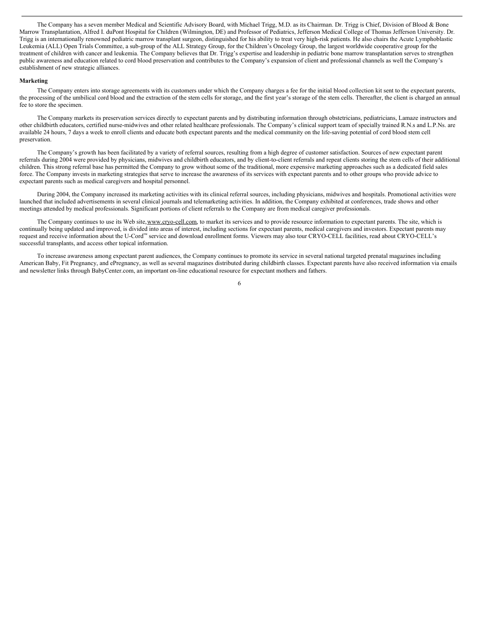The Company has a seven member Medical and Scientific Advisory Board, with Michael Trigg, M.D. as its Chairman. Dr. Trigg is Chief, Division of Blood & Bone Marrow Transplantation, Alfred I. duPont Hospital for Children (Wilmington, DE) and Professor of Pediatrics, Jefferson Medical College of Thomas Jefferson University. Dr. Trigg is an internationally renowned pediatric marrow transplant surgeon, distinguished for his ability to treat very high-risk patients. He also chairs the Acute Lymphoblastic Leukemia (ALL) Open Trials Committee, a sub-group of the ALL Strategy Group, for the Children's Oncology Group, the largest worldwide cooperative group for the treatment of children with cancer and leukemia. The Company believes that Dr. Trigg's expertise and leadership in pediatric bone marrow transplantation serves to strengthen public awareness and education related to cord blood preservation and contributes to the Company's expansion of client and professional channels as well the Company's establishment of new strategic alliances.

#### **Marketing**

The Company enters into storage agreements with its customers under which the Company charges a fee for the initial blood collection kit sent to the expectant parents, the processing of the umbilical cord blood and the extraction of the stem cells for storage, and the first year's storage of the stem cells. Thereafter, the client is charged an annual fee to store the specimen.

The Company markets its preservation services directly to expectant parents and by distributing information through obstetricians, pediatricians, Lamaze instructors and other childbirth educators, certified nurse-midwives and other related healthcare professionals. The Company's clinical support team of specially trained R.N.s and L.P.Ns. are available 24 hours, 7 days a week to enroll clients and educate both expectant parents and the medical community on the life-saving potential of cord blood stem cell preservation.

The Company's growth has been facilitated by a variety of referral sources, resulting from a high degree of customer satisfaction. Sources of new expectant parent referrals during 2004 were provided by physicians, midwives and childbirth educators, and by client-to-client referrals and repeat clients storing the stem cells of their additional children. This strong referral base has permitted the Company to grow without some of the traditional, more expensive marketing approaches such as a dedicated field sales force. The Company invests in marketing strategies that serve to increase the awareness of its services with expectant parents and to other groups who provide advice to expectant parents such as medical caregivers and hospital personnel.

During 2004, the Company increased its marketing activities with its clinical referral sources, including physicians, midwives and hospitals. Promotional activities were launched that included advertisements in several clinical journals and telemarketing activities. In addition, the Company exhibited at conferences, trade shows and other meetings attended by medical professionals. Significant portions of client referrals to the Company are from medical caregiver professionals.

The Company continues to use its Web site,www.cryo-cell.com, to market its services and to provide resource information to expectant parents. The site, which is continually being updated and improved, is divided into areas of interest, including sections for expectant parents, medical caregivers and investors. Expectant parents may request and receive information about the U-Cord™ service and download enrollment forms. Viewers may also tour CRYO-CELL facilities, read about CRYO-CELL's successful transplants, and access other topical information.

To increase awareness among expectant parent audiences, the Company continues to promote its service in several national targeted prenatal magazines including American Baby, Fit Pregnancy, and ePregnancy, as well as several magazines distributed during childbirth classes. Expectant parents have also received information via emails and newsletter links through BabyCenter.com, an important on-line educational resource for expectant mothers and fathers.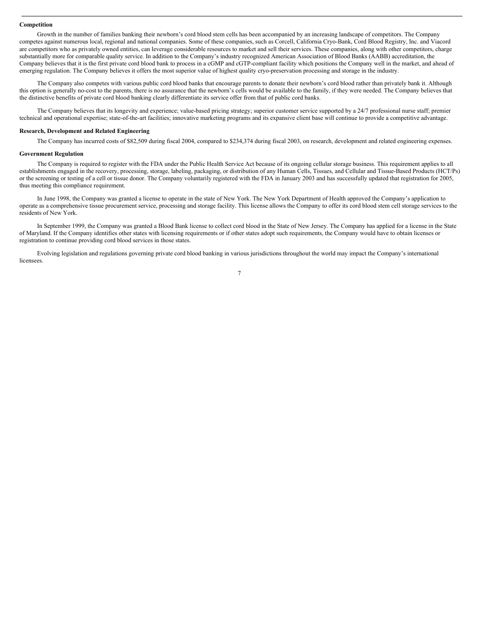#### **Competition**

Growth in the number of families banking their newborn's cord blood stem cells has been accompanied by an increasing landscape of competitors. The Company competes against numerous local, regional and national companies. Some of these companies, such as Corcell, California Cryo-Bank, Cord Blood Registry, Inc. and Viacord are competitors who as privately owned entities, can leverage considerable resources to market and sell their services. These companies, along with other competitors, charge substantially more for comparable quality service. In addition to the Company's industry recognized American Association of Blood Banks (AABB) accreditation, the Company believes that it is the first private cord blood bank to process in a cGMP and cGTP-compliant facility which positions the Company well in the market, and ahead of emerging regulation. The Company believes it offers the most superior value of highest quality cryo-preservation processing and storage in the industry.

The Company also competes with various public cord blood banks that encourage parents to donate their newborn's cord blood rather than privately bank it. Although this option is generally no-cost to the parents, there is no assurance that the newborn's cells would be available to the family, if they were needed. The Company believes that the distinctive benefits of private cord blood banking clearly differentiate its service offer from that of public cord banks.

The Company believes that its longevity and experience; value-based pricing strategy; superior customer service supported by a 24/7 professional nurse staff; premier technical and operational expertise; state-of-the-art facilities; innovative marketing programs and its expansive client base will continue to provide a competitive advantage.

# **Research, Development and Related Engineering**

The Company has incurred costs of \$82,509 during fiscal 2004, compared to \$234,374 during fiscal 2003, on research, development and related engineering expenses.

#### **Government Regulation**

The Company is required to register with the FDA under the Public Health Service Act because of its ongoing cellular storage business. This requirement applies to all establishments engaged in the recovery, processing, storage, labeling, packaging, or distribution of any Human Cells, Tissues, and Cellular and Tissue-Based Products (HCT/Ps) or the screening or testing of a cell or tissue donor. The Company voluntarily registered with the FDA in January 2003 and has successfully updated that registration for 2005, thus meeting this compliance requirement.

In June 1998, the Company was granted a license to operate in the state of New York. The New York Department of Health approved the Company's application to operate as a comprehensive tissue procurement service, processing and storage facility. This license allows the Company to offer its cord blood stem cell storage services to the residents of New York.

In September 1999, the Company was granted a Blood Bank license to collect cord blood in the State of New Jersey. The Company has applied for a license in the State of Maryland. If the Company identifies other states with licensing requirements or if other states adopt such requirements, the Company would have to obtain licenses or registration to continue providing cord blood services in those states.

Evolving legislation and regulations governing private cord blood banking in various jurisdictions throughout the world may impact the Company's international licensees.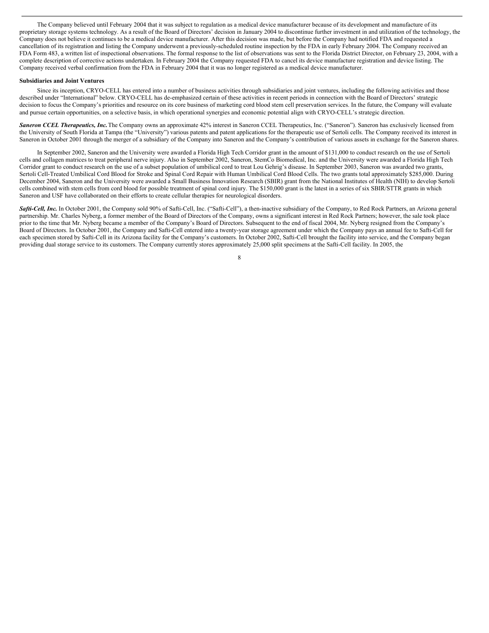The Company believed until February 2004 that it was subject to regulation as a medical device manufacturer because of its development and manufacture of its proprietary storage systems technology. As a result of the Board of Directors' decision in January 2004 to discontinue further investment in and utilization of the technology, the Company does not believe it continues to be a medical device manufacturer. After this decision was made, but before the Company had notified FDA and requested a cancellation of its registration and listing the Company underwent a previously-scheduled routine inspection by the FDA in early February 2004. The Company received an FDA Form 483, a written list of inspectional observations. The formal response to the list of observations was sent to the Florida District Director, on February 23, 2004, with a complete description of corrective actions undertaken. In February 2004 the Company requested FDA to cancel its device manufacture registration and device listing. The Company received verbal confirmation from the FDA in February 2004 that it was no longer registered as a medical device manufacturer.

## **Subsidiaries and Joint Ventures**

Since its inception, CRYO-CELL has entered into a number of business activities through subsidiaries and joint ventures, including the following activities and those described under "International" below. CRYO-CELL has de-emphasized certain of these activities in recent periods in connection with the Board of Directors' strategic decision to focus the Company's priorities and resource on its core business of marketing cord blood stem cell preservation services. In the future, the Company will evaluate and pursue certain opportunities, on a selective basis, in which operational synergies and economic potential align with CRYO-CELL's strategic direction.

*Saneron CCEL Therapeutics, Inc.*The Company owns an approximate 42% interest in Saneron CCEL Therapeutics, Inc. ("Saneron"). Saneron has exclusively licensed from the University of South Florida at Tampa (the "University") various patents and patent applications for the therapeutic use of Sertoli cells. The Company received its interest in Saneron in October 2001 through the merger of a subsidiary of the Company into Saneron and the Company's contribution of various assets in exchange for the Saneron shares.

In September 2002, Saneron and the University were awarded a Florida High Tech Corridor grant in the amount of \$131,000 to conduct research on the use of Sertoli cells and collagen matrices to treat peripheral nerve injury. Also in September 2002, Saneron, StemCo Biomedical, Inc. and the University were awarded a Florida High Tech Corridor grant to conduct research on the use of a subset population of umbilical cord to treat Lou Gehrig's disease. In September 2003, Saneron was awarded two grants, Sertoli Cell-Treated Umbilical Cord Blood for Stroke and Spinal Cord Repair with Human Umbilical Cord Blood Cells. The two grants total approximately \$285,000. During December 2004, Saneron and the University were awarded a Small Business Innovation Research (SBIR) grant from the National Institutes of Health (NIH) to develop Sertoli cells combined with stem cells from cord blood for possible treatment of spinal cord injury. The \$150,000 grant is the latest in a series of six SBIR/STTR grants in which Saneron and USF have collaborated on their efforts to create cellular therapies for neurological disorders.

Safti-Cell, Inc. In October 2001, the Company sold 90% of Safti-Cell, Inc. ("Safti-Cell"), a then-inactive subsidiary of the Company, to Red Rock Partners, an Arizona general partnership. Mr. Charles Nyberg, a former member of the Board of Directors of the Company, owns a significant interest in Red Rock Partners; however, the sale took place prior to the time that Mr. Nyberg became a member of the Company's Board of Directors. Subsequent to the end of fiscal 2004, Mr. Nyberg resigned from the Company's Board of Directors. In October 2001, the Company and Safti-Cell entered into a twenty-year storage agreement under which the Company pays an annual fee to Safti-Cell for each specimen stored by Safti-Cell in its Arizona facility for the Company's customers. In October 2002, Safti-Cell brought the facility into service, and the Company began providing dual storage service to its customers. The Company currently stores approximately 25,000 split specimens at the Safti-Cell facility. In 2005, the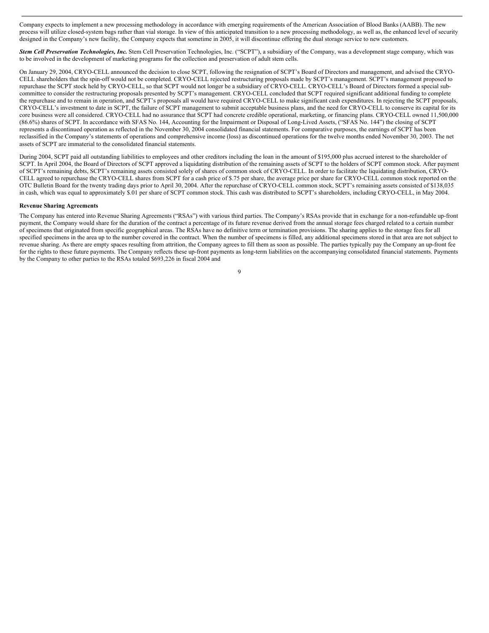Company expects to implement a new processing methodology in accordance with emerging requirements of the American Association of Blood Banks (AABB). The new process will utilize closed-system bags rather than vial storage. In view of this anticipated transition to a new processing methodology, as well as, the enhanced level of security designed in the Company's new facility, the Company expects that sometime in 2005, it will discontinue offering the dual storage service to new customers.

*Stem Cell Preservation Technologies, Inc.* Stem Cell Preservation Technologies, Inc. ("SCPT"), a subsidiary of the Company, was a development stage company, which was to be involved in the development of marketing programs for the collection and preservation of adult stem cells.

On January 29, 2004, CRYO-CELL announced the decision to close SCPT, following the resignation of SCPT's Board of Directors and management, and advised the CRYO-CELL shareholders that the spin-off would not be completed. CRYO-CELL rejected restructuring proposals made by SCPT's management. SCPT's management proposed to repurchase the SCPT stock held by CRYO-CELL, so that SCPT would not longer be a subsidiary of CRYO-CELL. CRYO-CELL's Board of Directors formed a special subcommittee to consider the restructuring proposals presented by SCPT's management. CRYO-CELL concluded that SCPT required significant additional funding to complete the repurchase and to remain in operation, and SCPT's proposals all would have required CRYO-CELL to make significant cash expenditures. In rejecting the SCPT proposals, CRYO-CELL's investment to date in SCPT, the failure of SCPT management to submit acceptable business plans, and the need for CRYO-CELL to conserve its capital for its core business were all considered. CRYO-CELL had no assurance that SCPT had concrete credible operational, marketing, or financing plans. CRYO-CELL owned 11,500,000 (86.6%) shares of SCPT. In accordance with SFAS No. 144, Accounting for the Impairment or Disposal of Long-Lived Assets, ("SFAS No. 144") the closing of SCPT represents a discontinued operation as reflected in the November 30, 2004 consolidated financial statements. For comparative purposes, the earnings of SCPT has been reclassified in the Company's statements of operations and comprehensive income (loss) as discontinued operations for the twelve months ended November 30, 2003. The net assets of SCPT are immaterial to the consolidated financial statements.

During 2004, SCPT paid all outstanding liabilities to employees and other creditors including the loan in the amount of \$195,000 plus accrued interest to the shareholder of SCPT. In April 2004, the Board of Directors of SCPT approved a liquidating distribution of the remaining assets of SCPT to the holders of SCPT common stock. After payment of SCPT's remaining debts, SCPT's remaining assets consisted solely of shares of common stock of CRYO-CELL. In order to facilitate the liquidating distribution, CRYO-CELL agreed to repurchase the CRYO-CELL shares from SCPT for a cash price of \$.75 per share, the average price per share for CRYO-CELL common stock reported on the OTC Bulletin Board for the twenty trading days prior to April 30, 2004. After the repurchase of CRYO-CELL common stock, SCPT's remaining assets consisted of \$138,035 in cash, which was equal to approximately \$.01 per share of SCPT common stock. This cash was distributed to SCPT's shareholders, including CRYO-CELL, in May 2004.

#### **Revenue Sharing Agreements**

The Company has entered into Revenue Sharing Agreements ("RSAs") with various third parties. The Company's RSAs provide that in exchange for a non-refundable up-front payment, the Company would share for the duration of the contract a percentage of its future revenue derived from the annual storage fees charged related to a certain number of specimens that originated from specific geographical areas. The RSAs have no definitive term or termination provisions. The sharing applies to the storage fees for all specified specimens in the area up to the number covered in the contract. When the number of specimens is filled, any additional specimens stored in that area are not subject to revenue sharing. As there are empty spaces resulting from attrition, the Company agrees to fill them as soon as possible. The parties typically pay the Company an up-front fee for the rights to these future payments. The Company reflects these up-front payments as long-term liabilities on the accompanying consolidated financial statements. Payments by the Company to other parties to the RSAs totaled \$693,226 in fiscal 2004 and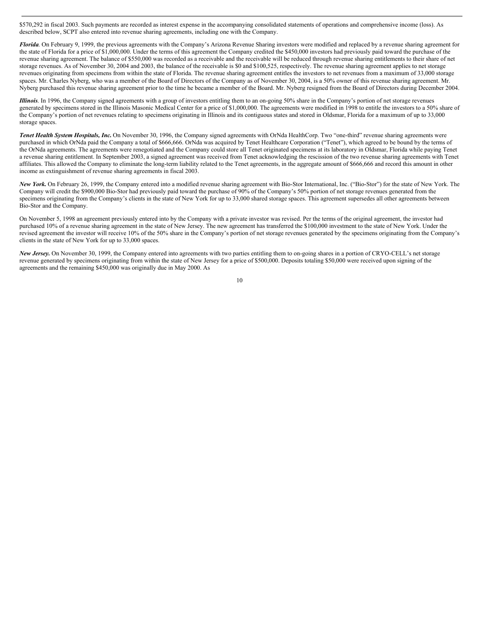\$570,292 in fiscal 2003. Such payments are recorded as interest expense in the accompanying consolidated statements of operations and comprehensive income (loss). As described below, SCPT also entered into revenue sharing agreements, including one with the Company.

*Florida*. On February 9, 1999, the previous agreements with the Company's Arizona Revenue Sharing investors were modified and replaced by a revenue sharing agreement for the state of Florida for a price of \$1,000,000. Under the terms of this agreement the Company credited the \$450,000 investors had previously paid toward the purchase of the revenue sharing agreement. The balance of \$550,000 was recorded as a receivable and the receivable will be reduced through revenue sharing entitlements to their share of net storage revenues. As of November 30, 2004 and 2003, the balance of the receivable is \$0 and \$100,525, respectively. The revenue sharing agreement applies to net storage revenues originating from specimens from within the state of Florida. The revenue sharing agreement entitles the investors to net revenues from a maximum of 33,000 storage spaces. Mr. Charles Nyberg, who was a member of the Board of Directors of the Company as of November 30, 2004, is a 50% owner of this revenue sharing agreement. Mr. Nyberg purchased this revenue sharing agreement prior to the time he became a member of the Board. Mr. Nyberg resigned from the Board of Directors during December 2004.

*Illinois*. In 1996, the Company signed agreements with a group of investors entitling them to an on-going 50% share in the Company's portion of net storage revenues generated by specimens stored in the Illinois Masonic Medical Center for a price of \$1,000,000. The agreements were modified in 1998 to entitle the investors to a 50% share of the Company's portion of net revenues relating to specimens originating in Illinois and its contiguous states and stored in Oldsmar, Florida for a maximum of up to 33,000 storage spaces.

*Tenet Health System Hospitals, Inc.* On November 30, 1996, the Company signed agreements with OrNda HealthCorp. Two "one-third" revenue sharing agreements were purchased in which OrNda paid the Company a total of \$666,666. OrNda was acquired by Tenet Healthcare Corporation ("Tenet"), which agreed to be bound by the terms of the OrNda agreements. The agreements were renegotiated and the Company could store all Tenet originated specimens at its laboratory in Oldsmar, Florida while paying Tenet a revenue sharing entitlement. In September 2003, a signed agreement was received from Tenet acknowledging the rescission of the two revenue sharing agreements with Tenet affiliates. This allowed the Company to eliminate the long-term liability related to the Tenet agreements, in the aggregate amount of \$666,666 and record this amount in other income as extinguishment of revenue sharing agreements in fiscal 2003.

*New York.* On February 26, 1999, the Company entered into a modified revenue sharing agreement with Bio-Stor International, Inc. ("Bio-Stor") for the state of New York. The Company will credit the \$900,000 Bio-Stor had previously paid toward the purchase of 90% of the Company's 50% portion of net storage revenues generated from the specimens originating from the Company's clients in the state of New York for up to 33,000 shared storage spaces. This agreement supersedes all other agreements between Bio-Stor and the Company.

On November 5, 1998 an agreement previously entered into by the Company with a private investor was revised. Per the terms of the original agreement, the investor had purchased 10% of a revenue sharing agreement in the state of New Jersey. The new agreement has transferred the \$100,000 investment to the state of New York. Under the revised agreement the investor will receive 10% of the 50% share in the Company's portion of net storage revenues generated by the specimens originating from the Company's clients in the state of New York for up to 33,000 spaces.

*New Jersey.* On November 30, 1999, the Company entered into agreements with two parties entitling them to on-going shares in a portion of CRYO-CELL's net storage revenue generated by specimens originating from within the state of New Jersey for a price of \$500,000. Deposits totaling \$50,000 were received upon signing of the agreements and the remaining \$450,000 was originally due in May 2000. As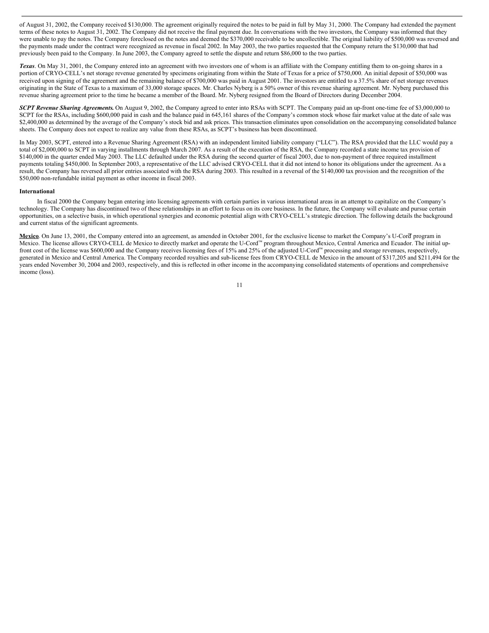of August 31, 2002, the Company received \$130,000. The agreement originally required the notes to be paid in full by May 31, 2000. The Company had extended the payment terms of these notes to August 31, 2002. The Company did not receive the final payment due. In conversations with the two investors, the Company was informed that they were unable to pay the notes. The Company foreclosed on the notes and deemed the \$370,000 receivable to be uncollectible. The original liability of \$500,000 was reversed and the payments made under the contract were recognized as revenue in fiscal 2002. In May 2003, the two parties requested that the Company return the \$130,000 that had previously been paid to the Company. In June 2003, the Company agreed to settle the dispute and return \$86,000 to the two parties.

*Texas*. On May 31, 2001, the Company entered into an agreement with two investors one of whom is an affiliate with the Company entitling them to on-going shares in a portion of CRYO-CELL's net storage revenue generated by specimens originating from within the State of Texas for a price of \$750,000. An initial deposit of \$50,000 was received upon signing of the agreement and the remaining balance of \$700,000 was paid in August 2001. The investors are entitled to a 37.5% share of net storage revenues originating in the State of Texas to a maximum of 33,000 storage spaces. Mr. Charles Nyberg is a 50% owner of this revenue sharing agreement. Mr. Nyberg purchased this revenue sharing agreement prior to the time he became a member of the Board. Mr. Nyberg resigned from the Board of Directors during December 2004.

*SCPT Revenue Sharing Agreements.* On August 9, 2002, the Company agreed to enter into RSAs with SCPT. The Company paid an up-front one-time fee of \$3,000,000 to SCPT for the RSAs, including \$600,000 paid in cash and the balance paid in 645,161 shares of the Company's common stock whose fair market value at the date of sale was \$2,400,000 as determined by the average of the Company's stock bid and ask prices. This transaction eliminates upon consolidation on the accompanying consolidated balance sheets. The Company does not expect to realize any value from these RSAs, as SCPT's business has been discontinued.

In May 2003, SCPT, entered into a Revenue Sharing Agreement (RSA) with an independent limited liability company ("LLC"). The RSA provided that the LLC would pay a total of \$2,000,000 to SCPT in varying installments through March 2007. As a result of the execution of the RSA, the Company recorded a state income tax provision of \$140,000 in the quarter ended May 2003. The LLC defaulted under the RSA during the second quarter of fiscal 2003, due to non-payment of three required installment payments totaling \$450,000. In September 2003, a representative of the LLC advised CRYO-CELL that it did not intend to honor its obligations under the agreement. As a result, the Company has reversed all prior entries associated with the RSA during 2003. This resulted in a reversal of the \$140,000 tax provision and the recognition of the \$50,000 non-refundable initial payment as other income in fiscal 2003.

#### **International**

In fiscal 2000 the Company began entering into licensing agreements with certain parties in various international areas in an attempt to capitalize on the Company's technology. The Company has discontinued two of these relationships in an effort to focus on its core business. In the future, the Company will evaluate and pursue certain opportunities, on a selective basis, in which operational synergies and economic potential align with CRYO-CELL's strategic direction. The following details the background and current status of the significant agreements.

Mexico. On June 13, 2001, the Company entered into an agreement, as amended in October 2001, for the exclusive license to market the Company's U-Cord™ program in Mexico. The license allows CRYO-CELL de Mexico to directly market and operate the U-Cord™ program throughout Mexico, Central America and Ecuador. The initial upfront cost of the license was \$600,000 and the Company receives licensing fees of 15% and 25% of the adjusted U-Cord™ processing and storage revenues, respectively, generated in Mexico and Central America. The Company recorded royalties and sub-license fees from CRYO-CELL de Mexico in the amount of \$317,205 and \$211,494 for the years ended November 30, 2004 and 2003, respectively, and this is reflected in other income in the accompanying consolidated statements of operations and comprehensive income (loss).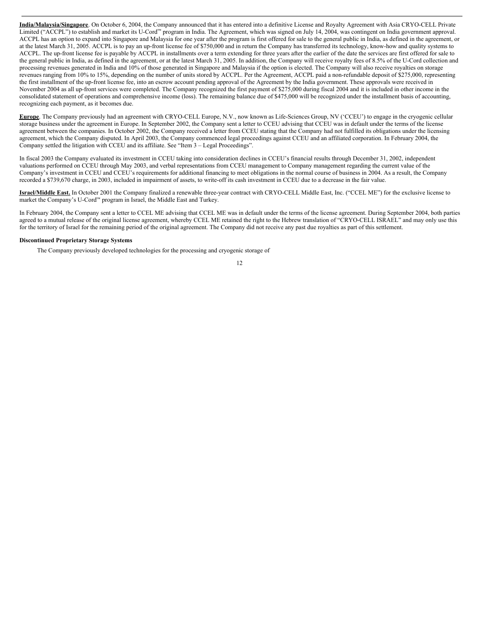**India/Malaysia/Singapore**. On October 6, 2004, the Company announced that it has entered into a definitive License and Royalty Agreement with Asia CRYO-CELL Private Limited ("ACCPL") to establish and market its U-Cord™ program in India. The Agreement, which was signed on July 14, 2004, was contingent on India government approval. ACCPL has an option to expand into Singapore and Malaysia for one year after the program is first offered for sale to the general public in India, as defined in the agreement, or at the latest March 31, 2005. ACCPL is to pay an up-front license fee of \$750,000 and in return the Company has transferred its technology, know-how and quality systems to ACCPL. The up-front license fee is payable by ACCPL in installments over a term extending for three years after the earlier of the date the services are first offered for sale to the general public in India, as defined in the agreement, or at the latest March 31, 2005. In addition, the Company will receive royalty fees of 8.5% of the U-Cord collection and processing revenues generated in India and 10% of those generated in Singapore and Malaysia if the option is elected. The Company will also receive royalties on storage revenues ranging from 10% to 15%, depending on the number of units stored by ACCPL. Per the Agreement, ACCPL paid a non-refundable deposit of \$275,000, representing the first installment of the up-front license fee, into an escrow account pending approval of the Agreement by the India government. These approvals were received in November 2004 as all up-front services were completed. The Company recognized the first payment of \$275,000 during fiscal 2004 and it is included in other income in the consolidated statement of operations and comprehensive income (loss). The remaining balance due of \$475,000 will be recognized under the installment basis of accounting, recognizing each payment, as it becomes due.

**Europe**. The Company previously had an agreement with CRYO-CELL Europe, N.V., now known as Life-Sciences Group, NV ('CCEU') to engage in the cryogenic cellular storage business under the agreement in Europe. In September 2002, the Company sent a letter to CCEU advising that CCEU was in default under the terms of the license agreement between the companies. In October 2002, the Company received a letter from CCEU stating that the Company had not fulfilled its obligations under the licensing agreement, which the Company disputed. In April 2003, the Company commenced legal proceedings against CCEU and an affiliated corporation. In February 2004, the Company settled the litigation with CCEU and its affiliate. See "Item 3 – Legal Proceedings".

In fiscal 2003 the Company evaluated its investment in CCEU taking into consideration declines in CCEU's financial results through December 31, 2002, independent valuations performed on CCEU through May 2003, and verbal representations from CCEU management to Company management regarding the current value of the Company's investment in CCEU and CCEU's requirements for additional financing to meet obligations in the normal course of business in 2004. As a result, the Company recorded a \$739,670 charge, in 2003, included in impairment of assets, to write-off its cash investment in CCEU due to a decrease in the fair value.

**Israel/Middle East.** In October 2001 the Company finalized a renewable three-year contract with CRYO-CELL Middle East, Inc. ("CCEL ME") for the exclusive license to market the Company's U-Cord™ program in Israel, the Middle East and Turkey.

In February 2004, the Company sent a letter to CCEL ME advising that CCEL ME was in default under the terms of the license agreement. During September 2004, both parties agreed to a mutual release of the original license agreement, whereby CCEL ME retained the right to the Hebrew translation of "CRYO-CELL ISRAEL" and may only use this for the territory of Israel for the remaining period of the original agreement. The Company did not receive any past due royalties as part of this settlement.

#### **Discontinued Proprietary Storage Systems**

The Company previously developed technologies for the processing and cryogenic storage of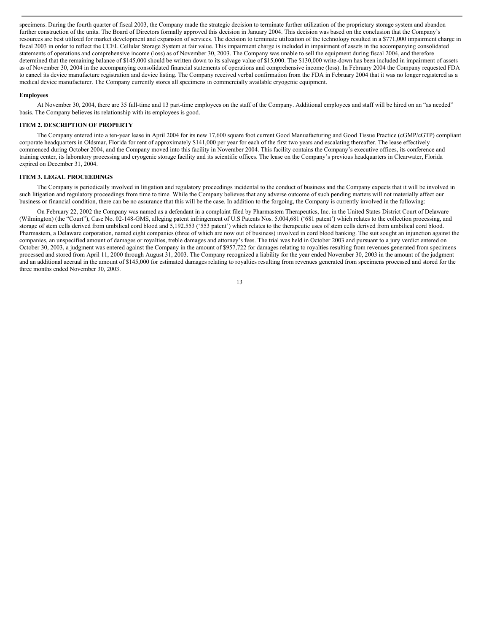specimens. During the fourth quarter of fiscal 2003, the Company made the strategic decision to terminate further utilization of the proprietary storage system and abandon further construction of the units. The Board of Directors formally approved this decision in January 2004. This decision was based on the conclusion that the Company's resources are best utilized for market development and expansion of services. The decision to terminate utilization of the technology resulted in a \$771,000 impairment charge in fiscal 2003 in order to reflect the CCEL Cellular Storage System at fair value. This impairment charge is included in impairment of assets in the accompanying consolidated statements of operations and comprehensive income (loss) as of November 30, 2003. The Company was unable to sell the equipment during fiscal 2004, and therefore determined that the remaining balance of \$145,000 should be written down to its salvage value of \$15,000. The \$130,000 write-down has been included in impairment of assets as of November 30, 2004 in the accompanying consolidated financial statements of operations and comprehensive income (loss). In February 2004 the Company requested FDA to cancel its device manufacture registration and device listing. The Company received verbal confirmation from the FDA in February 2004 that it was no longer registered as a medical device manufacturer. The Company currently stores all specimens in commercially available cryogenic equipment.

#### **Employees**

At November 30, 2004, there are 35 full-time and 13 part-time employees on the staff of the Company. Additional employees and staff will be hired on an "as needed" basis. The Company believes its relationship with its employees is good.

# **ITEM 2. DESCRIPTION OF PROPERTY**

The Company entered into a ten-year lease in April 2004 for its new 17,600 square foot current Good Manuafacturing and Good Tissue Practice (cGMP/cGTP) compliant corporate headquarters in Oldsmar, Florida for rent of approximately \$141,000 per year for each of the first two years and escalating thereafter. The lease effectively commenced during October 2004, and the Company moved into this facility in November 2004. This facility contains the Company's executive offices, its conference and training center, its laboratory processing and cryogenic storage facility and its scientific offices. The lease on the Company's previous headquarters in Clearwater, Florida expired on December 31, 2004.

# **ITEM 3. LEGAL PROCEEDINGS**

The Company is periodically involved in litigation and regulatory proceedings incidental to the conduct of business and the Company expects that it will be involved in such litigation and regulatory proceedings from time to time. While the Company believes that any adverse outcome of such pending matters will not materially affect our business or financial condition, there can be no assurance that this will be the case. In addition to the forgoing, the Company is currently involved in the following:

On February 22, 2002 the Company was named as a defendant in a complaint filed by Pharmastem Therapeutics, Inc. in the United States District Court of Delaware (Wilmington) (the "Court"), Case No. 02-148-GMS, alleging patent infringement of U.S Patents Nos. 5.004,681 ('681 patent') which relates to the collection processing, and storage of stem cells derived from umbilical cord blood and 5,192.553 ('553 patent') which relates to the therapeutic uses of stem cells derived from umbilical cord blood. Pharmastem, a Delaware corporation, named eight companies (three of which are now out of business) involved in cord blood banking. The suit sought an injunction against the companies, an unspecified amount of damages or royalties, treble damages and attorney's fees. The trial was held in October 2003 and pursuant to a jury verdict entered on October 30, 2003, a judgment was entered against the Company in the amount of \$957,722 for damages relating to royalties resulting from revenues generated from specimens processed and stored from April 11, 2000 through August 31, 2003. The Company recognized a liability for the year ended November 30, 2003 in the amount of the judgment and an additional accrual in the amount of \$145,000 for estimated damages relating to royalties resulting from revenues generated from specimens processed and stored for the three months ended November 30, 2003.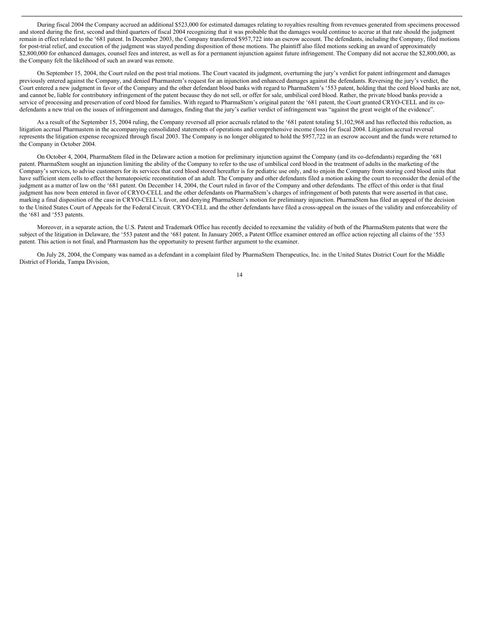During fiscal 2004 the Company accrued an additional \$523,000 for estimated damages relating to royalties resulting from revenues generated from specimens processed and stored during the first, second and third quarters of fiscal 2004 recognizing that it was probable that the damages would continue to accrue at that rate should the judgment remain in effect related to the '681 patent. In December 2003, the Company transferred \$957,722 into an escrow account. The defendants, including the Company, filed motions for post-trial relief, and execution of the judgment was stayed pending disposition of those motions. The plaintiff also filed motions seeking an award of approximately \$2,800,000 for enhanced damages, counsel fees and interest, as well as for a permanent injunction against future infringement. The Company did not accrue the \$2,800,000, as the Company felt the likelihood of such an award was remote.

On September 15, 2004, the Court ruled on the post trial motions. The Court vacated its judgment, overturning the jury's verdict for patent infringement and damages previously entered against the Company, and denied Pharmastem's request for an injunction and enhanced damages against the defendants. Reversing the jury's verdict, the Court entered a new judgment in favor of the Company and the other defendant blood banks with regard to PharmaStem's '553 patent, holding that the cord blood banks are not, and cannot be, liable for contributory infringement of the patent because they do not sell, or offer for sale, umbilical cord blood. Rather, the private blood banks provide a service of processing and preservation of cord blood for families. With regard to PharmaStem's original patent the '681 patent, the Court granted CRYO-CELL and its codefendants a new trial on the issues of infringement and damages, finding that the jury's earlier verdict of infringement was "against the great weight of the evidence".

As a result of the September 15, 2004 ruling, the Company reversed all prior accruals related to the '681 patent totaling \$1,102,968 and has reflected this reduction, as litigation accrual Pharmastem in the accompanying consolidated statements of operations and comprehensive income (loss) for fiscal 2004. Litigation accrual reversal represents the litigation expense recognized through fiscal 2003. The Company is no longer obligated to hold the \$957,722 in an escrow account and the funds were returned to the Company in October 2004.

On October 4, 2004, PharmaStem filed in the Delaware action a motion for preliminary injunction against the Company (and its co-defendants) regarding the '681 patent. PharmaStem sought an injunction limiting the ability of the Company to refer to the use of umbilical cord blood in the treatment of adults in the marketing of the Company's services, to advise customers for its services that cord blood stored hereafter is for pediatric use only, and to enjoin the Company from storing cord blood units that have sufficient stem cells to effect the hematopoietic reconstitution of an adult. The Company and other defendants filed a motion asking the court to reconsider the denial of the judgment as a matter of law on the '681 patent. On December 14, 2004, the Court ruled in favor of the Company and other defendants. The effect of this order is that final judgment has now been entered in favor of CRYO-CELL and the other defendants on PharmaStem's charges of infringement of both patents that were asserted in that case, marking a final disposition of the case in CRYO-CELL's favor, and denying PharmaStem's motion for preliminary injunction. PharmaStem has filed an appeal of the decision to the United States Court of Appeals for the Federal Circuit. CRYO-CELL and the other defendants have filed a cross-appeal on the issues of the validity and enforceability of the '681 and '553 patents.

Moreover, in a separate action, the U.S. Patent and Trademark Office has recently decided to reexamine the validity of both of the PharmaStem patents that were the subject of the litigation in Delaware, the '553 patent and the '681 patent. In January 2005, a Patent Office examiner entered an office action rejecting all claims of the '553 patent. This action is not final, and Pharmastem has the opportunity to present further argument to the examiner.

On July 28, 2004, the Company was named as a defendant in a complaint filed by PharmaStem Therapeutics, Inc. in the United States District Court for the Middle District of Florida, Tampa Division,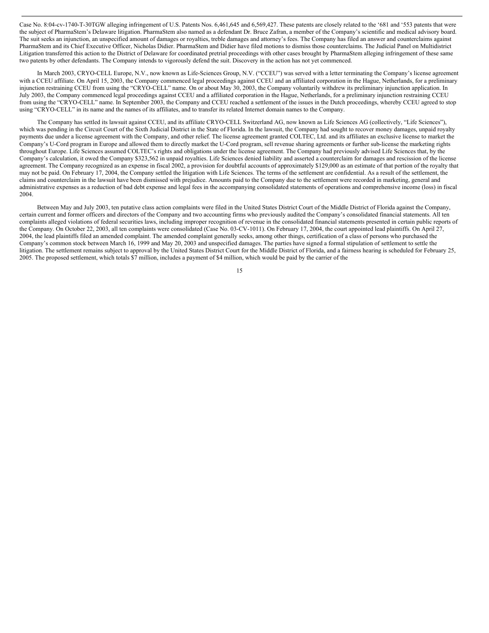Case No. 8:04-cv-1740-T-30TGW alleging infringement of U.S. Patents Nos. 6,461,645 and 6,569,427. These patents are closely related to the '681 and '553 patents that were the subject of PharmaStem's Delaware litigation. PharmaStem also named as a defendant Dr. Bruce Zafran, a member of the Company's scientific and medical advisory board. The suit seeks an injunction, an unspecified amount of damages or royalties, treble damages and attorney's fees. The Company has filed an answer and counterclaims against PharmaStem and its Chief Executive Officer, Nicholas Didier. PharmaStem and Didier have filed motions to dismiss those counterclaims. The Judicial Panel on Multidistrict Litigation transferred this action to the District of Delaware for coordinated pretrial proceedings with other cases brought by PharmaStem alleging infringement of these same two patents by other defendants. The Company intends to vigorously defend the suit. Discovery in the action has not yet commenced.

In March 2003, CRYO-CELL Europe, N.V., now known as Life-Sciences Group, N.V. ("CCEU") was served with a letter terminating the Company's license agreement with a CCEU affiliate. On April 15, 2003, the Company commenced legal proceedings against CCEU and an affiliated corporation in the Hague, Netherlands, for a preliminary injunction restraining CCEU from using the "CRYO-CELL" name. On or about May 30, 2003, the Company voluntarily withdrew its preliminary injunction application. In July 2003, the Company commenced legal proceedings against CCEU and a affiliated corporation in the Hague, Netherlands, for a preliminary injunction restraining CCEU from using the "CRYO-CELL" name. In September 2003, the Company and CCEU reached a settlement of the issues in the Dutch proceedings, whereby CCEU agreed to stop using "CRYO-CELL" in its name and the names of its affiliates, and to transfer its related Internet domain names to the Company.

The Company has settled its lawsuit against CCEU, and its affiliate CRYO-CELL Switzerland AG, now known as Life Sciences AG (collectively, "Life Sciences"), which was pending in the Circuit Court of the Sixth Judicial District in the State of Florida. In the lawsuit, the Company had sought to recover money damages, unpaid royalty payments due under a license agreement with the Company, and other relief. The license agreement granted COLTEC, Ltd. and its affiliates an exclusive license to market the Company's U-Cord program in Europe and allowed them to directly market the U-Cord program, sell revenue sharing agreements or further sub-license the marketing rights throughout Europe. Life Sciences assumed COLTEC's rights and obligations under the license agreement. The Company had previously advised Life Sciences that, by the Company's calculation, it owed the Company \$323,562 in unpaid royalties. Life Sciences denied liability and asserted a counterclaim for damages and rescission of the license agreement. The Company recognized as an expense in fiscal 2002, a provision for doubtful accounts of approximately \$129,000 as an estimate of that portion of the royalty that may not be paid. On February 17, 2004, the Company settled the litigation with Life Sciences. The terms of the settlement are confidential. As a result of the settlement, the claims and counterclaim in the lawsuit have been dismissed with prejudice. Amounts paid to the Company due to the settlement were recorded in marketing, general and administrative expenses as a reduction of bad debt expense and legal fees in the accompanying consolidated statements of operations and comprehensive income (loss) in fiscal 2004.

Between May and July 2003, ten putative class action complaints were filed in the United States District Court of the Middle District of Florida against the Company, certain current and former officers and directors of the Company and two accounting firms who previously audited the Company's consolidated financial statements. All ten complaints alleged violations of federal securities laws, including improper recognition of revenue in the consolidated financial statements presented in certain public reports of the Company. On October 22, 2003, all ten complaints were consolidated (Case No. 03-CV-1011). On February 17, 2004, the court appointed lead plaintiffs. On April 27, 2004, the lead plaintiffs filed an amended complaint. The amended complaint generally seeks, among other things, certification of a class of persons who purchased the Company's common stock between March 16, 1999 and May 20, 2003 and unspecified damages. The parties have signed a formal stipulation of settlement to settle the litigation. The settlement remains subject to approval by the United States District Court for the Middle District of Florida, and a fairness hearing is scheduled for February 25, 2005. The proposed settlement, which totals \$7 million, includes a payment of \$4 million, which would be paid by the carrier of the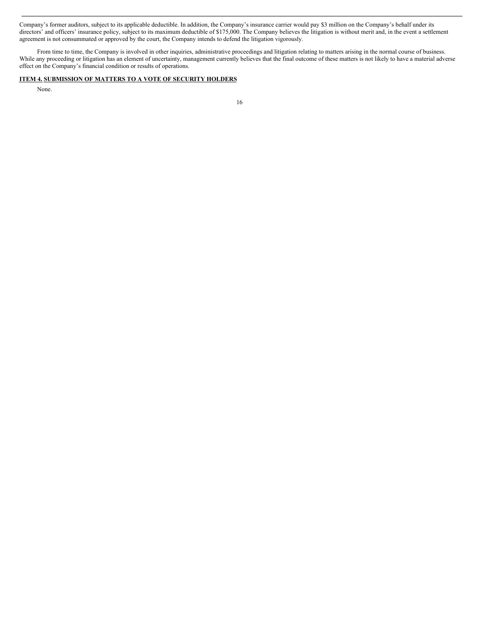Company's former auditors, subject to its applicable deductible. In addition, the Company's insurance carrier would pay \$3 million on the Company's behalf under its directors' and officers' insurance policy, subject to its maximum deductible of \$175,000. The Company believes the litigation is without merit and, in the event a settlement agreement is not consummated or approved by the court, the Company intends to defend the litigation vigorously.

From time to time, the Company is involved in other inquiries, administrative proceedings and litigation relating to matters arising in the normal course of business. While any proceeding or litigation has an element of uncertainty, management currently believes that the final outcome of these matters is not likely to have a material adverse effect on the Company's financial condition or results of operations.

# **ITEM 4. SUBMISSION OF MATTERS TO A VOTE OF SECURITY HOLDERS**

None.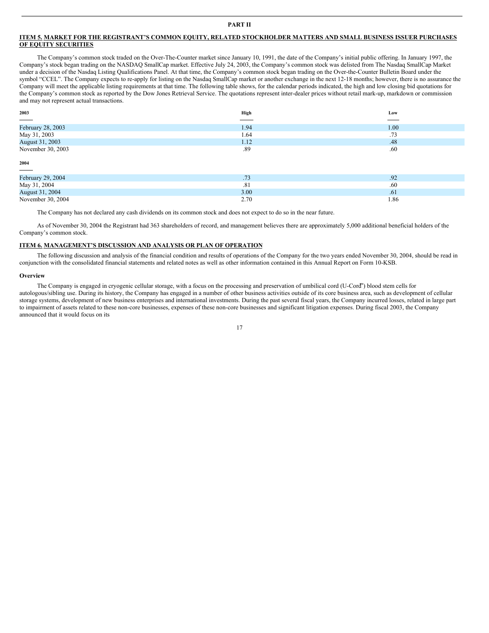# ITEM 5. MARKET FOR THE REGISTRANT'S COMMON EQUITY, RELATED STOCKHOLDER MATTERS AND SMALL BUSINESS ISSUER PURCHASES **OF EQUITY SECURITIES**

The Company's common stock traded on the Over-The-Counter market since January 10, 1991, the date of the Company's initial public offering. In January 1997, the Company's stock began trading on the NASDAQ SmallCap market. Effective July 24, 2003, the Company's common stock was delisted from The Nasdaq SmallCap Market under a decision of the Nasdaq Listing Qualifications Panel. At that time, the Company's common stock began trading on the Over-the-Counter Bulletin Board under the symbol "CCEL". The Company expects to re-apply for listing on the Nasdaq SmallCap market or another exchange in the next 12-18 months; however, there is no assurance the Company will meet the applicable listing requirements at that time. The following table shows, for the calendar periods indicated, the high and low closing bid quotations for the Company's common stock as reported by the Dow Jones Retrieval Service. The quotations represent inter-dealer prices without retail mark-up, markdown or commission and may not represent actual transactions.

| 2003                            | High | Low  |
|---------------------------------|------|------|
|                                 |      |      |
| February 28, 2003               | 1.94 | 1.00 |
| May 31, 2003                    | 1.64 | .73  |
| August 31, 2003                 | 1.12 | .48  |
| November 30, 2003               | .89  | .60  |
|                                 |      |      |
| 2004                            |      |      |
|                                 |      |      |
|                                 |      |      |
|                                 | .73  | .92  |
| February 29, 2004               | .81  | .60  |
| May 31, 2004<br>August 31, 2004 | 3.00 | .61  |

The Company has not declared any cash dividends on its common stock and does not expect to do so in the near future.

As of November 30, 2004 the Registrant had 363 shareholders of record, and management believes there are approximately 5,000 additional beneficial holders of the Company's common stock.

# **ITEM 6. MANAGEMENT'S DISCUSSION AND ANALYSIS OR PLAN OF OPERATION**

The following discussion and analysis of the financial condition and results of operations of the Company for the two years ended November 30, 2004, should be read in conjunction with the consolidated financial statements and related notes as well as other information contained in this Annual Report on Form 10-KSB.

#### **Overview**

The Company is engaged in cryogenic cellular storage, with a focus on the processing and preservation of umbilical cord (U-Cord<sup>™</sup>) blood stem cells for autologous/sibling use. During its history, the Company has engaged in a number of other business activities outside of its core business area, such as development of cellular storage systems, development of new business enterprises and international investments. During the past several fiscal years, the Company incurred losses, related in large part to impairment of assets related to these non-core businesses, expenses of these non-core businesses and significant litigation expenses. During fiscal 2003, the Company announced that it would focus on its

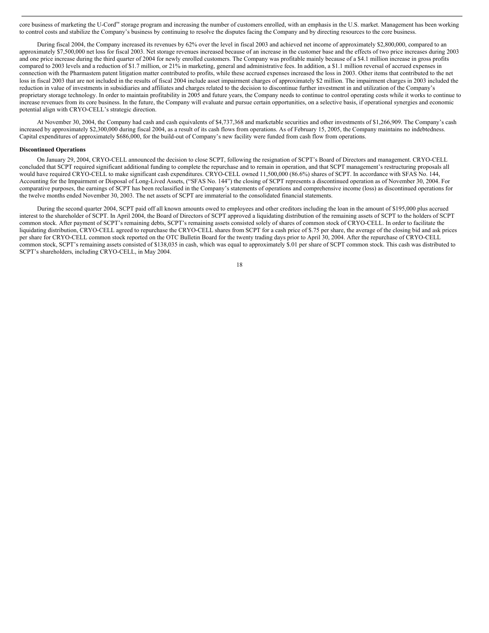core business of marketing the U-Cord™ storage program and increasing the number of customers enrolled, with an emphasis in the U.S. market. Management has been working to control costs and stabilize the Company's business by continuing to resolve the disputes facing the Company and by directing resources to the core business.

During fiscal 2004, the Company increased its revenues by 62% over the level in fiscal 2003 and achieved net income of approximately \$2,800,000, compared to an approximately \$7,500,000 net loss for fiscal 2003. Net storage revenues increased because of an increase in the customer base and the effects of two price increases during 2003 and one price increase during the third quarter of 2004 for newly enrolled customers. The Company was profitable mainly because of a \$4.1 million increase in gross profits compared to 2003 levels and a reduction of \$1.7 million, or 21% in marketing, general and administrative fees. In addition, a \$1.1 million reversal of accrued expenses in connection with the Pharmastem patent litigation matter contributed to profits, while these accrued expenses increased the loss in 2003. Other items that contributed to the net loss in fiscal 2003 that are not included in the results of fiscal 2004 include asset impairment charges of approximately \$2 million. The impairment charges in 2003 included the reduction in value of investments in subsidiaries and affiliates and charges related to the decision to discontinue further investment in and utilization of the Company's proprietary storage technology. In order to maintain profitability in 2005 and future years, the Company needs to continue to control operating costs while it works to continue to increase revenues from its core business. In the future, the Company will evaluate and pursue certain opportunities, on a selective basis, if operational synergies and economic potential align with CRYO-CELL's strategic direction.

At November 30, 2004, the Company had cash and cash equivalents of \$4,737,368 and marketable securities and other investments of \$1,266,909. The Company's cash increased by approximately \$2,300,000 during fiscal 2004, as a result of its cash flows from operations. As of February 15, 2005, the Company maintains no indebtedness. Capital expenditures of approximately \$686,000, for the build-out of Company's new facility were funded from cash flow from operations.

#### **Discontinued Operations**

On January 29, 2004, CRYO-CELL announced the decision to close SCPT, following the resignation of SCPT's Board of Directors and management. CRYO-CELL concluded that SCPT required significant additional funding to complete the repurchase and to remain in operation, and that SCPT management's restructuring proposals all would have required CRYO-CELL to make significant cash expenditures. CRYO-CELL owned 11,500,000 (86.6%) shares of SCPT. In accordance with SFAS No. 144, Accounting for the Impairment or Disposal of Long-Lived Assets, ("SFAS No. 144") the closing of SCPT represents a discontinued operation as of November 30, 2004. For comparative purposes, the earnings of SCPT has been reclassified in the Company's statements of operations and comprehensive income (loss) as discontinued operations for the twelve months ended November 30, 2003. The net assets of SCPT are immaterial to the consolidated financial statements.

During the second quarter 2004, SCPT paid off all known amounts owed to employees and other creditors including the loan in the amount of \$195,000 plus accrued interest to the shareholder of SCPT. In April 2004, the Board of Directors of SCPT approved a liquidating distribution of the remaining assets of SCPT to the holders of SCPT common stock. After payment of SCPT's remaining debts, SCPT's remaining assets consisted solely of shares of common stock of CRYO-CELL. In order to facilitate the liquidating distribution, CRYO-CELL agreed to repurchase the CRYO-CELL shares from SCPT for a cash price of \$.75 per share, the average of the closing bid and ask prices per share for CRYO-CELL common stock reported on the OTC Bulletin Board for the twenty trading days prior to April 30, 2004. After the repurchase of CRYO-CELL common stock, SCPT's remaining assets consisted of \$138,035 in cash, which was equal to approximately \$.01 per share of SCPT common stock. This cash was distributed to SCPT's shareholders, including CRYO-CELL, in May 2004.

<sup>18</sup>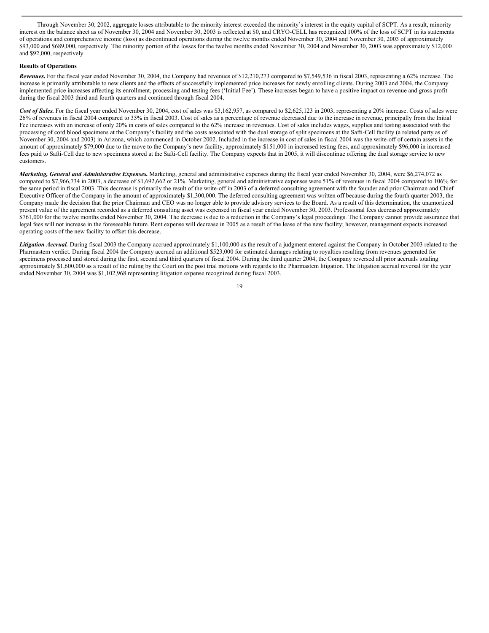Through November 30, 2002, aggregate losses attributable to the minority interest exceeded the minority's interest in the equity capital of SCPT. As a result, minority interest on the balance sheet as of November 30, 2004 and November 30, 2003 is reflected at \$0, and CRYO-CELL has recognized 100% of the loss of SCPT in its statements of operations and comprehensive income (loss) as discontinued operations during the twelve months ended November 30, 2004 and November 30, 2003 of approximately \$93,000 and \$689,000, respectively. The minority portion of the losses for the twelve months ended November 30, 2004 and November 30, 2003 was approximately \$12,000 and \$92,000, respectively.

# **Results of Operations**

*Revenues.* For the fiscal year ended November 30, 2004, the Company had revenues of \$12,210,273 compared to \$7,549,536 in fiscal 2003, representing a 62% increase. The increase is primarily attributable to new clients and the effects of successfully implemented price increases for newly enrolling clients. During 2003 and 2004, the Company implemented price increases affecting its enrollment, processing and testing fees ('Initial Fee'). These increases began to have a positive impact on revenue and gross profit during the fiscal 2003 third and fourth quarters and continued through fiscal 2004.

Cost of Sales. For the fiscal year ended November 30, 2004, cost of sales was \$3,162,957, as compared to \$2,625,123 in 2003, representing a 20% increase. Costs of sales were 26% of revenues in fiscal 2004 compared to 35% in fiscal 2003. Cost of sales as a percentage of revenue decreased due to the increase in revenue, principally from the Initial Fee increases with an increase of only 20% in costs of sales compared to the 62% increase in revenues. Cost of sales includes wages, supplies and testing associated with the processing of cord blood specimens at the Company's facility and the costs associated with the dual storage of split specimens at the Safti-Cell facility (a related party as of November 30, 2004 and 2003) in Arizona, which commenced in October 2002. Included in the increase in cost of sales in fiscal 2004 was the write-off of certain assets in the amount of approximately \$79,000 due to the move to the Company's new facility, approximately \$151,000 in increased testing fees, and approximately \$96,000 in increased fees paid to Safti-Cell due to new specimens stored at the Safti-Cell facility. The Company expects that in 2005, it will discontinue offering the dual storage service to new customers.

*Marketing, General and Administrative Expenses.* Marketing, general and administrative expenses during the fiscal year ended November 30, 2004, were \$6,274,072 as compared to \$7,966,734 in 2003, a decrease of \$1,692,662 or 21%. Marketing, general and administrative expenses were 51% of revenues in fiscal 2004 compared to 106% for the same period in fiscal 2003. This decrease is primarily the result of the write-off in 2003 of a deferred consulting agreement with the founder and prior Chairman and Chief Executive Officer of the Company in the amount of approximately \$1,300,000. The deferred consulting agreement was written off because during the fourth quarter 2003, the Company made the decision that the prior Chairman and CEO was no longer able to provide advisory services to the Board. As a result of this determination, the unamortized present value of the agreement recorded as a deferred consulting asset was expensed in fiscal year ended November 30, 2003. Professional fees decreased approximately \$761,000 for the twelve months ended November 30, 2004. The decrease is due to a reduction in the Company's legal proceedings. The Company cannot provide assurance that legal fees will not increase in the foreseeable future. Rent expense will decrease in 2005 as a result of the lease of the new facility; however, management expects increased operating costs of the new facility to offset this decrease.

Litigation *Accrual.* During fiscal 2003 the Company accrued approximately \$1,100,000 as the result of a judgment entered against the Company in October 2003 related to the Pharmastem verdict. During fiscal 2004 the Company accrued an additional \$523,000 for estimated damages relating to royalties resulting from revenues generated for specimens processed and stored during the first, second and third quarters of fiscal 2004. During the third quarter 2004, the Company reversed all prior accruals totaling approximately \$1,600,000 as a result of the ruling by the Court on the post trial motions with regards to the Pharmastem litigation. The litigation accrual reversal for the year ended November 30, 2004 was \$1,102,968 representing litigation expense recognized during fiscal 2003.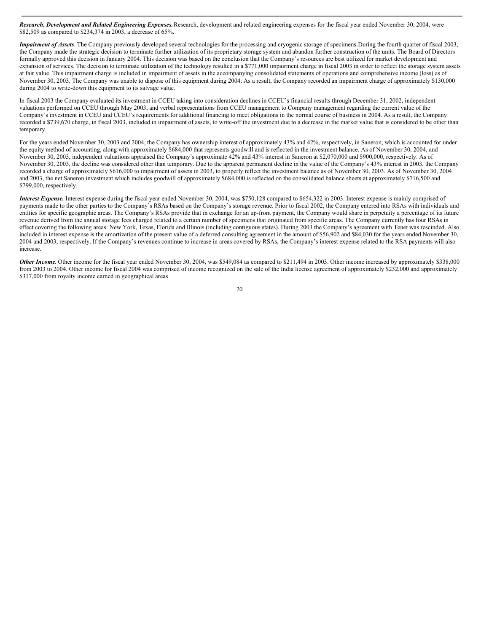*Research, Development and Related Engineering Expenses.*Research, development and related engineering expenses for the fiscal year ended November 30, 2004, were \$82,509 as compared to \$234,374 in 2003, a decrease of 65%.

*Impairment of Assets*. The Company previously developed several technologies for the processing and cryogenic storage of specimens.During the fourth quarter of fiscal 2003, the Company made the strategic decision to terminate further utilization of its proprietary storage system and abandon further construction of the units. The Board of Directors formally approved this decision in January 2004. This decision was based on the conclusion that the Company's resources are best utilized for market development and expansion of services. The decision to terminate utilization of the technology resulted in a \$771,000 impairment charge in fiscal 2003 in order to reflect the storage system assets at fair value. This impairment charge is included in impairment of assets in the accompanying consolidated statements of operations and comprehensive income (loss) as of November 30, 2003. The Company was unable to dispose of this equipment during 2004. As a result, the Company recorded an impairment charge of approximately \$130,000 during 2004 to write-down this equipment to its salvage value.

In fiscal 2003 the Company evaluated its investment in CCEU taking into consideration declines in CCEU's financial results through December 31, 2002, independent valuations performed on CCEU through May 2003, and verbal representations from CCEU management to Company management regarding the current value of the Company's investment in CCEU and CCEU's requirements for additional financing to meet obligations in the normal course of business in 2004. As a result, the Company recorded a \$739,670 charge, in fiscal 2003, included in impairment of assets, to write-off the investment due to a decrease in the market value that is considered to be other than temporary.

For the years ended November 30, 2003 and 2004, the Company has ownership interest of approximately 43% and 42%, respectively, in Saneron, which is accounted for under the equity method of accounting, along with approximately \$684,000 that represents goodwill and is reflected in the investment balance. As of November 30, 2004, and November 30, 2003, independent valuations appraised the Company's approximate 42% and 43% interest in Saneron at \$2,070,000 and \$900,000, respectively. As of November 30, 2003, the decline was considered other than temporary. Due to the apparent permanent decline in the value of the Company's 43% interest in 2003, the Company recorded a charge of approximately \$616,000 to impairment of assets in 2003, to properly reflect the investment balance as of November 30, 2003. As of November 30, 2004 and 2003, the net Saneron investment which includes goodwill of approximately \$684,000 is reflected on the consolidated balance sheets at approximately \$716,500 and \$799,000, respectively.

*Interest Expense.* Interest expense during the fiscal year ended November 30, 2004, was \$750,128 compared to \$654,322 in 2003. Interest expense is mainly comprised of payments made to the other parties to the Company's RSAs based on the Company's storage revenue. Prior to fiscal 2002, the Company entered into RSAs with individuals and entities for specific geographic areas. The Company's RSAs provide that in exchange for an up-front payment, the Company would share in perpetuity a percentage of its future revenue derived from the annual storage fees charged related to a certain number of specimens that originated from specific areas. The Company currently has four RSAs in effect covering the following areas: New York, Texas, Florida and Illinois (including contiguous states). During 2003 the Company's agreement with Tenet was rescinded. Also included in interest expense is the amortization of the present value of a deferred consulting agreement in the amount of \$56,902 and \$84,030 for the years ended November 30, 2004 and 2003, respectively. If the Company's revenues continue to increase in areas covered by RSAs, the Company's interest expense related to the RSA payments will also increase.

*Other Income*. Other income for the fiscal year ended November 30, 2004, was \$549,084 as compared to \$211,494 in 2003. Other income increased by approximately \$338,000 from 2003 to 2004. Other income for fiscal 2004 was comprised of income recognized on the sale of the India license agreement of approximately \$232,000 and approximately \$317,000 from royalty income earned in geographical areas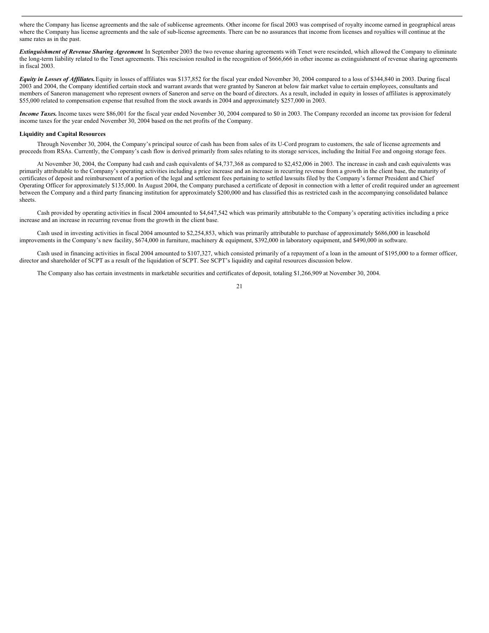where the Company has license agreements and the sale of sublicense agreements. Other income for fiscal 2003 was comprised of royalty income earned in geographical areas where the Company has license agreements and the sale of sub-license agreements. There can be no assurances that income from licenses and royalties will continue at the same rates as in the past.

*Extinguishment of Revenue Sharing Agreement*. In September 2003 the two revenue sharing agreements with Tenet were rescinded, which allowed the Company to eliminate the long-term liability related to the Tenet agreements. This rescission resulted in the recognition of \$666,666 in other income as extinguishment of revenue sharing agreements in fiscal 2003.

*Equity in Losses of Af iliates.*Equity in losses of affiliates was \$137,852 for the fiscal year ended November 30, 2004 compared to a loss of \$344,840 in 2003. During fiscal 2003 and 2004, the Company identified certain stock and warrant awards that were granted by Saneron at below fair market value to certain employees, consultants and members of Saneron management who represent owners of Saneron and serve on the board of directors. As a result, included in equity in losses of affiliates is approximately \$55,000 related to compensation expense that resulted from the stock awards in 2004 and approximately \$257,000 in 2003.

*Income Taxes.* Income taxes were \$86,001 for the fiscal year ended November 30, 2004 compared to \$0 in 2003. The Company recorded an income tax provision for federal income taxes for the year ended November 30, 2004 based on the net profits of the Company.

#### **Liquidity and Capital Resources**

Through November 30, 2004, the Company's principal source of cash has been from sales of its U-Cord program to customers, the sale of license agreements and proceeds from RSAs. Currently, the Company's cash flow is derived primarily from sales relating to its storage services, including the Initial Fee and ongoing storage fees.

At November 30, 2004, the Company had cash and cash equivalents of \$4,737,368 as compared to \$2,452,006 in 2003. The increase in cash and cash equivalents was primarily attributable to the Company's operating activities including a price increase and an increase in recurring revenue from a growth in the client base, the maturity of certificates of deposit and reimbursement of a portion of the legal and settlement fees pertaining to settled lawsuits filed by the Company's former President and Chief Operating Officer for approximately \$135,000. In August 2004, the Company purchased a certificate of deposit in connection with a letter of credit required under an agreement between the Company and a third party financing institution for approximately \$200,000 and has classified this as restricted cash in the accompanying consolidated balance sheets.

Cash provided by operating activities in fiscal 2004 amounted to \$4,647,542 which was primarily attributable to the Company's operating activities including a price increase and an increase in recurring revenue from the growth in the client base.

Cash used in investing activities in fiscal 2004 amounted to \$2,254,853, which was primarily attributable to purchase of approximately \$686,000 in leasehold improvements in the Company's new facility, \$674,000 in furniture, machinery & equipment, \$392,000 in laboratory equipment, and \$490,000 in software.

Cash used in financing activities in fiscal 2004 amounted to \$107,327, which consisted primarily of a repayment of a loan in the amount of \$195,000 to a former officer, director and shareholder of SCPT as a result of the liquidation of SCPT. See SCPT's liquidity and capital resources discussion below.

The Company also has certain investments in marketable securities and certificates of deposit, totaling \$1,266,909 at November 30, 2004.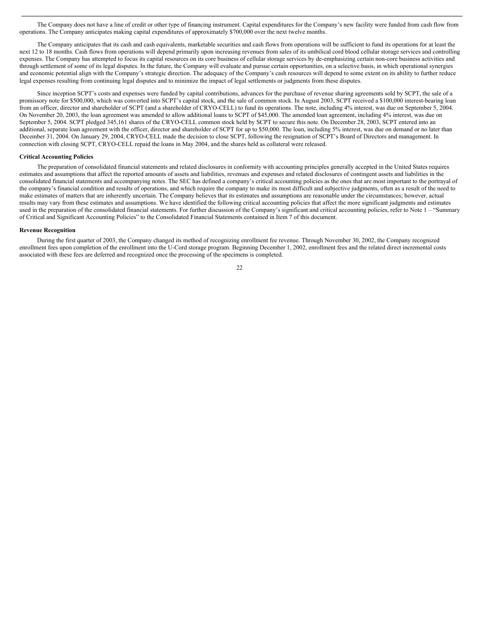The Company does not have a line of credit or other type of financing instrument. Capital expenditures for the Company's new facility were funded from cash flow from operations. The Company anticipates making capital expenditures of approximately \$700,000 over the next twelve months.

The Company anticipates that its cash and cash equivalents, marketable securities and cash flows from operations will be sufficient to fund its operations for at least the next 12 to 18 months. Cash flows from operations will depend primarily upon increasing revenues from sales of its umbilical cord blood cellular storage services and controlling expenses. The Company has attempted to focus its capital resources on its core business of cellular storage services by de-emphasizing certain non-core business activities and through settlement of some of its legal disputes. In the future, the Company will evaluate and pursue certain opportunities, on a selective basis, in which operational synergies and economic potential align with the Company's strategic direction. The adequacy of the Company's cash resources will depend to some extent on its ability to further reduce legal expenses resulting from continuing legal disputes and to minimize the impact of legal settlements or judgments from these disputes.

Since inception SCPT's costs and expenses were funded by capital contributions, advances for the purchase of revenue sharing agreements sold by SCPT, the sale of a promissory note for \$500,000, which was converted into SCPT's capital stock, and the sale of common stock. In August 2003, SCPT received a \$100,000 interest-bearing loan from an officer, director and shareholder of SCPT (and a shareholder of CRYO-CELL) to fund its operations. The note, including 4% interest, was due on September 5, 2004. On November 20, 2003, the loan agreement was amended to allow additional loans to SCPT of \$45,000. The amended loan agreement, including 4% interest, was due on September 5, 2004. SCPT pledged 345,161 shares of the CRYO-CELL common stock held by SCPT to secure this note. On December 28, 2003, SCPT entered into an additional, separate loan agreement with the officer, director and shareholder of SCPT for up to \$50,000. The loan, including 5% interest, was due on demand or no later than December 31, 2004. On January 29, 2004, CRYO-CELL made the decision to close SCPT, following the resignation of SCPT's Board of Directors and management. In connection with closing SCPT, CRYO-CELL repaid the loans in May 2004, and the shares held as collateral were released.

# **Critical Accounting Policies**

The preparation of consolidated financial statements and related disclosures in conformity with accounting principles generally accepted in the United States requires estimates and assumptions that affect the reported amounts of assets and liabilities, revenues and expenses and related disclosures of contingent assets and liabilities in the consolidated financial statements and accompanying notes. The SEC has defined a company's critical accounting policies as the ones that are most important to the portrayal of the company's financial condition and results of operations, and which require the company to make its most difficult and subjective judgments, often as a result of the need to make estimates of matters that are inherently uncertain. The Company believes that its estimates and assumptions are reasonable under the circumstances; however, actual results may vary from these estimates and assumptions. We have identified the following critical accounting policies that affect the more significant judgments and estimates used in the preparation of the consolidated financial statements. For further discussion of the Company's significant and critical accounting policies, refer to Note 1 - "Summary of Critical and Significant Accounting Policies" to the Consolidated Financial Statements contained in Item 7 of this document.

#### **Revenue Recognition**

During the first quarter of 2003, the Company changed its method of recognizing enrollment fee revenue. Through November 30, 2002, the Company recognized enrollment fees upon completion of the enrollment into the U-Cord storage program. Beginning December 1, 2002, enrollment fees and the related direct incremental costs associated with these fees are deferred and recognized once the processing of the specimens is completed.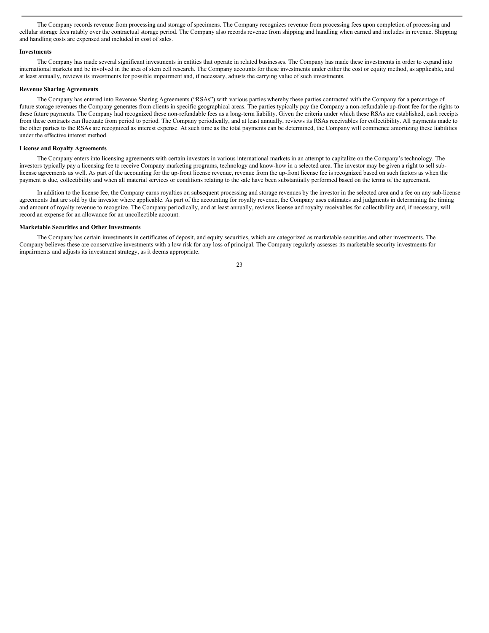The Company records revenue from processing and storage of specimens. The Company recognizes revenue from processing fees upon completion of processing and cellular storage fees ratably over the contractual storage period. The Company also records revenue from shipping and handling when earned and includes in revenue. Shipping and handling costs are expensed and included in cost of sales.

#### **Investments**

The Company has made several significant investments in entities that operate in related businesses. The Company has made these investments in order to expand into international markets and be involved in the area of stem cell research. The Company accounts for these investments under either the cost or equity method, as applicable, and at least annually, reviews its investments for possible impairment and, if necessary, adjusts the carrying value of such investments.

#### **Revenue Sharing Agreements**

The Company has entered into Revenue Sharing Agreements ("RSAs") with various parties whereby these parties contracted with the Company for a percentage of future storage revenues the Company generates from clients in specific geographical areas. The parties typically pay the Company a non-refundable up-front fee for the rights to these future payments. The Company had recognized these non-refundable fees as a long-term liability. Given the criteria under which these RSAs are established, cash receipts from these contracts can fluctuate from period to period. The Company periodically, and at least annually, reviews its RSAs receivables for collectibility. All payments made to the other parties to the RSAs are recognized as interest expense. At such time as the total payments can be determined, the Company will commence amortizing these liabilities under the effective interest method.

#### **License and Royalty Agreements**

The Company enters into licensing agreements with certain investors in various international markets in an attempt to capitalize on the Company's technology. The investors typically pay a licensing fee to receive Company marketing programs, technology and know-how in a selected area. The investor may be given a right to sell sublicense agreements as well. As part of the accounting for the up-front license revenue, revenue from the up-front license fee is recognized based on such factors as when the payment is due, collectibility and when all material services or conditions relating to the sale have been substantially performed based on the terms of the agreement.

In addition to the license fee, the Company earns royalties on subsequent processing and storage revenues by the investor in the selected area and a fee on any sub-license agreements that are sold by the investor where applicable. As part of the accounting for royalty revenue, the Company uses estimates and judgments in determining the timing and amount of royalty revenue to recognize. The Company periodically, and at least annually, reviews license and royalty receivables for collectibility and, if necessary, will record an expense for an allowance for an uncollectible account.

## **Marketable Securities and Other Investments**

The Company has certain investments in certificates of deposit, and equity securities, which are categorized as marketable securities and other investments. The Company believes these are conservative investments with a low risk for any loss of principal. The Company regularly assesses its marketable security investments for impairments and adjusts its investment strategy, as it deems appropriate.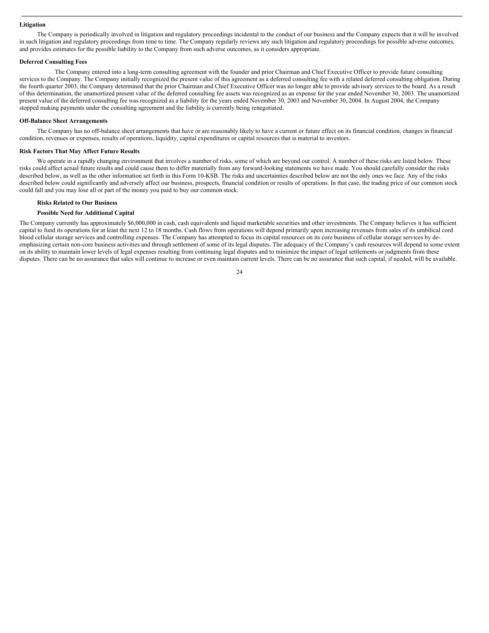#### **Litigation**

The Company is periodically involved in litigation and regulatory proceedings incidental to the conduct of our business and the Company expects that it will be involved in such litigation and regulatory proceedings from time to time. The Company regularly reviews any such litigation and regulatory proceedings for possible adverse outcomes, and provides estimates for the possible liability to the Company from such adverse outcomes, as it considers appropriate.

# **Deferred Consulting Fees**

The Company entered into a long-term consulting agreement with the founder and prior Chairman and Chief Executive Officer to provide future consulting services to the Company. The Company initially recognized the present value of this agreement as a deferred consulting fee with a related deferred consulting obligation. During the fourth quarter 2003, the Company determined that the prior Chairman and Chief Executive Officer was no longer able to provide advisory services to the board. As a result of this determination, the unamortized present value of the deferred consulting fee assets was recognized as an expense for the year ended November 30, 2003. The unamortized present value of the deferred consulting fee was recognized as a liability for the years ended November 30, 2003 and November 30, 2004. In August 2004, the Company stopped making payments under the consulting agreement and the liability is currently being renegotiated.

#### **Off-Balance Sheet Arrangements**

The Company has no off-balance sheet arrangements that have or are reasonably likely to have a current or future effect on its financial condition, changes in financial condition, revenues or expenses, results of operations, liquidity, capital expenditures or capital resources that is material to investors.

#### **Risk Factors That May Affect Future Results**

We operate in a rapidly changing environment that involves a number of risks, some of which are beyond our control. A number of these risks are listed below. These risks could affect actual future results and could cause them to differ materially from any forward-looking statements we have made. You should carefully consider the risks described below, as well as the other information set forth in this Form 10-KSB. The risks and uncertainties described below are not the only ones we face. Any of the risks described below could significantly and adversely affect our business, prospects, financial condition or results of operations. In that case, the trading price of our common stock could fall and you may lose all or part of the money you paid to buy our common stock.

## **Risks Related to Our Business**

#### **Possible Need for Additional Capital**

The Company currently has approximately \$6,000,000 in cash, cash equivalents and liquid marketable securities and other investments. The Company believes it has sufficient capital to fund its operations for at least the next 12 to 18 months. Cash flows from operations will depend primarily upon increasing revenues from sales of its umbilical cord blood cellular storage services and controlling expenses. The Company has attempted to focus its capital resources on its core business of cellular storage services by deemphasizing certain non-core business activities and through settlement of some of its legal disputes. The adequacy of the Company's cash resources will depend to some extent on its ability to maintain lower levels of legal expenses resulting from continuing legal disputes and to minimize the impact of legal settlements or judgments from these disputes. There can be no assurance that sales will continue to increase or even maintain current levels. There can be no assurance that such capital, if needed, will be available.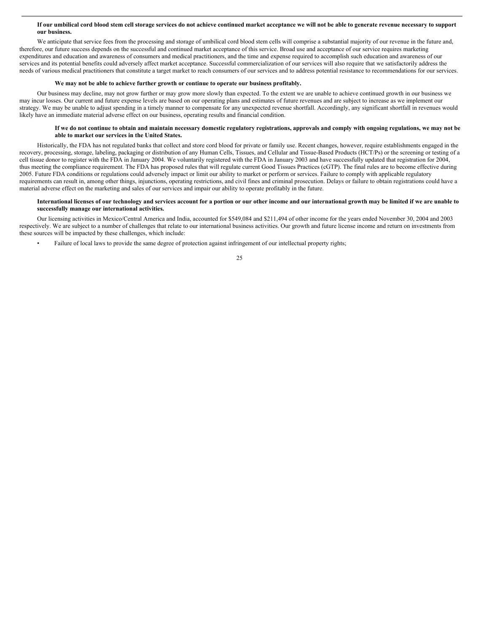#### If our umbilical cord blood stem cell storage services do not achieve continued market acceptance we will not be able to generate revenue necessary to support **our business.**

We anticipate that service fees from the processing and storage of umbilical cord blood stem cells will comprise a substantial majority of our revenue in the future and, therefore, our future success depends on the successful and continued market acceptance of this service. Broad use and acceptance of our service requires marketing expenditures and education and awareness of consumers and medical practitioners, and the time and expense required to accomplish such education and awareness of our services and its potential benefits could adversely affect market acceptance. Successful commercialization of our services will also require that we satisfactorily address the needs of various medical practitioners that constitute a target market to reach consumers of our services and to address potential resistance to recommendations for our services.

#### **We may not be able to achieve further growth or continue to operate our business profitably.**

Our business may decline, may not grow further or may grow more slowly than expected. To the extent we are unable to achieve continued growth in our business we may incur losses. Our current and future expense levels are based on our operating plans and estimates of future revenues and are subject to increase as we implement our strategy. We may be unable to adjust spending in a timely manner to compensate for any unexpected revenue shortfall. Accordingly, any significant shortfall in revenues would likely have an immediate material adverse effect on our business, operating results and financial condition.

#### If we do not continue to obtain and maintain necessary domestic regulatory registrations, approvals and comply with ongoing regulations, we may not be **able to market our services in the United States.**

Historically, the FDA has not regulated banks that collect and store cord blood for private or family use. Recent changes, however, require establishments engaged in the recovery, processing, storage, labeling, packaging or distribution of any Human Cells, Tissues, and Cellular and Tissue-Based Products (HCT/Ps) or the screening or testing of a cell tissue donor to register with the FDA in January 2004. We voluntarily registered with the FDA in January 2003 and have successfully updated that registration for 2004, thus meeting the compliance requirement. The FDA has proposed rules that will regulate current Good Tissues Practices (cGTP). The final rules are to become effective during 2005. Future FDA conditions or regulations could adversely impact or limit our ability to market or perform or services. Failure to comply with applicable regulatory requirements can result in, among other things, injunctions, operating restrictions, and civil fines and criminal prosecution. Delays or failure to obtain registrations could have a material adverse effect on the marketing and sales of our services and impair our ability to operate profitably in the future.

#### International licenses of our technology and services account for a portion or our other income and our international growth may be limited if we are unable to **successfully manage our international activities.**

Our licensing activities in Mexico/Central America and India, accounted for \$549,084 and \$211,494 of other income for the years ended November 30, 2004 and 2003 respectively. We are subject to a number of challenges that relate to our international business activities. Our growth and future license income and return on investments from these sources will be impacted by these challenges, which include:

• Failure of local laws to provide the same degree of protection against infringement of our intellectual property rights;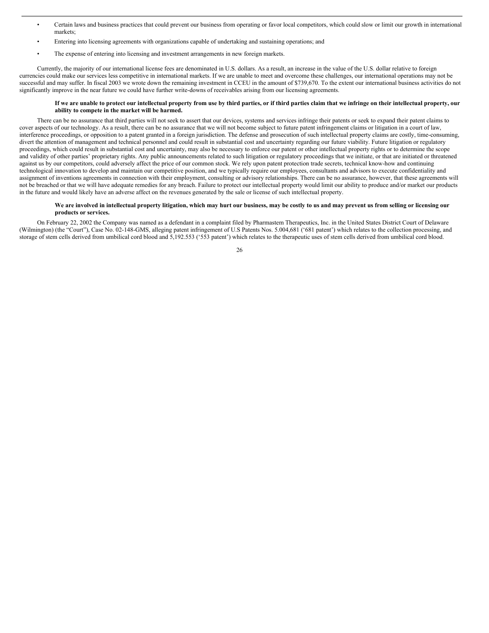- Certain laws and business practices that could prevent our business from operating or favor local competitors, which could slow or limit our growth in international markets;
- Entering into licensing agreements with organizations capable of undertaking and sustaining operations; and
- The expense of entering into licensing and investment arrangements in new foreign markets.

Currently, the majority of our international license fees are denominated in U.S. dollars. As a result, an increase in the value of the U.S. dollar relative to foreign currencies could make our services less competitive in international markets. If we are unable to meet and overcome these challenges, our international operations may not be successful and may suffer. In fiscal 2003 we wrote down the remaining investment in CCEU in the amount of \$739,670. To the extent our international business activities do not significantly improve in the near future we could have further write-downs of receivables arising from our licensing agreements.

# If we are unable to protect our intellectual property from use by third parties, or if third parties claim that we infringe on their intellectual property, our **ability to compete in the market will be harmed.**

There can be no assurance that third parties will not seek to assert that our devices, systems and services infringe their patents or seek to expand their patent claims to cover aspects of our technology. As a result, there can be no assurance that we will not become subject to future patent infringement claims or litigation in a court of law, interference proceedings, or opposition to a patent granted in a foreign jurisdiction. The defense and prosecution of such intellectual property claims are costly, time-consuming, divert the attention of management and technical personnel and could result in substantial cost and uncertainty regarding our future viability. Future litigation or regulatory proceedings, which could result in substantial cost and uncertainty, may also be necessary to enforce our patent or other intellectual property rights or to determine the scope and validity of other parties' proprietary rights. Any public announcements related to such litigation or regulatory proceedings that we initiate, or that are initiated or threatened against us by our competitors, could adversely affect the price of our common stock. We rely upon patent protection trade secrets, technical know-how and continuing technological innovation to develop and maintain our competitive position, and we typically require our employees, consultants and advisors to execute confidentiality and assignment of inventions agreements in connection with their employment, consulting or advisory relationships. There can be no assurance, however, that these agreements will not be breached or that we will have adequate remedies for any breach. Failure to protect our intellectual property would limit our ability to produce and/or market our products in the future and would likely have an adverse affect on the revenues generated by the sale or license of such intellectual property.

# We are involved in intellectual property litigation, which may hurt our business, may be costly to us and may prevent us from selling or licensing our **products or services.**

On February 22, 2002 the Company was named as a defendant in a complaint filed by Pharmastem Therapeutics, Inc. in the United States District Court of Delaware (Wilmington) (the "Court"), Case No. 02-148-GMS, alleging patent infringement of U.S Patents Nos. 5.004,681 ('681 patent') which relates to the collection processing, and storage of stem cells derived from umbilical cord blood and 5,192.553 ('553 patent') which relates to the therapeutic uses of stem cells derived from umbilical cord blood.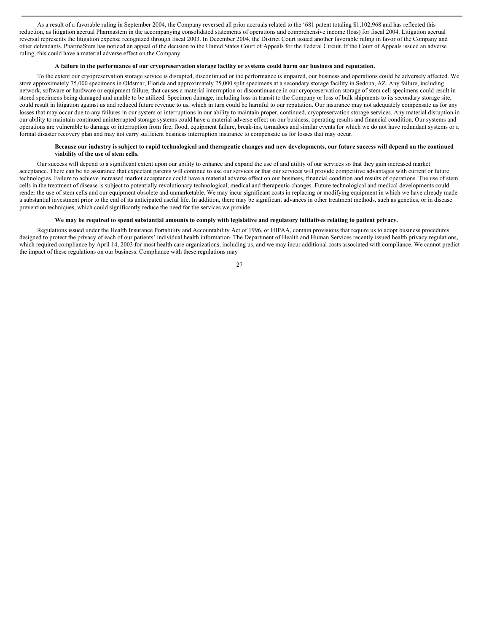As a result of a favorable ruling in September 2004, the Company reversed all prior accruals related to the '681 patent totaling \$1,102,968 and has reflected this reduction, as litigation accrual Pharmastem in the accompanying consolidated statements of operations and comprehensive income (loss) for fiscal 2004. Litigation accrual reversal represents the litigation expense recognized through fiscal 2003. In December 2004, the District Court issued another favorable ruling in favor of the Company and other defendants. PharmaStem has noticed an appeal of the decision to the United States Court of Appeals for the Federal Circuit. If the Court of Appeals issued an adverse ruling, this could have a material adverse effect on the Company.

# A failure in the performance of our cryopreservation storage facility or systems could harm our business and reputation.

To the extent our cryopreservation storage service is disrupted, discontinued or the performance is impaired, our business and operations could be adversely affected. We store approximately 75,000 specimens in Oldsmar, Florida and approximately 25,000 split specimens at a secondary storage facility in Sedona, AZ. Any failure, including network, software or hardware or equipment failure, that causes a material interruption or discontinuance in our cryopreservation storage of stem cell specimens could result in stored specimens being damaged and unable to be utilized. Specimen damage, including loss in transit to the Company or loss of bulk shipments to its secondary storage site, could result in litigation against us and reduced future revenue to us, which in turn could be harmful to our reputation. Our insurance may not adequately compensate us for any losses that may occur due to any failures in our system or interruptions in our ability to maintain proper, continued, cryopreservation storage services. Any material disruption in our ability to maintain continued uninterrupted storage systems could have a material adverse effect on our business, operating results and financial condition. Our systems and operations are vulnerable to damage or interruption from fire, flood, equipment failure, break-ins, tornadoes and similar events for which we do not have redundant systems or a formal disaster recovery plan and may not carry sufficient business interruption insurance to compensate us for losses that may occur.

#### Because our industry is subject to rapid technological and therapeutic changes and new developments, our future success will depend on the continued **viability of the use of stem cells.**

Our success will depend to a significant extent upon our ability to enhance and expand the use of and utility of our services so that they gain increased market acceptance. There can be no assurance that expectant parents will continue to use our services or that our services will provide competitive advantages with current or future technologies. Failure to achieve increased market acceptance could have a material adverse effect on our business, financial condition and results of operations. The use of stem cells in the treatment of disease is subject to potentially revolutionary technological, medical and therapeutic changes. Future technological and medical developments could render the use of stem cells and our equipment obsolete and unmarketable. We may incur significant costs in replacing or modifying equipment in which we have already made a substantial investment prior to the end of its anticipated useful life. In addition, there may be significant advances in other treatment methods, such as genetics, or in disease prevention techniques, which could significantly reduce the need for the services we provide.

#### We may be required to spend substantial amounts to comply with legislative and regulatory initiatives relating to patient privacy.

Regulations issued under the Health Insurance Portability and Accountability Act of 1996, or HIPAA, contain provisions that require us to adopt business procedures designed to protect the privacy of each of our patients' individual health information. The Department of Health and Human Services recently issued health privacy regulations, which required compliance by April 14, 2003 for most health care organizations, including us, and we may incur additional costs associated with compliance. We cannot predict the impact of these regulations on our business. Compliance with these regulations may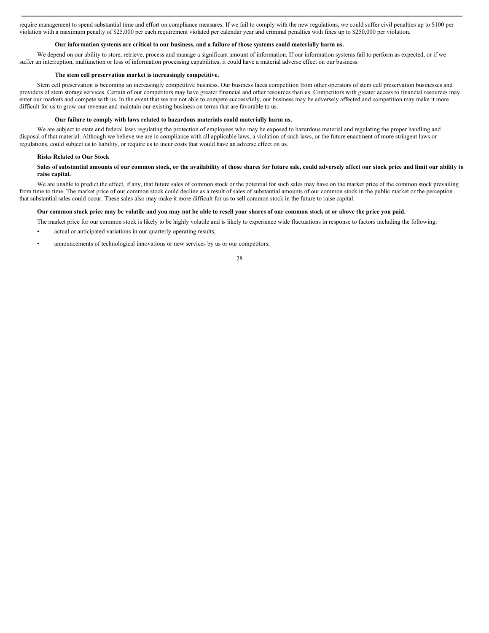require management to spend substantial time and effort on compliance measures. If we fail to comply with the new regulations, we could suffer civil penalties up to \$100 per violation with a maximum penalty of \$25,000 per each requirement violated per calendar year and criminal penalties with fines up to \$250,000 per violation.

# Our information systems are critical to our business, and a failure of those systems could materially harm us.

We depend on our ability to store, retrieve, process and manage a significant amount of information. If our information systems fail to perform as expected, or if we suffer an interruption, malfunction or loss of information processing capabilities, it could have a material adverse effect on our business.

# **The stem cell preservation market is increasingly competitive.**

Stem cell preservation is becoming an increasingly competitive business. Our business faces competition from other operators of stem cell preservation businesses and providers of stem storage services. Certain of our competitors may have greater financial and other resources than us. Competitors with greater access to financial resources may enter our markets and compete with us. In the event that we are not able to compete successfully, our business may be adversely affected and competition may make it more difficult for us to grow our revenue and maintain our existing business on terms that are favorable to us.

#### **Our failure to comply with laws related to hazardous materials could materially harm us.**

We are subject to state and federal laws regulating the protection of employees who may be exposed to hazardous material and regulating the proper handling and disposal of that material. Although we believe we are in compliance with all applicable laws, a violation of such laws, or the future enactment of more stringent laws or regulations, could subject us to liability, or require us to incur costs that would have an adverse effect on us.

# **Risks Related to Our Stock**

# Sales of substantial amounts of our common stock, or the availability of those shares for future sale, could adversely affect our stock price and limit our ability to **raise capital.**

We are unable to predict the effect, if any, that future sales of common stock or the potential for such sales may have on the market price of the common stock prevailing from time to time. The market price of our common stock could decline as a result of sales of substantial amounts of our common stock in the public market or the perception that substantial sales could occur. These sales also may make it more difficult for us to sell common stock in the future to raise capital.

# Our common stock price may be volatile and you may not be able to resell your shares of our common stock at or above the price you paid.

- The market price for our common stock is likely to be highly volatile and is likely to experience wide fluctuations in response to factors including the following:
- actual or anticipated variations in our quarterly operating results;
- announcements of technological innovations or new services by us or our competitors;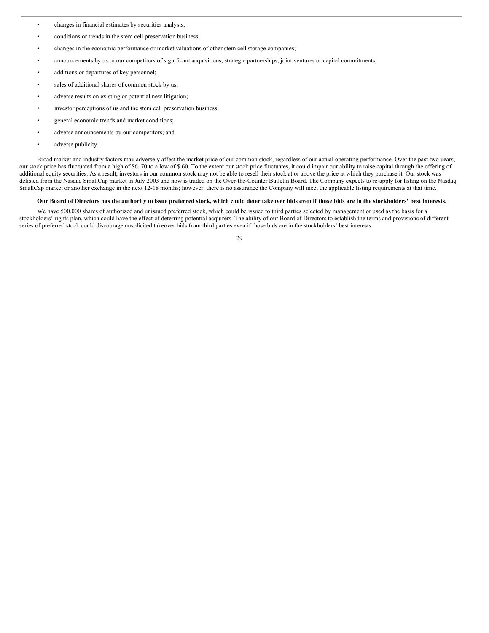- changes in financial estimates by securities analysts;
- conditions or trends in the stem cell preservation business;
- changes in the economic performance or market valuations of other stem cell storage companies;
- announcements by us or our competitors of significant acquisitions, strategic partnerships, joint ventures or capital commitments;
- additions or departures of key personnel;
- sales of additional shares of common stock by us;
- adverse results on existing or potential new litigation;
- investor perceptions of us and the stem cell preservation business;
- general economic trends and market conditions;
- adverse announcements by our competitors; and
- adverse publicity.

Broad market and industry factors may adversely affect the market price of our common stock, regardless of our actual operating performance. Over the past two years, our stock price has fluctuated from a high of \$6. 70 to a low of \$.60. To the extent our stock price fluctuates, it could impair our ability to raise capital through the offering of additional equity securities. As a result, investors in our common stock may not be able to resell their stock at or above the price at which they purchase it. Our stock was delisted from the Nasdaq SmallCap market in July 2003 and now is traded on the Over-the-Counter Bulletin Board. The Company expects to re-apply for listing on the Nasdaq SmallCap market or another exchange in the next 12-18 months; however, there is no assurance the Company will meet the applicable listing requirements at that time.

# Our Board of Directors has the authority to issue preferred stock, which could deter takeover bids even if those bids are in the stockholders' best interests.

We have 500,000 shares of authorized and unissued preferred stock, which could be issued to third parties selected by management or used as the basis for a stockholders' rights plan, which could have the effect of deterring potential acquirers. The ability of our Board of Directors to establish the terms and provisions of different series of preferred stock could discourage unsolicited takeover bids from third parties even if those bids are in the stockholders' best interests.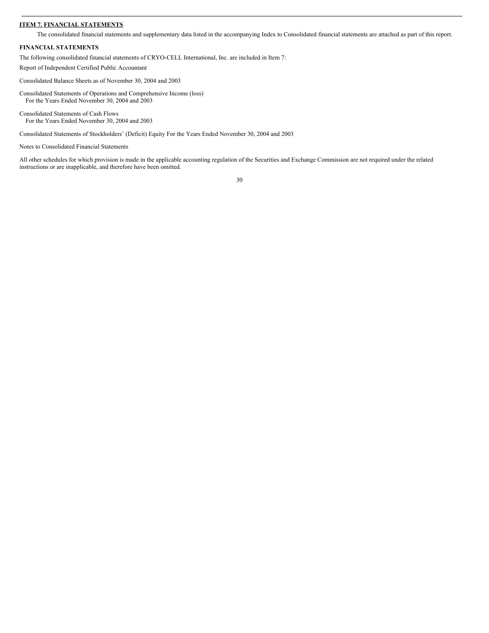# **ITEM 7. FINANCIAL STATEMENTS**

The consolidated financial statements and supplementary data listed in the accompanying Index to Consolidated financial statements are attached as part of this report.

# **FINANCIAL STATEMENTS**

The following consolidated financial statements of CRYO-CELL International, Inc. are included in Item 7: Report of Independent Certified Public Accountant

Consolidated Balance Sheets as of November 30, 2004 and 2003

Consolidated Statements of Operations and Comprehensive Income (loss) For the Years Ended November 30, 2004 and 2003

Consolidated Statements of Cash Flows For the Years Ended November 30, 2004 and 2003

Consolidated Statements of Stockholders' (Deficit) Equity For the Years Ended November 30, 2004 and 2003

Notes to Consolidated Financial Statements

All other schedules for which provision is made in the applicable accounting regulation of the Securities and Exchange Commission are not required under the related instructions or are inapplicable, and therefore have been omitted.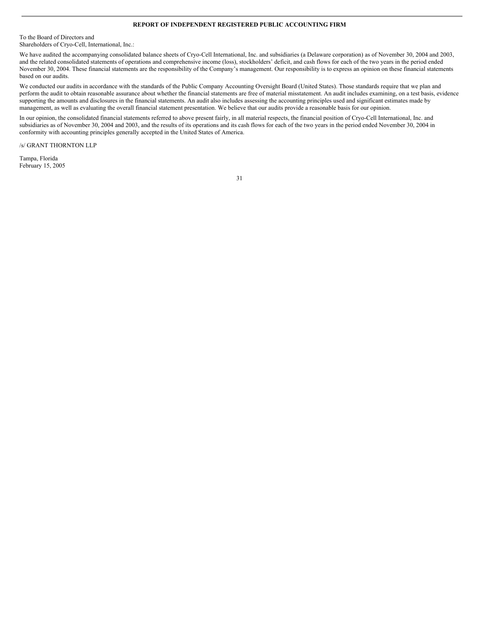# **REPORT OF INDEPENDENT REGISTERED PUBLIC ACCOUNTING FIRM**

To the Board of Directors and Shareholders of Cryo-Cell, International, Inc.:

We have audited the accompanying consolidated balance sheets of Cryo-Cell International, Inc. and subsidiaries (a Delaware corporation) as of November 30, 2004 and 2003, and the related consolidated statements of operations and comprehensive income (loss), stockholders' deficit, and cash flows for each of the two years in the period ended November 30, 2004. These financial statements are the responsibility of the Company's management. Our responsibility is to express an opinion on these financial statements based on our audits.

We conducted our audits in accordance with the standards of the Public Company Accounting Oversight Board (United States). Those standards require that we plan and perform the audit to obtain reasonable assurance about whether the financial statements are free of material misstatement. An audit includes examining, on a test basis, evidence supporting the amounts and disclosures in the financial statements. An audit also includes assessing the accounting principles used and significant estimates made by management, as well as evaluating the overall financial statement presentation. We believe that our audits provide a reasonable basis for our opinion.

In our opinion, the consolidated financial statements referred to above present fairly, in all material respects, the financial position of Cryo-Cell International, Inc. and subsidiaries as of November 30, 2004 and 2003, and the results of its operations and its cash flows for each of the two years in the period ended November 30, 2004 in conformity with accounting principles generally accepted in the United States of America.

/s/ GRANT THORNTON LLP

Tampa, Florida February 15, 2005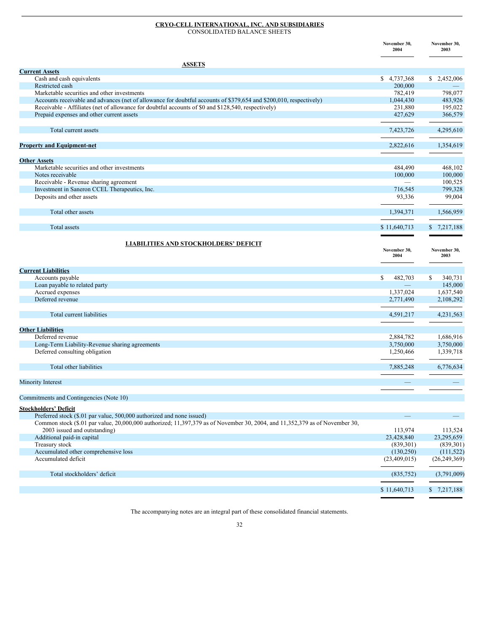#### **CRYO-CELL INTERNATIONAL, INC. AND SUBSIDIARIES** CONSOLIDATED BALANCE SHEETS

|                                                                                                                                                             | November 30,<br>2004 | November 30,<br>2003 |
|-------------------------------------------------------------------------------------------------------------------------------------------------------------|----------------------|----------------------|
| <b>ASSETS</b>                                                                                                                                               |                      |                      |
| <b>Current Assets</b>                                                                                                                                       |                      |                      |
| Cash and cash equivalents                                                                                                                                   | \$4,737,368          | \$2,452,006          |
| Restricted cash                                                                                                                                             | 200,000              |                      |
| Marketable securities and other investments                                                                                                                 | 782,419              | 798,077              |
| Accounts receivable and advances (net of allowance for doubtful accounts of \$379,654 and \$200,010, respectively)                                          | 1,044,430            | 483,926              |
| Receivable - Affiliates (net of allowance for doubtful accounts of \$0 and \$128,540, respectively)                                                         | 231,880              | 195,022              |
| Prepaid expenses and other current assets                                                                                                                   | 427,629              | 366,579              |
| Total current assets                                                                                                                                        | 7,423,726            | 4,295,610            |
| <b>Property and Equipment-net</b>                                                                                                                           | 2,822,616            | 1,354,619            |
|                                                                                                                                                             |                      |                      |
| <b>Other Assets</b>                                                                                                                                         |                      |                      |
| Marketable securities and other investments                                                                                                                 | 484,490              | 468,102              |
| Notes receivable                                                                                                                                            | 100,000              | 100,000              |
| Receivable - Revenue sharing agreement                                                                                                                      |                      | 100,525              |
| Investment in Saneron CCEL Therapeutics, Inc.                                                                                                               | 716,545              | 799,328              |
| Deposits and other assets                                                                                                                                   | 93,336               | 99,004               |
| Total other assets                                                                                                                                          | 1,394,371            | 1.566.959            |
| <b>Total assets</b>                                                                                                                                         | \$11,640,713         | \$7,217,188          |
| <b>LIABILITIES AND STOCKHOLDERS' DEFICIT</b>                                                                                                                | November 30,<br>2004 | November 30,<br>2003 |
| <b>Current Liabilities</b>                                                                                                                                  |                      |                      |
| Accounts payable                                                                                                                                            | \$<br>482,703        | 340,731<br>S.        |
| Loan payable to related party                                                                                                                               |                      | 145,000              |
| Accrued expenses                                                                                                                                            | 1,337,024            | 1,637,540            |
| Deferred revenue                                                                                                                                            | 2,771,490            | 2,108,292            |
| Total current liabilities                                                                                                                                   | 4,591,217            | 4,231,563            |
| <b>Other Liabilities</b>                                                                                                                                    |                      |                      |
| Deferred revenue                                                                                                                                            | 2,884,782            | 1,686,916            |
| Long-Term Liability-Revenue sharing agreements                                                                                                              | 3,750,000            | 3,750,000            |
| Deferred consulting obligation                                                                                                                              | 1,250,466            | 1,339,718            |
| Total other liabilities                                                                                                                                     | 7,885,248            | 6.776.634            |
|                                                                                                                                                             |                      |                      |
| <b>Minority Interest</b>                                                                                                                                    |                      |                      |
| Commitments and Contingencies (Note 10)                                                                                                                     |                      |                      |
| <b>Stockholders' Deficit</b><br>Preferred stock (\$.01 par value, 500,000 authorized and none issued)                                                       |                      |                      |
| Common stock (\$.01 par value, 20,000,000 authorized; 11,397,379 as of November 30, 2004, and 11,352,379 as of November 30,<br>2003 issued and outstanding) | 113,974              | 113,524              |
| Additional paid-in capital                                                                                                                                  | 23,428,840           | 23,295,659           |
| Treasury stock                                                                                                                                              | (839, 301)           | (839, 301)           |
| Accumulated other comprehensive loss                                                                                                                        | (130, 250)           | (111, 522)           |
| Accumulated deficit                                                                                                                                         | (23,409,015)         | (26, 249, 369)       |
|                                                                                                                                                             |                      |                      |
| Total stockholders' deficit                                                                                                                                 | (835,752)            | (3,791,009)          |
|                                                                                                                                                             | \$11,640,713         | \$7,217,188          |

The accompanying notes are an integral part of these consolidated financial statements.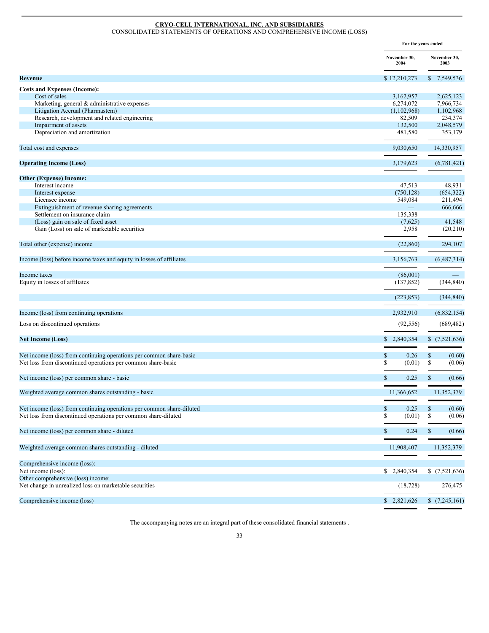# **CRYO-CELL INTERNATIONAL, INC. AND SUBSIDIARIES**

CONSOLIDATED STATEMENTS OF OPERATIONS AND COMPREHENSIVE INCOME (LOSS)

|                                                                       | For the years ended  |                        |
|-----------------------------------------------------------------------|----------------------|------------------------|
|                                                                       | November 30,<br>2004 | November 30,<br>2003   |
| Revenue                                                               | \$12,210,273         | \$7,549,536            |
| <b>Costs and Expenses (Income):</b>                                   |                      |                        |
| Cost of sales                                                         | 3,162,957            | 2,625,123              |
| Marketing, general & administrative expenses                          | 6,274,072            | 7,966,734              |
| Litigation Accrual (Pharmastem)                                       | (1,102,968)          | 1,102,968              |
| Research, development and related engineering                         | 82,509               | 234,374                |
| Impairment of assets                                                  | 132,500              | 2,048,579              |
| Depreciation and amortization                                         | 481,580              | 353,179                |
| Total cost and expenses                                               | 9,030,650            | 14,330,957             |
| <b>Operating Income (Loss)</b>                                        | 3,179,623            | (6,781,421)            |
|                                                                       |                      |                        |
| <b>Other (Expense) Income:</b>                                        |                      |                        |
| Interest income                                                       | 47,513               | 48,931                 |
| Interest expense                                                      | (750, 128)           | (654, 322)             |
| Licensee income                                                       | 549,084              | 211,494                |
| Extinguishment of revenue sharing agreements                          |                      | 666,666                |
| Settlement on insurance claim                                         | 135,338              |                        |
| (Loss) gain on sale of fixed asset                                    | (7,625)              | 41,548                 |
| Gain (Loss) on sale of marketable securities                          | 2,958                | (20,210)               |
| Total other (expense) income                                          | (22, 860)            | 294,107                |
| Income (loss) before income taxes and equity in losses of affiliates  | 3,156,763            | (6,487,314)            |
|                                                                       |                      |                        |
| Income taxes                                                          | (86,001)             |                        |
| Equity in losses of affiliates                                        | (137, 852)           | (344, 840)             |
|                                                                       | (223, 853)           | (344, 840)             |
| Income (loss) from continuing operations                              | 2,932,910            | (6,832,154)            |
| Loss on discontinued operations                                       | (92, 556)            | (689, 482)             |
| <b>Net Income (Loss)</b>                                              | \$2,840,354          | \$(7,521,636)          |
|                                                                       |                      |                        |
| Net income (loss) from continuing operations per common share-basic   | \$<br>0.26           | \$<br>(0.60)           |
| Net loss from discontinued operations per common share-basic          | \$<br>(0.01)         | \$<br>(0.06)           |
| Net income (loss) per common share - basic                            | \$<br>0.25           | $\mathbb{S}$<br>(0.66) |
|                                                                       |                      |                        |
| Weighted average common shares outstanding - basic                    | 11,366,652           | 11,352,379             |
| Net income (loss) from continuing operations per common share-diluted | $\$$<br>0.25         | \$<br>(0.60)           |
| Net loss from discontinued operations per common share-diluted        | \$<br>(0.01)         | \$<br>(0.06)           |
|                                                                       |                      |                        |
| Net income (loss) per common share - diluted                          | \$<br>0.24           | \$<br>(0.66)           |
| Weighted average common shares outstanding - diluted                  | 11,908,407           | 11,352,379             |
|                                                                       |                      |                        |
| Comprehensive income (loss):<br>Net income (loss):                    | \$ 2,840,354         | \$(7,521,636)          |
| Other comprehensive (loss) income:                                    |                      |                        |
| Net change in unrealized loss on marketable securities                | (18, 728)            | 276,475                |
|                                                                       |                      |                        |
| Comprehensive income (loss)                                           | \$2,821,626          | \$(7,245,161)          |

The accompanying notes are an integral part of these consolidated financial statements .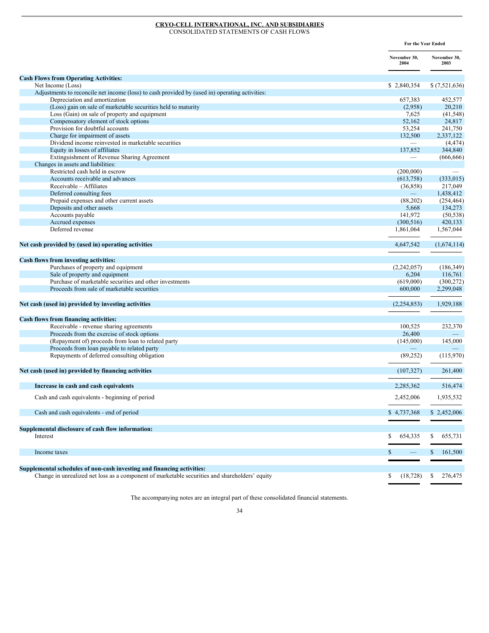**CRYO-CELL INTERNATIONAL, INC. AND SUBSIDIARIES** CONSOLIDATED STATEMENTS OF CASH FLOWS **For the Year Ended November 30, 2004 Cash Flows from Operating Activities:** Net Income (Loss) \$ 2,840,354 \$ (7,521,636) Adjustments to reconcile net income (loss) to cash provided by (used in) operating activities: Depreciation and amortization 657,383 452,577 (Loss) gain on sale of marketable securities held to maturity (2,958) 20,210<br>
Loss (Gain) on sale of property and equipment (2,958) 20,210  $\overline{\text{Loss}}$  (Gain) on sale of property and equipment Compensatory element of stock options 52,162 24,817<br>Provision for doubtful accounts 53,254 241,750 Provision for doubtful accounts 53,254 241,750<br>Charge for impairment of assets 132,500 2,337,122 Charge for impairment of assets Dividend income reinvested in marketable securities (4,474)<br>
Equity in losses of affiliates (4,474)<br>  $\frac{4474}{37,852}$  (4,474) Equity in losses of affiliates Extinguishment of Revenue Sharing Agreement **Extinguishment** of Revenue Sharing Agreement **2006** (666,666) Changes in assets and liabilities: Restricted cash held in escrow (200,000) — (333,015) — (333,015) — (333,015) — (333,015) — (513,758) — (513,758) — (513,758) — (513,758) — (513,758) — (513,758) — (513,758) — (513,758) — (513,758) — (513,758) — (513,758) — Accounts receivable and advances (613,758) (333,015)<br>Receivable – Affiliates (36,858) (37,049) Receivable – Affiliates Deferred consulting fees — 1,438,412<br>
Prepaid expenses and other current assets (88,202) (254,464) Prepaid expenses and other current assets (88,202) (254,464)<br>Deposits and other assets 6,668 134,273 Deposits and other assets 5,668 134,273<br>Accounts payable 141,972 (50,538) Accounts payable 141,972 (50,538)<br>Accrued expenses (300,516) 420,133 Accrued expenses Deferred revenue 1,861,064 1,567,044 **Net cash provided by (used in) operating activities**  $4,647,542$  **(1,674,114)** (1,674,114) **Cash flows from investing activities:** Purchases of property and equipment (2,242,057) (186,349)<br>Sale of property and equipment (2,242,057) (186,349) Sale of property and equipment 6,204 116,761 116,761 116,761 116,761 116,761 116,761 116,761 116,761 116,761 116,761 116,761 116,761 116,761 116,761 116,761 116,761 116,761 116,761 116,761 116,761 116,761 116,761 116,761 1 Purchase of marketable securities and other investments (619,000) (300,272)<br>Proceeds from sale of marketable securities (60,000 2,299,048 Proceeds from sale of marketable securities **Net cash (used in) provided by investing activities** (2,254,853) 1,929,188

**November 30, 2003**

| <b>Cash flows from financing activities:</b>                                                   |                 |               |
|------------------------------------------------------------------------------------------------|-----------------|---------------|
| Receivable - revenue sharing agreements                                                        | 100,525         | 232,370       |
| Proceeds from the exercise of stock options                                                    | 26,400          |               |
| (Repayment of) proceeds from loan to related party                                             | (145,000)       | 145,000       |
| Proceeds from loan payable to related party                                                    |                 |               |
| Repayments of deferred consulting obligation                                                   | (89, 252)       | (115,970)     |
| Net cash (used in) provided by financing activities                                            | (107, 327)      | 261,400       |
|                                                                                                |                 |               |
| Increase in cash and cash equivalents                                                          | 2,285,362       | 516,474       |
| Cash and cash equivalents - beginning of period                                                | 2,452,006       | 1,935,532     |
| Cash and cash equivalents - end of period                                                      | \$4,737,368     | \$2,452,006   |
|                                                                                                |                 |               |
| Supplemental disclosure of cash flow information:                                              |                 |               |
| Interest                                                                                       | 654,335         | \$<br>655,731 |
| Income taxes                                                                                   |                 | 161,500<br>S. |
|                                                                                                |                 |               |
|                                                                                                |                 |               |
| Supplemental schedules of non-cash investing and financing activities:                         |                 |               |
| Change in unrealized net loss as a component of marketable securities and shareholders' equity | (18, 728)<br>У. | 276,475<br>S. |

The accompanying notes are an integral part of these consolidated financial statements.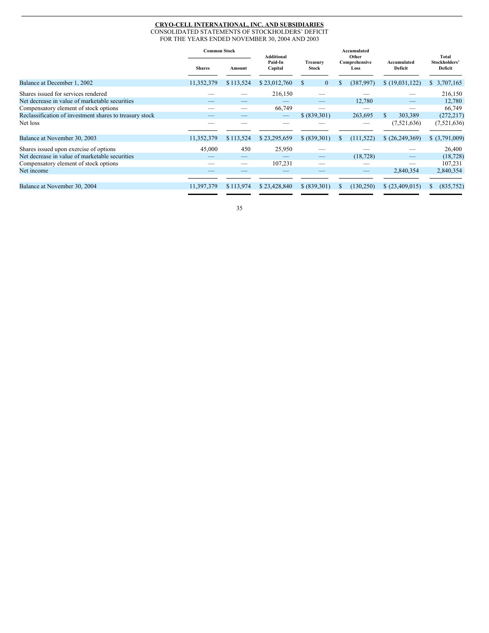# **CRYO-CELL INTERNATIONAL, INC. AND SUBSIDIARIES** CONSOLIDATED STATEMENTS OF STOCKHOLDERS' DEFICIT FOR THE YEARS ENDED NOVEMBER 30, 2004 AND 2003

**Common Stock Additional Paid-In Capital Treasury Stock Accumulated Other Comprehensive Loss Shares Amount Deficit Accumulated Deficit Total Stockholders'** Balance at December 1, 2002 11,352,379 \$ 113,524 \$ 23,012,760 \$ 0 \$ (387,997) \$ (19,031,122) \$ 3,707,165 Shares issued for services rendered — — 216,150 — — 216,150 — — 216,150 — 216,150 — 216,150 — 216,150 — 216,150 — 216,150 — 216,150 — 216,150 — 216,150 — 216,150 — 216,150 — 216,150 — 216,150 — 216,150 — 217,780 — 212,780 Net decrease in value of marketable securities — — — — — — 12,780 — 12,780 — 12,780 — 12,780 — 12,780 — 12,780 — 12,780 — 12,780 — 12,780 — 12,780 — 12,780 — 12,780 — 12,780 — 12,780 — 12,780 — 12,780 — 12,780 — 12,780 — 1 Compensatory element of stock options — — 66,749 — — — 66,749 — — 66,749 — — 66,749 — 66,749 — 66,749 — 66,749 — 66,749 — 66,749 — 66,749 — 66,749 — 66,749 — 66,749 — 66,749 — 66,749 — 66,749 — 66,749 — 66,749 — 66,749 — 6 Reclassification of investment shares to treasury stock — — — \$ (839,301) 263,695 \$ 303,389 (272,217)<br>Net loss — — — — — (7,521,636) (7,521,636) (7,521,636) Net loss  $(7,521,636)$   $(7,521,636)$ Balance at November 30, 2003 11,352,379 \$ 113,524 \$ 23,295,659 \$ (839,301) \$ (111,522) \$ (26,249,369) \$ (3,791,009) Shares issued upon exercise of options<br>
Net decrease in value of marketable securities<br>
— — — — — (18,728) — (18,728) Net decrease in value of marketable securities — — — — — — — (18,728) — (18,728) — (18,728) — (18,728) — (18,728 Compensatory element of stock options — — 107,231 — — — 107,231 — 107,231 — 107,231 — 107,231 — 107,231 — 107,231 — 107,231 — 107,231 — 107,231 — 107,231 — 107,231 — 107,231 — 107,231 — 107,231 — 107,231 — 107,231 — 107,23 Net income  $-$  2,840,354 2,840,354 2,840,354 Balance at November 30, 2004 11,397,379 \$ 113,974 \$ 23,428,840 \$ (839,301) \$ (130,250) \$ (23,409,015) \$ (835,752)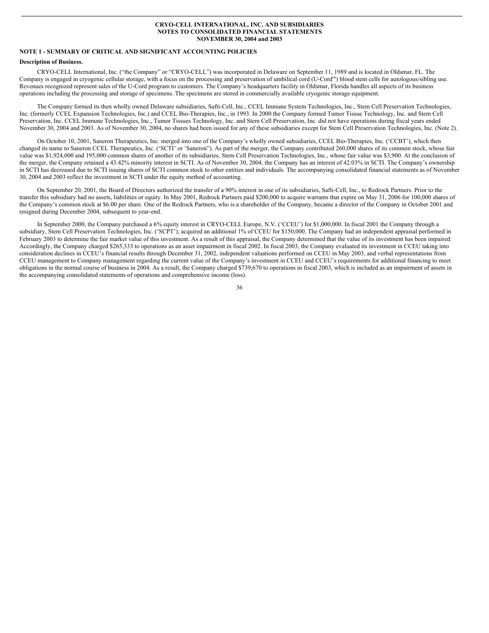#### **CRYO-CELL INTERNATIONAL, INC. AND SUBSIDIARIES NOTES TO CONSOLIDATED FINANCIAL STATEMENTS NOVEMBER 30, 2004 and 2003**

# **NOTE 1 - SUMMARY OF CRITICAL AND SIGNIFICANT ACCOUNTING POLICIES**

#### **Description of Business.**

CRYO-CELL International, Inc. ("the Company" or "CRYO-CELL") was incorporated in Delaware on September 11, 1989 and is located in Oldsmar, FL. The Company is engaged in cryogenic cellular storage, with a focus on the processing and preservation of umbilical cord (U-Cord™) blood stem cells for autologous/sibling use. Revenues recognized represent sales of the U-Cord program to customers. The Company's headquarters facility in Oldsmar, Florida handles all aspects of its business operations including the processing and storage of specimens. The specimens are stored in commercially available cryogenic storage equipment.

The Company formed its then wholly owned Delaware subsidiaries, Safti-Cell, Inc., CCEL Immune System Technologies, Inc., Stem Cell Preservation Technologies, Inc. (formerly CCEL Expansion Technologies, Inc.) and CCEL Bio-Therapies, Inc., in 1993. In 2000 the Company formed Tumor Tissue Technology, Inc. and Stem Cell Preservation, Inc. CCEL Immune Technologies, Inc., Tumor Tissues Technology, Inc. and Stem Cell Preservation, Inc. did not have operations during fiscal years ended November 30, 2004 and 2003. As of November 30, 2004, no shares had been issued for any of these subsidiaries except for Stem Cell Preservation Technologies, Inc. (Note 2).

On October 10, 2001, Saneron Therapeutics, Inc. merged into one of the Company's wholly owned subsidiaries, CCEL Bio-Therapies, Inc. ('CCBT'), which then changed its name to Saneron CCEL Therapeutics, Inc. ('SCTI' or 'Saneron"). As part of the merger, the Company contributed 260,000 shares of its common stock, whose fair value was \$1,924,000 and 195,000 common shares of another of its subsidiaries, Stem Cell Preservation Technologies, Inc., whose fair value was \$3,900. At the conclusion of the merger, the Company retained a 43.42% minority interest in SCTI. As of November 30, 2004, the Company has an interest of 42.03% in SCTI. The Company's ownership in SCTI has decreased due to SCTI issuing shares of SCTI common stock to other entities and individuals. The accompanying consolidated financial statements as of November 30, 2004 and 2003 reflect the investment in SCTI under the equity method of accounting.

On September 20, 2001, the Board of Directors authorized the transfer of a 90% interest in one of its subsidiaries, Safti-Cell, Inc., to Redrock Partners. Prior to the transfer this subsidiary had no assets, liabilities or equity. In May 2001, Redrock Partners paid \$200,000 to acquire warrants that expire on May 31, 2006 for 100,000 shares of the Company's common stock at \$6.00 per share. One of the Redrock Partners, who is a shareholder of the Company, became a director of the Company in October 2001 and resigned during December 2004, subsequent to year-end.

In September 2000, the Company purchased a 6% equity interest in CRYO-CELL Europe, N.V. ('CCEU') for \$1,000,000. In fiscal 2001 the Company through a subsidiary, Stem Cell Preservation Technologies, Inc. ('SCPT'), acquired an additional 1% of CCEU for \$150,000. The Company had an independent appraisal performed in February 2003 to determine the fair market value of this investment. As a result of this appraisal, the Company determined that the value of its investment has been impaired. Accordingly, the Company charged \$265,333 to operations as an asset impairment in fiscal 2002. In fiscal 2003, the Company evaluated its investment in CCEU taking into consideration declines in CCEU's financial results through December 31, 2002, independent valuations performed on CCEU in May 2003, and verbal representations from CCEU management to Company management regarding the current value of the Company's investment in CCEU and CCEU's requirements for additional financing to meet obligations in the normal course of business in 2004. As a result, the Company charged \$739,670 to operations in fiscal 2003, which is included as an impairment of assets in the accompanying consolidated statements of operations and comprehensive income (loss).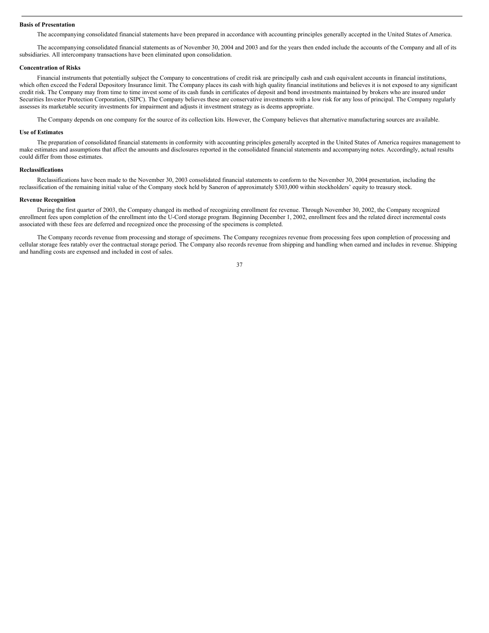#### **Basis of Presentation**

The accompanying consolidated financial statements have been prepared in accordance with accounting principles generally accepted in the United States of America.

The accompanying consolidated financial statements as of November 30, 2004 and 2003 and for the years then ended include the accounts of the Company and all of its subsidiaries. All intercompany transactions have been eliminated upon consolidation.

#### **Concentration of Risks**

Financial instruments that potentially subject the Company to concentrations of credit risk are principally cash and cash equivalent accounts in financial institutions, which often exceed the Federal Depository Insurance limit. The Company places its cash with high quality financial institutions and believes it is not exposed to any significant credit risk. The Company may from time to time invest some of its cash funds in certificates of deposit and bond investments maintained by brokers who are insured under Securities Investor Protection Corporation, (SIPC). The Company believes these are conservative investments with a low risk for any loss of principal. The Company regularly assesses its marketable security investments for impairment and adjusts it investment strategy as is deems appropriate.

The Company depends on one company for the source of its collection kits. However, the Company believes that alternative manufacturing sources are available.

#### **Use of Estimates**

The preparation of consolidated financial statements in conformity with accounting principles generally accepted in the United States of America requires management to make estimates and assumptions that affect the amounts and disclosures reported in the consolidated financial statements and accompanying notes. Accordingly, actual results could differ from those estimates.

## **Reclassifications**

Reclassifications have been made to the November 30, 2003 consolidated financial statements to conform to the November 30, 2004 presentation, including the reclassification of the remaining initial value of the Company stock held by Saneron of approximately \$303,000 within stockholders' equity to treasury stock.

#### **Revenue Recognition**

During the first quarter of 2003, the Company changed its method of recognizing enrollment fee revenue. Through November 30, 2002, the Company recognized enrollment fees upon completion of the enrollment into the U-Cord storage program. Beginning December 1, 2002, enrollment fees and the related direct incremental costs associated with these fees are deferred and recognized once the processing of the specimens is completed.

The Company records revenue from processing and storage of specimens. The Company recognizes revenue from processing fees upon completion of processing and cellular storage fees ratably over the contractual storage period. The Company also records revenue from shipping and handling when earned and includes in revenue. Shipping and handling costs are expensed and included in cost of sales.

<sup>37</sup>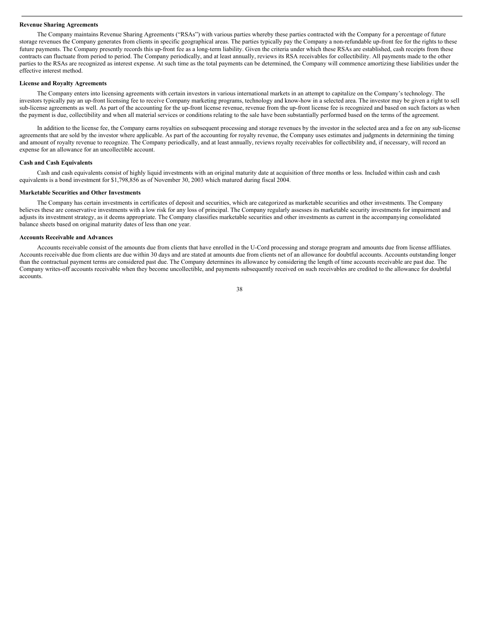#### **Revenue Sharing Agreements**

The Company maintains Revenue Sharing Agreements ("RSAs") with various parties whereby these parties contracted with the Company for a percentage of future storage revenues the Company generates from clients in specific geographical areas. The parties typically pay the Company a non-refundable up-front fee for the rights to these future payments. The Company presently records this up-front fee as a long-term liability. Given the criteria under which these RSAs are established, cash receipts from these contracts can fluctuate from period to period. The Company periodically, and at least annually, reviews its RSA receivables for collectibility. All payments made to the other parties to the RSAs are recognized as interest expense. At such time as the total payments can be determined, the Company will commence amortizing these liabilities under the effective interest method.

#### **License and Royalty Agreements**

The Company enters into licensing agreements with certain investors in various international markets in an attempt to capitalize on the Company's technology. The investors typically pay an up-front licensing fee to receive Company marketing programs, technology and know-how in a selected area. The investor may be given a right to sell sub-license agreements as well. As part of the accounting for the up-front license revenue, revenue from the up-front license fee is recognized and based on such factors as when the payment is due, collectibility and when all material services or conditions relating to the sale have been substantially performed based on the terms of the agreement.

In addition to the license fee, the Company earns royalties on subsequent processing and storage revenues by the investor in the selected area and a fee on any sub-license agreements that are sold by the investor where applicable. As part of the accounting for royalty revenue, the Company uses estimates and judgments in determining the timing and amount of royalty revenue to recognize. The Company periodically, and at least annually, reviews royalty receivables for collectibility and, if necessary, will record an expense for an allowance for an uncollectible account.

#### **Cash and Cash Equivalents**

Cash and cash equivalents consist of highly liquid investments with an original maturity date at acquisition of three months or less. Included within cash and cash equivalents is a bond investment for \$1,798,856 as of November 30, 2003 which matured during fiscal 2004.

## **Marketable Securities and Other Investments**

The Company has certain investments in certificates of deposit and securities, which are categorized as marketable securities and other investments. The Company believes these are conservative investments with a low risk for any loss of principal. The Company regularly assesses its marketable security investments for impairment and adjusts its investment strategy, as it deems appropriate. The Company classifies marketable securities and other investments as current in the accompanying consolidated balance sheets based on original maturity dates of less than one year.

#### **Accounts Receivable and Advances**

Accounts receivable consist of the amounts due from clients that have enrolled in the U-Cord processing and storage program and amounts due from license affiliates. Accounts receivable due from clients are due within 30 days and are stated at amounts due from clients net of an allowance for doubtful accounts. Accounts outstanding longer than the contractual payment terms are considered past due. The Company determines its allowance by considering the length of time accounts receivable are past due. The Company writes-off accounts receivable when they become uncollectible, and payments subsequently received on such receivables are credited to the allowance for doubtful accounts.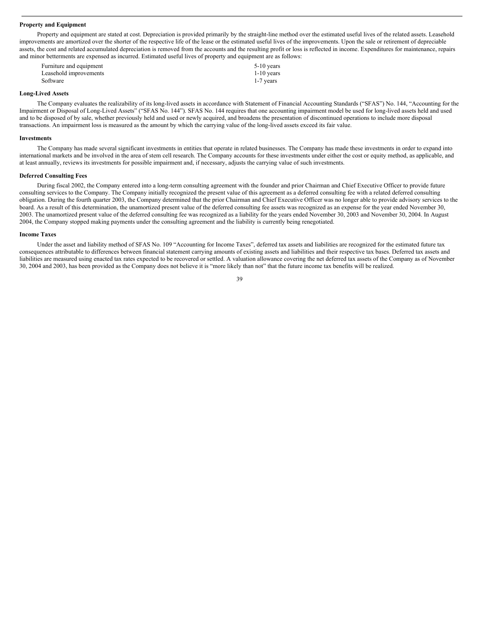#### **Property and Equipment**

Property and equipment are stated at cost. Depreciation is provided primarily by the straight-line method over the estimated useful lives of the related assets. Leasehold improvements are amortized over the shorter of the respective life of the lease or the estimated useful lives of the improvements. Upon the sale or retirement of depreciable assets, the cost and related accumulated depreciation is removed from the accounts and the resulting profit or loss is reflected in income. Expenditures for maintenance, repairs and minor betterments are expensed as incurred. Estimated useful lives of property and equipment are as follows:

| Furniture and equipment | $5-10$ years |
|-------------------------|--------------|
| Leasehold improvements  | $1-10$ years |
| Software                | 1-7 years    |

#### **Long-Lived Assets**

The Company evaluates the realizability of its long-lived assets in accordance with Statement of Financial Accounting Standards ("SFAS") No. 144, "Accounting for the Impairment or Disposal of Long-Lived Assets" ("SFAS No. 144"). SFAS No. 144 requires that one accounting impairment model be used for long-lived assets held and used and to be disposed of by sale, whether previously held and used or newly acquired, and broadens the presentation of discontinued operations to include more disposal transactions. An impairment loss is measured as the amount by which the carrying value of the long-lived assets exceed its fair value.

#### **Investments**

The Company has made several significant investments in entities that operate in related businesses. The Company has made these investments in order to expand into international markets and be involved in the area of stem cell research. The Company accounts for these investments under either the cost or equity method, as applicable, and at least annually, reviews its investments for possible impairment and, if necessary, adjusts the carrying value of such investments.

#### **Deferred Consulting Fees**

During fiscal 2002, the Company entered into a long-term consulting agreement with the founder and prior Chairman and Chief Executive Officer to provide future consulting services to the Company. The Company initially recognized the present value of this agreement as a deferred consulting fee with a related deferred consulting obligation. During the fourth quarter 2003, the Company determined that the prior Chairman and Chief Executive Officer was no longer able to provide advisory services to the board. As a result of this determination, the unamortized present value of the deferred consulting fee assets was recognized as an expense for the year ended November 30, 2003. The unamortized present value of the deferred consulting fee was recognized as a liability for the years ended November 30, 2003 and November 30, 2004. In August 2004, the Company stopped making payments under the consulting agreement and the liability is currently being renegotiated.

#### **Income Taxes**

Under the asset and liability method of SFAS No. 109 "Accounting for Income Taxes", deferred tax assets and liabilities are recognized for the estimated future tax consequences attributable to differences between financial statement carrying amounts of existing assets and liabilities and their respective tax bases. Deferred tax assets and liabilities are measured using enacted tax rates expected to be recovered or settled. A valuation allowance covering the net deferred tax assets of the Company as of November 30, 2004 and 2003, has been provided as the Company does not believe it is "more likely than not" that the future income tax benefits will be realized.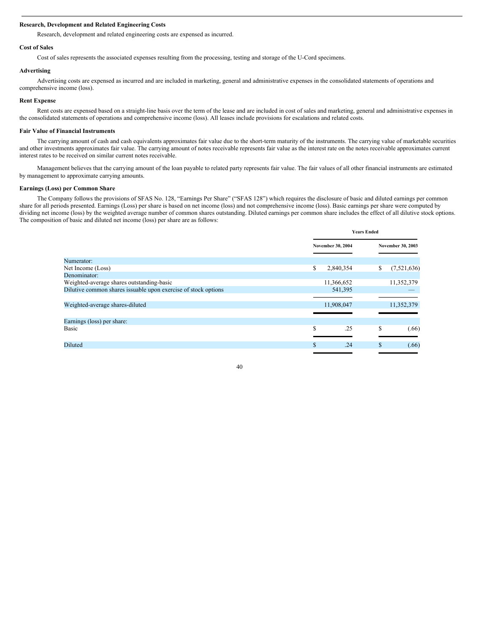## **Research, Development and Related Engineering Costs**

Research, development and related engineering costs are expensed as incurred.

# **Cost of Sales**

Cost of sales represents the associated expenses resulting from the processing, testing and storage of the U-Cord specimens.

#### **Advertising**

Advertising costs are expensed as incurred and are included in marketing, general and administrative expenses in the consolidated statements of operations and comprehensive income (loss).

#### **Rent Expense**

Rent costs are expensed based on a straight-line basis over the term of the lease and are included in cost of sales and marketing, general and administrative expenses in the consolidated statements of operations and comprehensive income (loss). All leases include provisions for escalations and related costs.

#### **Fair Value of Financial Instruments**

The carrying amount of cash and cash equivalents approximates fair value due to the short-term maturity of the instruments. The carrying value of marketable securities and other investments approximates fair value. The carrying amount of notes receivable represents fair value as the interest rate on the notes receivable approximates current interest rates to be received on similar current notes receivable.

Management believes that the carrying amount of the loan payable to related party represents fair value. The fair values of all other financial instruments are estimated by management to approximate carrying amounts.

# **Earnings (Loss) per Common Share**

The Company follows the provisions of SFAS No. 128, "Earnings Per Share" ("SFAS 128") which requires the disclosure of basic and diluted earnings per common share for all periods presented. Earnings (Loss) per share is based on net income (loss) and not comprehensive income (loss). Basic earnings per share were computed by dividing net income (loss) by the weighted average number of common shares outstanding. Diluted earnings per common share includes the effect of all dilutive stock options. The composition of basic and diluted net income (loss) per share are as follows:

|                                                                | <b>Years Ended</b> |                          |    |                          |
|----------------------------------------------------------------|--------------------|--------------------------|----|--------------------------|
|                                                                |                    | <b>November 30, 2004</b> |    | <b>November 30, 2003</b> |
| Numerator:                                                     |                    |                          |    |                          |
| Net Income (Loss)                                              | \$                 | 2,840,354                | \$ | (7,521,636)              |
| Denominator:                                                   |                    |                          |    |                          |
| Weighted-average shares outstanding-basic                      |                    | 11,366,652               |    | 11,352,379               |
| Dilutive common shares issuable upon exercise of stock options |                    | 541,395                  |    |                          |
|                                                                |                    |                          |    |                          |
| Weighted-average shares-diluted                                |                    | 11,908,047               |    | 11,352,379               |
|                                                                |                    |                          |    |                          |
| Earnings (loss) per share:                                     |                    |                          |    |                          |
| <b>Basic</b>                                                   | \$.                | .25                      | S  | (.66)                    |
|                                                                |                    |                          |    |                          |
| Diluted                                                        | <sup>\$</sup>      | .24                      | \$ | (.66)                    |
|                                                                |                    |                          |    |                          |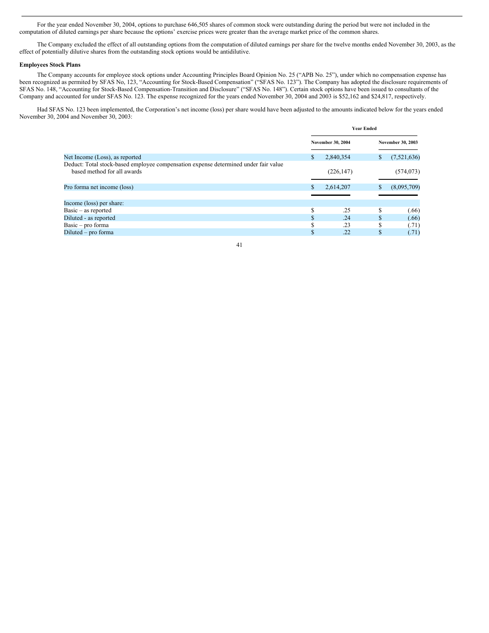For the year ended November 30, 2004, options to purchase 646,505 shares of common stock were outstanding during the period but were not included in the computation of diluted earnings per share because the options' exercise prices were greater than the average market price of the common shares.

The Company excluded the effect of all outstanding options from the computation of diluted earnings per share for the twelve months ended November 30, 2003, as the effect of potentially dilutive shares from the outstanding stock options would be antidilutive.

## **Employees Stock Plans**

The Company accounts for employee stock options under Accounting Principles Board Opinion No. 25 ("APB No. 25"), under which no compensation expense has been recognized as permited by SFAS No, 123, "Accounting for Stock-Based Compensation" ("SFAS No. 123"). The Company has adopted the disclosure requirements of SFAS No. 148, "Accounting for Stock-Based Compensation-Transition and Disclosure" ("SFAS No. 148"). Certain stock options have been issued to consultants of the Company and accounted for under SFAS No. 123. The expense recognized for the years ended November 30, 2004 and 2003 is \$52,162 and \$24,817, respectively.

Had SFAS No. 123 been implemented, the Corporation's net income (loss) per share would have been adjusted to the amounts indicated below for the years ended November 30, 2004 and November 30, 2003:

|                                                                                                                    | <b>Year Ended</b> |                          |    |                   |
|--------------------------------------------------------------------------------------------------------------------|-------------------|--------------------------|----|-------------------|
|                                                                                                                    |                   | <b>November 30, 2004</b> |    | November 30, 2003 |
| Net Income (Loss), as reported                                                                                     | S                 | 2,840,354                | Y. | (7,521,636)       |
| Deduct: Total stock-based employee compensation expense determined under fair value<br>based method for all awards |                   | (226, 147)               |    | (574, 073)        |
| Pro forma net income (loss)                                                                                        |                   | 2,614,207                |    | (8,095,709)       |
|                                                                                                                    |                   |                          |    |                   |
| Income (loss) per share:                                                                                           |                   |                          |    |                   |
| $Basic - as reported$                                                                                              | S                 | .25                      |    | (.66)             |
| Diluted - as reported                                                                                              | S                 | .24                      |    | (.66)             |
| Basic – pro forma                                                                                                  | c                 | .23                      |    | (.71)             |
| Diluted – pro forma                                                                                                | S                 | .22                      | \$ | (.71)             |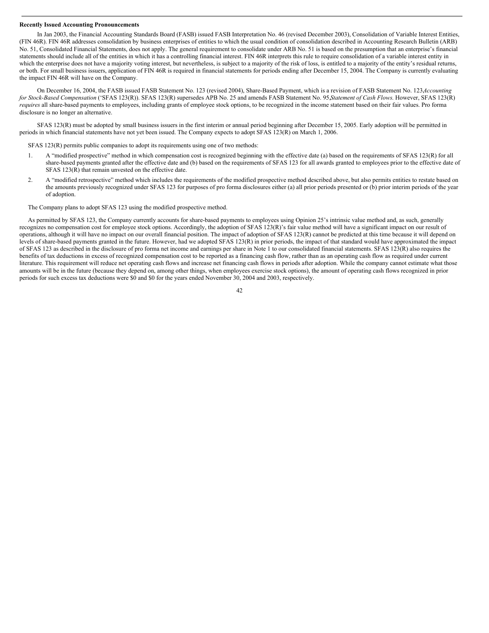#### **Recently Issued Accounting Pronouncements**

In Jan 2003, the Financial Accounting Standards Board (FASB) issued FASB Interpretation No. 46 (revised December 2003), Consolidation of Variable Interest Entities, (FIN 46R). FIN 46R addresses consolidation by business enterprises of entities to which the usual condition of consolidation described in Accounting Research Bulletin (ARB) No. 51, Consolidated Financial Statements, does not apply. The general requirement to consolidate under ARB No. 51 is based on the presumption that an enterprise's financial statements should include all of the entities in which it has a controlling financial interest. FIN 46R interprets this rule to require consolidation of a variable interest entity in which the enterprise does not have a majority voting interest, but nevertheless, is subject to a majority of the risk of loss, is entitled to a majority of the entity's residual returns, or both. For small business issuers, application of FIN 46R is required in financial statements for periods ending after December 15, 2004. The Company is currently evaluating the impact FIN 46R will have on the Company.

On December 16, 2004, the FASB issued FASB Statement No. 123 (revised 2004), Share-Based Payment, which is a revision of FASB Statement No. 123,*Accounting for Stock-Based Compensation* ('SFAS 123(R)). SFAS 123(R) supersedes APB No. 25 and amends FASB Statement No. 95,*Statement of Cash Flows*. However, SFAS 123(R) *requires* all share-based payments to employees, including grants of employee stock options, to be recognized in the income statement based on their fair values. Pro forma disclosure is no longer an alternative.

SFAS 123(R) must be adopted by small business issuers in the first interim or annual period beginning after December 15, 2005. Early adoption will be permitted in periods in which financial statements have not yet been issued. The Company expects to adopt SFAS 123(R) on March 1, 2006.

SFAS 123(R) permits public companies to adopt its requirements using one of two methods:

- 1. A "modified prospective" method in which compensation cost is recognized beginning with the effective date (a) based on the requirements of SFAS 123(R) for all share-based payments granted after the effective date and (b) based on the requirements of SFAS 123 for all awards granted to employees prior to the effective date of SFAS 123(R) that remain unvested on the effective date.
- 2. A "modified retrospective" method which includes the requirements of the modified prospective method described above, but also permits entities to restate based on the amounts previously recognized under SFAS 123 for purposes of pro forma disclosures either (a) all prior periods presented or (b) prior interim periods of the year of adoption.

The Company plans to adopt SFAS 123 using the modified prospective method.

As permitted by SFAS 123, the Company currently accounts for share-based payments to employees using Opinion 25's intrinsic value method and, as such, generally recognizes no compensation cost for employee stock options. Accordingly, the adoption of SFAS 123(R)'s fair value method will have a significant impact on our result of operations, although it will have no impact on our overall financial position. The impact of adoption of SFAS 123(R) cannot be predicted at this time because it will depend on levels of share-based payments granted in the future. However, had we adopted SFAS 123(R) in prior periods, the impact of that standard would have approximated the impact of SFAS 123 as described in the disclosure of pro forma net income and earnings per share in Note 1 to our consolidated financial statements. SFAS 123(R) also requires the benefits of tax deductions in excess of recognized compensation cost to be reported as a financing cash flow, rather than as an operating cash flow as required under current literature. This requirement will reduce net operating cash flows and increase net financing cash flows in periods after adoption. While the company cannot estimate what those amounts will be in the future (because they depend on, among other things, when employees exercise stock options), the amount of operating cash flows recognized in prior periods for such excess tax deductions were \$0 and \$0 for the years ended November 30, 2004 and 2003, respectively.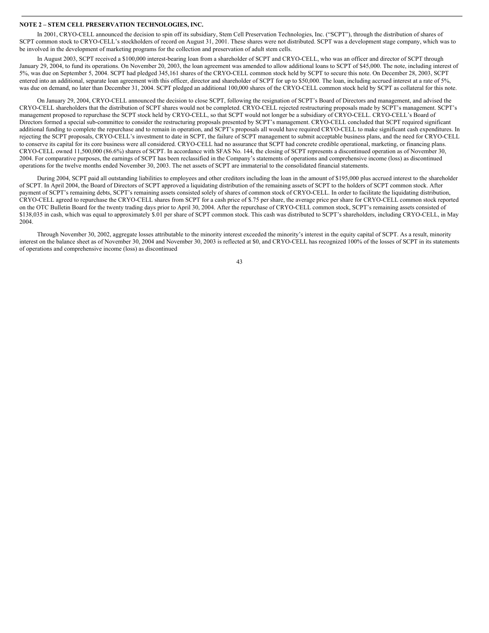#### **NOTE 2 – STEM CELL PRESERVATION TECHNOLOGIES, INC.**

In 2001, CRYO-CELL announced the decision to spin off its subsidiary, Stem Cell Preservation Technologies, Inc. ("SCPT"), through the distribution of shares of SCPT common stock to CRYO-CELL's stockholders of record on August 31, 2001. These shares were not distributed. SCPT was a development stage company, which was to be involved in the development of marketing programs for the collection and preservation of adult stem cells.

In August 2003, SCPT received a \$100,000 interest-bearing loan from a shareholder of SCPT and CRYO-CELL, who was an officer and director of SCPT through January 29, 2004, to fund its operations. On November 20, 2003, the loan agreement was amended to allow additional loans to SCPT of \$45,000. The note, including interest of 5%, was due on September 5, 2004. SCPT had pledged 345,161 shares of the CRYO-CELL common stock held by SCPT to secure this note. On December 28, 2003, SCPT entered into an additional, separate loan agreement with this officer, director and shareholder of SCPT for up to \$50,000. The loan, including accrued interest at a rate of 5%, was due on demand, no later than December 31, 2004. SCPT pledged an additional 100,000 shares of the CRYO-CELL common stock held by SCPT as collateral for this note.

On January 29, 2004, CRYO-CELL announced the decision to close SCPT, following the resignation of SCPT's Board of Directors and management, and advised the CRYO-CELL shareholders that the distribution of SCPT shares would not be completed. CRYO-CELL rejected restructuring proposals made by SCPT's management. SCPT's management proposed to repurchase the SCPT stock held by CRYO-CELL, so that SCPT would not longer be a subsidiary of CRYO-CELL. CRYO-CELL's Board of Directors formed a special sub-committee to consider the restructuring proposals presented by SCPT's management. CRYO-CELL concluded that SCPT required significant additional funding to complete the repurchase and to remain in operation, and SCPT's proposals all would have required CRYO-CELL to make significant cash expenditures. In rejecting the SCPT proposals, CRYO-CELL's investment to date in SCPT, the failure of SCPT management to submit acceptable business plans, and the need for CRYO-CELL to conserve its capital for its core business were all considered. CRYO-CELL had no assurance that SCPT had concrete credible operational, marketing, or financing plans. CRYO-CELL owned 11,500,000 (86.6%) shares of SCPT. In accordance with SFAS No. 144, the closing of SCPT represents a discontinued operation as of November 30, 2004. For comparative purposes, the earnings of SCPT has been reclassified in the Company's statements of operations and comprehensive income (loss) as discontinued operations for the twelve months ended November 30, 2003. The net assets of SCPT are immaterial to the consolidated financial statements.

During 2004, SCPT paid all outstanding liabilities to employees and other creditors including the loan in the amount of \$195,000 plus accrued interest to the shareholder of SCPT. In April 2004, the Board of Directors of SCPT approved a liquidating distribution of the remaining assets of SCPT to the holders of SCPT common stock. After payment of SCPT's remaining debts, SCPT's remaining assets consisted solely of shares of common stock of CRYO-CELL. In order to facilitate the liquidating distribution, CRYO-CELL agreed to repurchase the CRYO-CELL shares from SCPT for a cash price of \$.75 per share, the average price per share for CRYO-CELL common stock reported on the OTC Bulletin Board for the twenty trading days prior to April 30, 2004. After the repurchase of CRYO-CELL common stock, SCPT's remaining assets consisted of \$138,035 in cash, which was equal to approximately \$.01 per share of SCPT common stock. This cash was distributed to SCPT's shareholders, including CRYO-CELL, in May 2004.

Through November 30, 2002, aggregate losses attributable to the minority interest exceeded the minority's interest in the equity capital of SCPT. As a result, minority interest on the balance sheet as of November 30, 2004 and November 30, 2003 is reflected at \$0, and CRYO-CELL has recognized 100% of the losses of SCPT in its statements of operations and comprehensive income (loss) as discontinued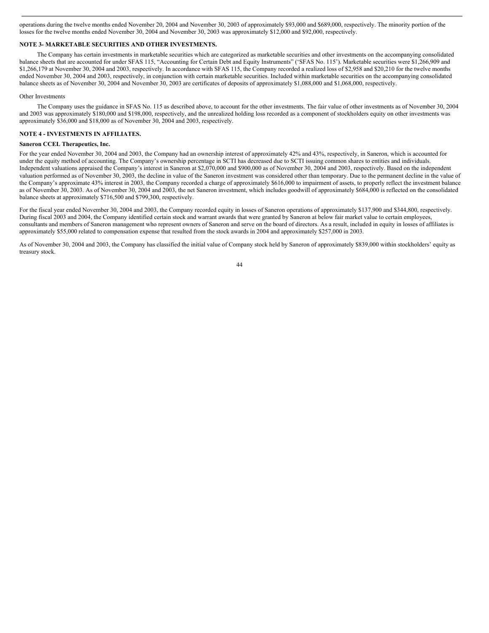operations during the twelve months ended November 20, 2004 and November 30, 2003 of approximately \$93,000 and \$689,000, respectively. The minority portion of the losses for the twelve months ended November 30, 2004 and November 30, 2003 was approximately \$12,000 and \$92,000, respectively.

# **NOTE 3- MARKETABLE SECURITIES AND OTHER INVESTMENTS.**

The Company has certain investments in marketable securities which are categorized as marketable securities and other investments on the accompanying consolidated balance sheets that are accounted for under SFAS 115, "Accounting for Certain Debt and Equity Instruments" ('SFAS No. 115'). Marketable securities were \$1,266,909 and \$1,266,179 at November 30, 2004 and 2003, respectively. In accordance with SFAS 115, the Company recorded a realized loss of \$2,958 and \$20,210 for the twelve months ended November 30, 2004 and 2003, respectively, in conjunction with certain marketable securities. Included within marketable securities on the accompanying consolidated balance sheets as of November 30, 2004 and November 30, 2003 are certificates of deposits of approximately \$1,088,000 and \$1,068,000, respectively.

#### Other Investments

The Company uses the guidance in SFAS No. 115 as described above, to account for the other investments. The fair value of other investments as of November 30, 2004 and 2003 was approximately \$180,000 and \$198,000, respectively, and the unrealized holding loss recorded as a component of stockholders equity on other investments was approximately \$36,000 and \$18,000 as of November 30, 2004 and 2003, respectively.

## **NOTE 4 - INVESTMENTS IN AFFILIATES.**

# **Saneron CCEL Therapeutics, Inc.**

For the year ended November 30, 2004 and 2003, the Company had an ownership interest of approximately 42% and 43%, respectively, in Saneron, which is accounted for under the equity method of accounting. The Company's ownership percentage in SCTI has decreased due to SCTI issuing common shares to entities and individuals. Independent valuations appraised the Company's interest in Saneron at \$2,070,000 and \$900,000 as of November 30, 2004 and 2003, respectively. Based on the independent valuation performed as of November 30, 2003, the decline in value of the Saneron investment was considered other than temporary. Due to the permanent decline in the value of the Company's approximate 43% interest in 2003, the Company recorded a charge of approximately \$616,000 to impairment of assets, to properly reflect the investment balance as of November 30, 2003. As of November 30, 2004 and 2003, the net Saneron investment, which includes goodwill of approximately \$684,000 is reflected on the consolidated balance sheets at approximately \$716,500 and \$799,300, respectively.

For the fiscal year ended November 30, 2004 and 2003, the Company recorded equity in losses of Saneron operations of approximately \$137,900 and \$344,800, respectively. During fiscal 2003 and 2004, the Company identified certain stock and warrant awards that were granted by Saneron at below fair market value to certain employees, consultants and members of Saneron management who represent owners of Saneron and serve on the board of directors. As a result, included in equity in losses of affiliates is approximately \$55,000 related to compensation expense that resulted from the stock awards in 2004 and approximately \$257,000 in 2003.

As of November 30, 2004 and 2003, the Company has classified the initial value of Company stock held by Saneron of approximately \$839,000 within stockholders' equity as treasury stock.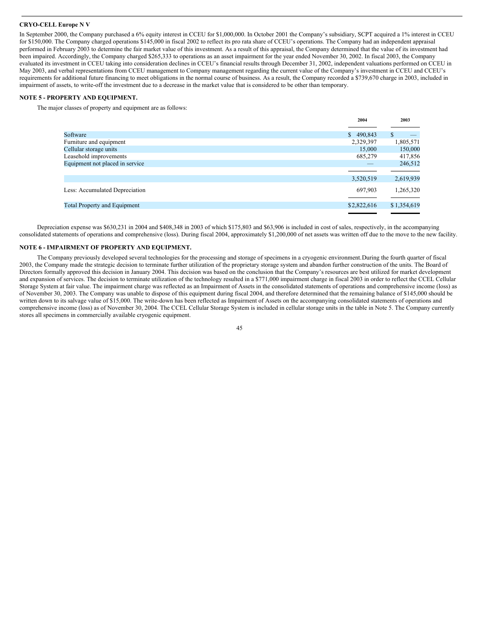#### **CRYO-CELL Europe N V**

In September 2000, the Company purchased a 6% equity interest in CCEU for \$1,000,000. In October 2001 the Company's subsidiary, SCPT acquired a 1% interest in CCEU for \$150,000. The Company charged operations \$145,000 in fiscal 2002 to reflect its pro rata share of CCEU's operations. The Company had an independent appraisal performed in February 2003 to determine the fair market value of this investment. As a result of this appraisal, the Company determined that the value of its investment had been impaired. Accordingly, the Company charged \$265,333 to operations as an asset impairment for the year ended November 30, 2002. In fiscal 2003, the Company evaluated its investment in CCEU taking into consideration declines in CCEU's financial results through December 31, 2002, independent valuations performed on CCEU in May 2003, and verbal representations from CCEU management to Company management regarding the current value of the Company's investment in CCEU and CCEU's requirements for additional future financing to meet obligations in the normal course of business. As a result, the Company recorded a \$739,670 charge in 2003, included in impairment of assets, to write-off the investment due to a decrease in the market value that is considered to be other than temporary.

## **NOTE 5 - PROPERTY AND EQUIPMENT.**

The major classes of property and equipment are as follows:

|                                     | 2004        | 2003        |
|-------------------------------------|-------------|-------------|
|                                     |             |             |
| Software                            | \$490,843   | S           |
| Furniture and equipment             | 2,329,397   | 1,805,571   |
| Cellular storage units              | 15,000      | 150,000     |
| Leasehold improvements              | 685,279     | 417,856     |
| Equipment not placed in service     |             | 246,512     |
|                                     |             |             |
|                                     | 3,520,519   | 2,619,939   |
| Less: Accumulated Depreciation      | 697,903     | 1,265,320   |
| <b>Total Property and Equipment</b> | \$2,822,616 | \$1,354,619 |
|                                     |             |             |

Depreciation expense was \$630,231 in 2004 and \$408,348 in 2003 of which \$175,803 and \$63,906 is included in cost of sales, respectively, in the accompanying consolidated statements of operations and comprehensive (loss). During fiscal 2004, approximately \$1,200,000 of net assets was written off due to the move to the new facility.

# **NOTE 6 - IMPAIRMENT OF PROPERTY AND EQUIPMENT.**

The Company previously developed several technologies for the processing and storage of specimens in a cryogenic environment.During the fourth quarter of fiscal 2003, the Company made the strategic decision to terminate further utilization of the proprietary storage system and abandon further construction of the units. The Board of Directors formally approved this decision in January 2004. This decision was based on the conclusion that the Company's resources are best utilized for market development and expansion of services. The decision to terminate utilization of the technology resulted in a \$771,000 impairment charge in fiscal 2003 in order to reflect the CCEL Cellular Storage System at fair value. The impairment charge was reflected as an Impairment of Assets in the consolidated statements of operations and comprehensive income (loss) as of November 30, 2003. The Company was unable to dispose of this equipment during fiscal 2004, and therefore determined that the remaining balance of \$145,000 should be written down to its salvage value of \$15,000. The write-down has been reflected as Impairment of Assets on the accompanying consolidated statements of operations and comprehensive income (loss) as of November 30, 2004. The CCEL Cellular Storage System is included in cellular storage units in the table in Note 5. The Company currently stores all specimens in commercially available cryogenic equipment.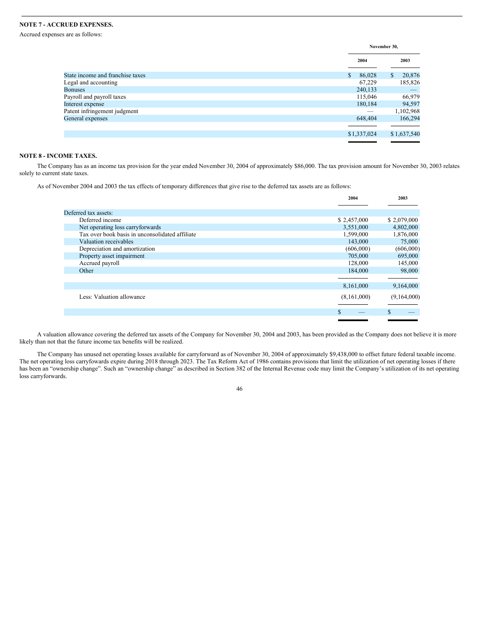# **NOTE 7 - ACCRUED EXPENSES.**

Accrued expenses are as follows:

|                                  |              | November 30,      |  |
|----------------------------------|--------------|-------------------|--|
|                                  | 2004         | 2003              |  |
| State income and franchise taxes | S.<br>86,028 | 20,876<br>\$      |  |
| Legal and accounting             | 67,229       | 185,826           |  |
| <b>Bonuses</b>                   | 240,133      | $\qquad \qquad -$ |  |
| Payroll and payroll taxes        | 115,046      | 66,979            |  |
| Interest expense                 | 180,184      | 94,597            |  |
| Patent infringement judgment     | _            | 1,102,968         |  |
| General expenses                 | 648,404      | 166,294           |  |
|                                  |              |                   |  |
|                                  | \$1,337,024  | \$1,637,540       |  |
|                                  |              |                   |  |

#### **NOTE 8 - INCOME TAXES.**

The Company has as an income tax provision for the year ended November 30, 2004 of approximately \$86,000. The tax provision amount for November 30, 2003 relates solely to current state taxes.

As of November 2004 and 2003 the tax effects of temporary differences that give rise to the deferred tax assets are as follows:

|                                                 | 2004          | 2003        |
|-------------------------------------------------|---------------|-------------|
|                                                 |               |             |
| Deferred tax assets:                            |               |             |
| Deferred income                                 | \$2,457,000   | \$2,079,000 |
| Net operating loss carryforwards                | 3,551,000     | 4,802,000   |
| Tax over book basis in unconsolidated affiliate | 1,599,000     | 1,876,000   |
| Valuation receivables                           | 143,000       | 75,000      |
| Depreciation and amortization                   | (606,000)     | (606,000)   |
| Property asset impairment                       | 705,000       | 695,000     |
| Accrued payroll                                 | 128,000       | 145,000     |
| Other                                           | 184,000       | 98,000      |
|                                                 |               |             |
|                                                 | 8,161,000     | 9,164,000   |
| Less: Valuation allowance                       | (8,161,000)   | (9,164,000) |
|                                                 | <sup>\$</sup> | S           |
|                                                 |               |             |

A valuation allowance covering the deferred tax assets of the Company for November 30, 2004 and 2003, has been provided as the Company does not believe it is more likely than not that the future income tax benefits will be realized.

The Company has unused net operating losses available for carryforward as of November 30, 2004 of approximately \$9,438,000 to offset future federal taxable income. The net operating loss carryfowards expire during 2018 through 2023. The Tax Reform Act of 1986 contains provisions that limit the utilization of net operating losses if there has been an "ownership change". Such an "ownership change" as described in Section 382 of the Internal Revenue code may limit the Company's utilization of its net operating loss carryforwards.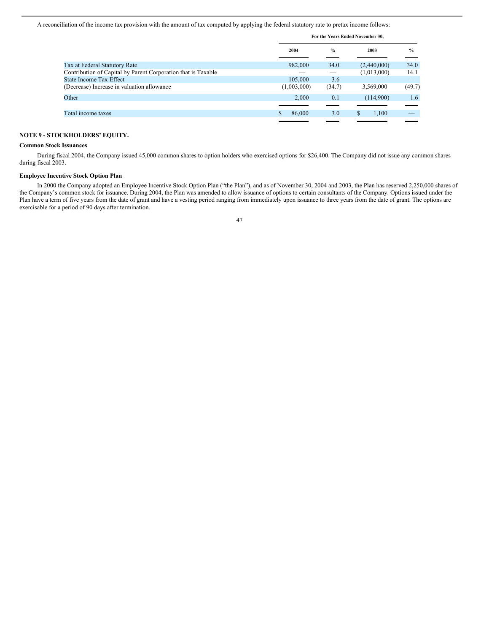A reconciliation of the income tax provision with the amount of tax computed by applying the federal statutory rate to pretax income follows:

|                                                               |             | For the Years Ended November 30, |             |               |
|---------------------------------------------------------------|-------------|----------------------------------|-------------|---------------|
|                                                               | 2004        | $\frac{0}{0}$                    | 2003        | $\frac{9}{0}$ |
| Tax at Federal Statutory Rate                                 | 982,000     | 34.0                             | (2,440,000) | 34.0          |
| Contribution of Capital by Parent Corporation that is Taxable |             |                                  | (1,013,000) | 14.1          |
| <b>State Income Tax Effect</b>                                | 105,000     | 3.6                              | _           | _             |
| (Decrease) Increase in valuation allowance                    | (1,003,000) | (34.7)                           | 3,569,000   | (49.7)        |
| Other                                                         | 2.000       | 0.1                              | (114,900)   | 1.6           |
|                                                               |             |                                  |             |               |
| Total income taxes                                            | S<br>86,000 | 3.0                              | \$<br>1,100 |               |
|                                                               |             |                                  |             |               |

# **NOTE 9 - STOCKHOLDERS' EQUITY.**

# **Common Stock Issuances**

During fiscal 2004, the Company issued 45,000 common shares to option holders who exercised options for \$26,400. The Company did not issue any common shares during fiscal 2003.

# **Employee Incentive Stock Option Plan**

In 2000 the Company adopted an Employee Incentive Stock Option Plan ("the Plan"), and as of November 30, 2004 and 2003, the Plan has reserved 2,250,000 shares of the Company's common stock for issuance. During 2004, the Plan was amended to allow issuance of options to certain consultants of the Company. Options issued under the Plan have a term of five years from the date of grant and have a vesting period ranging from immediately upon issuance to three years from the date of grant. The options are exercisable for a period of 90 days after termination.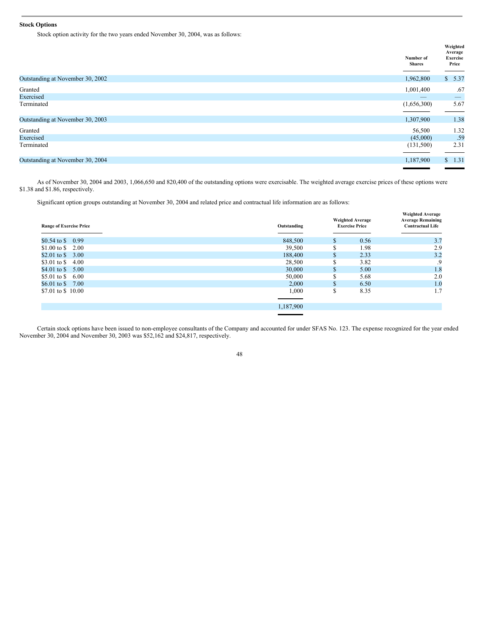# **Stock Options**

Stock option activity for the two years ended November 30, 2004, was as follows:

|                                  | Number of<br><b>Shares</b> | Weighted<br>Average<br>Exercise<br>Price |
|----------------------------------|----------------------------|------------------------------------------|
| Outstanding at November 30, 2002 | 1,962,800                  | 5.37<br>\$                               |
| Granted                          | 1,001,400                  | .67                                      |
| Exercised                        |                            | $\hspace{0.1mm}-\hspace{0.1mm}$          |
| Terminated                       | (1,656,300)                | 5.67                                     |
|                                  |                            |                                          |
| Outstanding at November 30, 2003 | 1,307,900                  | 1.38                                     |
| Granted                          | 56,500                     | 1.32                                     |
| Exercised                        | (45,000)                   | .59                                      |
| Terminated                       | (131,500)                  | 2.31                                     |
| Outstanding at November 30, 2004 | 1,187,900                  | 1.31<br>\$                               |
|                                  |                            |                                          |

As of November 30, 2004 and 2003, 1,066,650 and 820,400 of the outstanding options were exercisable. The weighted average exercise prices of these options were \$1.38 and \$1.86, respectively.

Significant option groups outstanding at November 30, 2004 and related price and contractual life information are as follows:

| <b>Range of Exercise Price</b> | Outstanding |          | <b>Weighted Average</b><br><b>Exercise Price</b> | <b>Weighted Average</b><br><b>Average Remaining</b><br><b>Contractual Life</b> |
|--------------------------------|-------------|----------|--------------------------------------------------|--------------------------------------------------------------------------------|
| \$0.54 to \$ 0.99              | 848,500     | \$       | 0.56                                             | 3.7                                                                            |
| \$1.00 to \$2.00               | 39,500      |          | 1.98                                             | 2.9                                                                            |
| \$2.01 to \$ 3.00              | 188,400     | \$       | 2.33                                             | 3.2                                                                            |
| \$3.01 to \$4.00               | 28,500      | ¢<br>יי. | 3.82                                             | .9                                                                             |
| \$4.01 to \$ $5.00$            | 30,000      | S        | 5.00                                             | 1.8                                                                            |
| \$5.01 to \$ 6.00              | 50,000      | ¢        | 5.68                                             | 2.0                                                                            |
| \$6.01 to \$7.00               | 2,000       | \$       | 6.50                                             | 1.0                                                                            |
| \$7.01 to \$10.00              | 1,000       | ¢<br>J.  | 8.35                                             | 1.7                                                                            |
|                                |             |          |                                                  |                                                                                |
|                                | 1,187,900   |          |                                                  |                                                                                |

Certain stock options have been issued to non-employee consultants of the Company and accounted for under SFAS No. 123. The expense recognized for the year ended November 30, 2004 and November 30, 2003 was \$52,162 and \$24,817, respectively.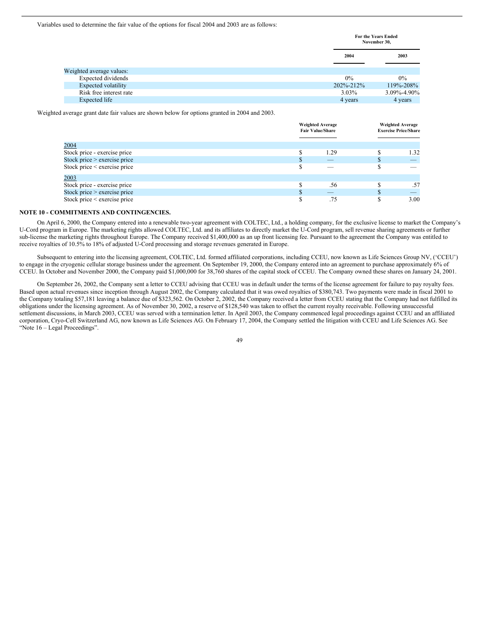Variables used to determine the fair value of the options for fiscal 2004 and 2003 are as follows:

|                            |           | <b>For the Years Ended</b><br>November 30, |  |  |
|----------------------------|-----------|--------------------------------------------|--|--|
|                            | 2004      | 2003                                       |  |  |
| Weighted average values:   |           |                                            |  |  |
| Expected dividends         | $0\%$     | $0\%$                                      |  |  |
| <b>Expected volatility</b> | 202%-212% | 119%-208%                                  |  |  |
| Risk free interest rate    | $3.03\%$  | 3.09%-4.90%                                |  |  |
| Expected life              | 4 years   | 4 years                                    |  |  |

Weighted average grant date fair values are shown below for options granted in 2004 and 2003.

|                                | <b>Weighted Average</b><br><b>Fair Value/Share</b> |  | <b>Weighted Average</b><br><b>Exercise Price/Share</b> |  |
|--------------------------------|----------------------------------------------------|--|--------------------------------------------------------|--|
|                                |                                                    |  |                                                        |  |
| 2004                           |                                                    |  |                                                        |  |
| Stock price - exercise price   | 1.29                                               |  | 1.32                                                   |  |
| Stock price $>$ exercise price |                                                    |  |                                                        |  |
| Stock price < exercise price   |                                                    |  |                                                        |  |
| 2003                           |                                                    |  |                                                        |  |
| Stock price - exercise price   | .56                                                |  | .57                                                    |  |
| Stock price $>$ exercise price | $-$                                                |  |                                                        |  |
| Stock price < exercise price   | .75                                                |  | 3.00                                                   |  |

#### **NOTE 10 - COMMITMENTS AND CONTINGENCIES.**

On April 6, 2000, the Company entered into a renewable two-year agreement with COLTEC, Ltd., a holding company, for the exclusive license to market the Company's U-Cord program in Europe. The marketing rights allowed COLTEC, Ltd. and its affiliates to directly market the U-Cord program, sell revenue sharing agreements or further sub-license the marketing rights throughout Europe. The Company received \$1,400,000 as an up front licensing fee. Pursuant to the agreement the Company was entitled to receive royalties of 10.5% to 18% of adjusted U-Cord processing and storage revenues generated in Europe.

Subsequent to entering into the licensing agreement, COLTEC, Ltd. formed affiliated corporations, including CCEU, now known as Life Sciences Group NV, ('CCEU') to engage in the cryogenic cellular storage business under the agreement. On September 19, 2000, the Company entered into an agreement to purchase approximately 6% of CCEU. In October and November 2000, the Company paid \$1,000,000 for 38,760 shares of the capital stock of CCEU. The Company owned these shares on January 24, 2001.

On September 26, 2002, the Company sent a letter to CCEU advising that CCEU was in default under the terms of the license agreement for failure to pay royalty fees. Based upon actual revenues since inception through August 2002, the Company calculated that it was owed royalties of \$380,743. Two payments were made in fiscal 2001 to the Company totaling \$57,181 leaving a balance due of \$323,562. On October 2, 2002, the Company received a letter from CCEU stating that the Company had not fulfilled its obligations under the licensing agreement. As of November 30, 2002, a reserve of \$128,540 was taken to offset the current royalty receivable. Following unsuccessful settlement discussions, in March 2003, CCEU was served with a termination letter. In April 2003, the Company commenced legal proceedings against CCEU and an affiliated corporation, Cryo-Cell Switzerland AG, now known as Life Sciences AG. On February 17, 2004, the Company settled the litigation with CCEU and Life Sciences AG. See "Note 16 – Legal Proceedings".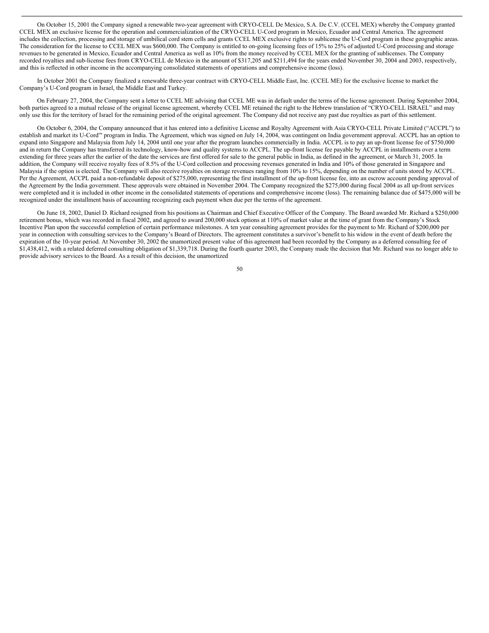On October 15, 2001 the Company signed a renewable two-year agreement with CRYO-CELL De Mexico, S.A. De C.V. (CCEL MEX) whereby the Company granted CCEL MEX an exclusive license for the operation and commercialization of the CRYO-CELL U-Cord program in Mexico, Ecuador and Central America. The agreement includes the collection, processing and storage of umbilical cord stem cells and grants CCEL MEX exclusive rights to sublicense the U-Cord program in these geographic areas. The consideration for the license to CCEL MEX was \$600,000. The Company is entitled to on-going licensing fees of 15% to 25% of adjusted U-Cord processing and storage revenues to be generated in Mexico, Ecuador and Central America as well as 10% from the money received by CCEL MEX for the granting of sublicenses. The Company recorded royalties and sub-license fees from CRYO-CELL de Mexico in the amount of \$317,205 and \$211,494 for the years ended November 30, 2004 and 2003, respectively, and this is reflected in other income in the accompanying consolidated statements of operations and comprehensive income (loss).

In October 2001 the Company finalized a renewable three-year contract with CRYO-CELL Middle East, Inc. (CCEL ME) for the exclusive license to market the Company's U-Cord program in Israel, the Middle East and Turkey.

On February 27, 2004, the Company sent a letter to CCEL ME advising that CCEL ME was in default under the terms of the license agreement. During September 2004, both parties agreed to a mutual release of the original license agreement, whereby CCEL ME retained the right to the Hebrew translation of "CRYO-CELL ISRAEL" and may only use this for the territory of Israel for the remaining period of the original agreement. The Company did not receive any past due royalties as part of this settlement.

On October 6, 2004, the Company announced that it has entered into a definitive License and Royalty Agreement with Asia CRYO-CELL Private Limited ("ACCPL") to establish and market its U-Cord™ program in India. The Agreement, which was signed on July 14, 2004, was contingent on India government approval. ACCPL has an option to expand into Singapore and Malaysia from July 14, 2004 until one year after the program launches commercially in India. ACCPL is to pay an up-front license fee of \$750,000 and in return the Company has transferred its technology, know-how and quality systems to ACCPL. The up-front license fee payable by ACCPL in installments over a term extending for three years after the earlier of the date the services are first offered for sale to the general public in India, as defined in the agreement, or March 31, 2005. In addition, the Company will receive royalty fees of 8.5% of the U-Cord collection and processing revenues generated in India and 10% of those generated in Singapore and Malaysia if the option is elected. The Company will also receive royalties on storage revenues ranging from 10% to 15%, depending on the number of units stored by ACCPL. Per the Agreement, ACCPL paid a non-refundable deposit of \$275,000, representing the first installment of the up-front license fee, into an escrow account pending approval of the Agreement by the India government. These approvals were obtained in November 2004. The Company recognized the \$275,000 during fiscal 2004 as all up-front services were completed and it is included in other income in the consolidated statements of operations and comprehensive income (loss). The remaining balance due of \$475,000 will be recognized under the installment basis of accounting recognizing each payment when due per the terms of the agreement.

On June 18, 2002, Daniel D. Richard resigned from his positions as Chairman and Chief Executive Officer of the Company. The Board awarded Mr. Richard a \$250,000 retirement bonus, which was recorded in fiscal 2002, and agreed to award 200,000 stock options at 110% of market value at the time of grant from the Company's Stock Incentive Plan upon the successful completion of certain performance milestones. A ten year consulting agreement provides for the payment to Mr. Richard of \$200,000 per year in connection with consulting services to the Company's Board of Directors. The agreement constitutes a survivor's benefit to his widow in the event of death before the expiration of the 10-year period. At November 30, 2002 the unamortized present value of this agreement had been recorded by the Company as a deferred consulting fee of \$1,438,412, with a related deferred consulting obligation of \$1,339,718. During the fourth quarter 2003, the Company made the decision that Mr. Richard was no longer able to provide advisory services to the Board. As a result of this decision, the unamortized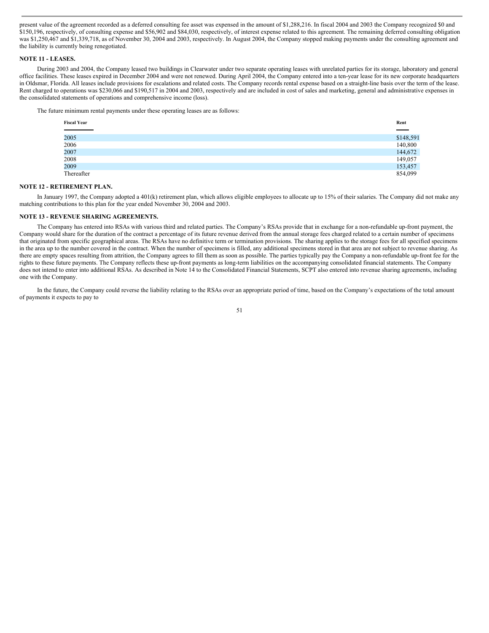present value of the agreement recorded as a deferred consulting fee asset was expensed in the amount of \$1,288,216. In fiscal 2004 and 2003 the Company recognized \$0 and \$150,196, respectively, of consulting expense and \$56,902 and \$84,030, respectively, of interest expense related to this agreement. The remaining deferred consulting obligation was \$1,250,467 and \$1,339,718, as of November 30, 2004 and 2003, respectively. In August 2004, the Company stopped making payments under the consulting agreement and the liability is currently being renegotiated.

## **NOTE 11 - LEASES.**

During 2003 and 2004, the Company leased two buildings in Clearwater under two separate operating leases with unrelated parties for its storage, laboratory and general office facilities. These leases expired in December 2004 and were not renewed. During April 2004, the Company entered into a ten-year lease for its new corporate headquarters in Oldsmar, Florida. All leases include provisions for escalations and related costs. The Company records rental expense based on a straight-line basis over the term of the lease. Rent charged to operations was \$230,066 and \$190,517 in 2004 and 2003, respectively and are included in cost of sales and marketing, general and administrative expenses in the consolidated statements of operations and comprehensive income (loss).

The future minimum rental payments under these operating leases are as follows:

| <b>Fiscal Year</b> | Rent      |
|--------------------|-----------|
|                    |           |
| 2005               | \$148,591 |
| 2006               | 140,800   |
| 2007               | 144,672   |
| 2008               | 149,057   |
| 2009               | 153,457   |
| Thereafter         | 854,099   |

#### **NOTE 12 - RETIREMENT PLAN.**

In January 1997, the Company adopted a 401(k) retirement plan, which allows eligible employees to allocate up to 15% of their salaries. The Company did not make any matching contributions to this plan for the year ended November 30, 2004 and 2003.

#### **NOTE 13 - REVENUE SHARING AGREEMENTS.**

The Company has entered into RSAs with various third and related parties. The Company's RSAs provide that in exchange for a non-refundable up-front payment, the Company would share for the duration of the contract a percentage of its future revenue derived from the annual storage fees charged related to a certain number of specimens that originated from specific geographical areas. The RSAs have no definitive term or termination provisions. The sharing applies to the storage fees for all specified specimens in the area up to the number covered in the contract. When the number of specimens is filled, any additional specimens stored in that area are not subject to revenue sharing. As there are empty spaces resulting from attrition, the Company agrees to fill them as soon as possible. The parties typically pay the Company a non-refundable up-front fee for the rights to these future payments. The Company reflects these up-front payments as long-term liabilities on the accompanying consolidated financial statements. The Company does not intend to enter into additional RSAs. As described in Note 14 to the Consolidated Financial Statements, SCPT also entered into revenue sharing agreements, including one with the Company.

In the future, the Company could reverse the liability relating to the RSAs over an appropriate period of time, based on the Company's expectations of the total amount of payments it expects to pay to

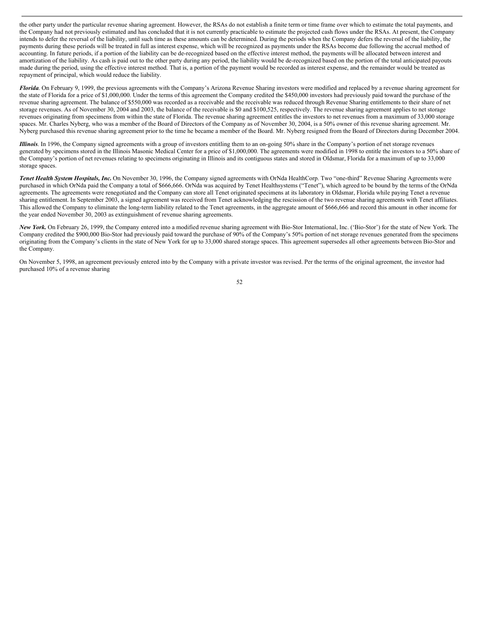the other party under the particular revenue sharing agreement. However, the RSAs do not establish a finite term or time frame over which to estimate the total payments, and the Company had not previously estimated and has concluded that it is not currently practicable to estimate the projected cash flows under the RSAs. At present, the Company intends to defer the reversal of the liability, until such time as these amounts can be determined. During the periods when the Company defers the reversal of the liability, the payments during these periods will be treated in full as interest expense, which will be recognized as payments under the RSAs become due following the accrual method of accounting. In future periods, if a portion of the liability can be de-recognized based on the effective interest method, the payments will be allocated between interest and amortization of the liability. As cash is paid out to the other party during any period, the liability would be de-recognized based on the portion of the total anticipated payouts made during the period, using the effective interest method. That is, a portion of the payment would be recorded as interest expense, and the remainder would be treated as repayment of principal, which would reduce the liability.

*Florida*. On February 9, 1999, the previous agreements with the Company's Arizona Revenue Sharing investors were modified and replaced by a revenue sharing agreement for the state of Florida for a price of \$1,000,000. Under the terms of this agreement the Company credited the \$450,000 investors had previously paid toward the purchase of the revenue sharing agreement. The balance of \$550,000 was recorded as a receivable and the receivable was reduced through Revenue Sharing entitlements to their share of net storage revenues. As of November 30, 2004 and 2003, the balance of the receivable is \$0 and \$100,525, respectively. The revenue sharing agreement applies to net storage revenues originating from specimens from within the state of Florida. The revenue sharing agreement entitles the investors to net revenues from a maximum of 33,000 storage spaces. Mr. Charles Nyberg, who was a member of the Board of Directors of the Company as of November 30, 2004, is a 50% owner of this revenue sharing agreement. Mr. Nyberg purchased this revenue sharing agreement prior to the time he became a member of the Board. Mr. Nyberg resigned from the Board of Directors during December 2004.

*Illinois*. In 1996, the Company signed agreements with a group of investors entitling them to an on-going 50% share in the Company's portion of net storage revenues generated by specimens stored in the Illinois Masonic Medical Center for a price of \$1,000,000. The agreements were modified in 1998 to entitle the investors to a 50% share of the Company's portion of net revenues relating to specimens originating in Illinois and its contiguous states and stored in Oldsmar, Florida for a maximum of up to 33,000 storage spaces.

*Tenet Health System Hospitals, Inc.* On November 30, 1996, the Company signed agreements with OrNda HealthCorp. Two "one-third" Revenue Sharing Agreements were purchased in which OrNda paid the Company a total of \$666,666. OrNda was acquired by Tenet Healthsystems ("Tenet"), which agreed to be bound by the terms of the OrNda agreements. The agreements were renegotiated and the Company can store all Tenet originated specimens at its laboratory in Oldsmar, Florida while paying Tenet a revenue sharing entitlement. In September 2003, a signed agreement was received from Tenet acknowledging the rescission of the two revenue sharing agreements with Tenet affiliates. This allowed the Company to eliminate the long-term liability related to the Tenet agreements, in the aggregate amount of \$666,666 and record this amount in other income for the year ended November 30, 2003 as extinguishment of revenue sharing agreements.

*New York.* On February 26, 1999, the Company entered into a modified revenue sharing agreement with Bio-Stor International, Inc. ('Bio-Stor') for the state of New York. The Company credited the \$900,000 Bio-Stor had previously paid toward the purchase of 90% of the Company's 50% portion of net storage revenues generated from the specimens originating from the Company's clients in the state of New York for up to 33,000 shared storage spaces. This agreement supersedes all other agreements between Bio-Stor and the Company.

On November 5, 1998, an agreement previously entered into by the Company with a private investor was revised. Per the terms of the original agreement, the investor had purchased 10% of a revenue sharing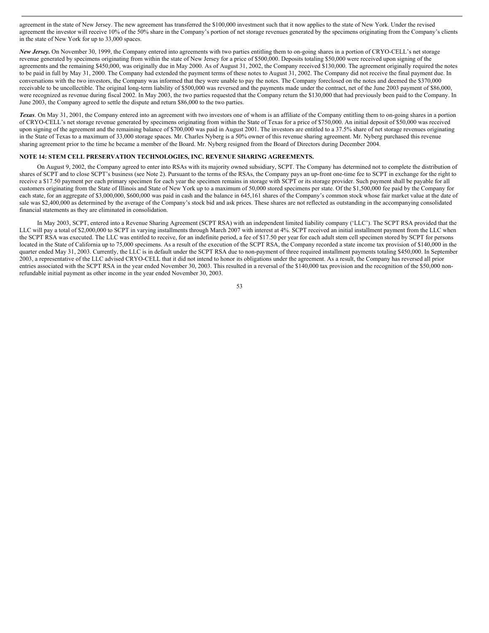agreement in the state of New Jersey. The new agreement has transferred the \$100,000 investment such that it now applies to the state of New York. Under the revised agreement the investor will receive 10% of the 50% share in the Company's portion of net storage revenues generated by the specimens originating from the Company's clients in the state of New York for up to 33,000 spaces.

*New Jersey.* On November 30, 1999, the Company entered into agreements with two parties entitling them to on-going shares in a portion of CRYO-CELL's net storage revenue generated by specimens originating from within the state of New Jersey for a price of \$500,000. Deposits totaling \$50,000 were received upon signing of the agreements and the remaining \$450,000, was originally due in May 2000. As of August 31, 2002, the Company received \$130,000. The agreement originally required the notes to be paid in full by May 31, 2000. The Company had extended the payment terms of these notes to August 31, 2002. The Company did not receive the final payment due. In conversations with the two investors, the Company was informed that they were unable to pay the notes. The Company foreclosed on the notes and deemed the \$370,000 receivable to be uncollectible. The original long-term liability of \$500,000 was reversed and the payments made under the contract, net of the June 2003 payment of \$86,000, were recognized as revenue during fiscal 2002. In May 2003, the two parties requested that the Company return the \$130,000 that had previously been paid to the Company. In June 2003, the Company agreed to settle the dispute and return \$86,000 to the two parties.

*Texas*. On May 31, 2001, the Company entered into an agreement with two investors one of whom is an affiliate of the Company entitling them to on-going shares in a portion of CRYO-CELL's net storage revenue generated by specimens originating from within the State of Texas for a price of \$750,000. An initial deposit of \$50,000 was received upon signing of the agreement and the remaining balance of \$700,000 was paid in August 2001. The investors are entitled to a 37.5% share of net storage revenues originating in the State of Texas to a maximum of 33,000 storage spaces. Mr. Charles Nyberg is a 50% owner of this revenue sharing agreement. Mr. Nyberg purchased this revenue sharing agreement prior to the time he became a member of the Board. Mr. Nyberg resigned from the Board of Directors during December 2004.

#### **NOTE 14: STEM CELL PRESERVATION TECHNOLOGIES, INC. REVENUE SHARING AGREEMENTS.**

On August 9, 2002, the Company agreed to enter into RSAs with its majority owned subsidiary, SCPT. The Company has determined not to complete the distribution of shares of SCPT and to close SCPT's business (see Note 2). Pursuant to the terms of the RSAs, the Company pays an up-front one-time fee to SCPT in exchange for the right to receive a \$17.50 payment per each primary specimen for each year the specimen remains in storage with SCPT or its storage provider. Such payment shall be payable for all customers originating from the State of Illinois and State of New York up to a maximum of 50,000 stored specimens per state. Of the \$1,500,000 fee paid by the Company for each state, for an aggregate of \$3,000,000, \$600,000 was paid in cash and the balance in 645,161 shares of the Company's common stock whose fair market value at the date of sale was \$2,400,000 as determined by the average of the Company's stock bid and ask prices. These shares are not reflected as outstanding in the accompanying consolidated financial statements as they are eliminated in consolidation.

In May 2003, SCPT, entered into a Revenue Sharing Agreement (SCPT RSA) with an independent limited liability company ('LLC'). The SCPT RSA provided that the LLC will pay a total of \$2,000,000 to SCPT in varying installments through March 2007 with interest at 4%. SCPT received an initial installment payment from the LLC when the SCPT RSA was executed. The LLC was entitled to receive, for an indefinite period, a fee of \$17.50 per year for each adult stem cell specimen stored by SCPT for persons located in the State of California up to 75,000 specimens. As a result of the execution of the SCPT RSA, the Company recorded a state income tax provision of \$140,000 in the quarter ended May 31, 2003. Currently, the LLC is in default under the SCPT RSA due to non-payment of three required installment payments totaling \$450,000. In September 2003, a representative of the LLC advised CRYO-CELL that it did not intend to honor its obligations under the agreement. As a result, the Company has reversed all prior entries associated with the SCPT RSA in the year ended November 30, 2003. This resulted in a reversal of the \$140,000 tax provision and the recognition of the \$50,000 nonrefundable initial payment as other income in the year ended November 30, 2003.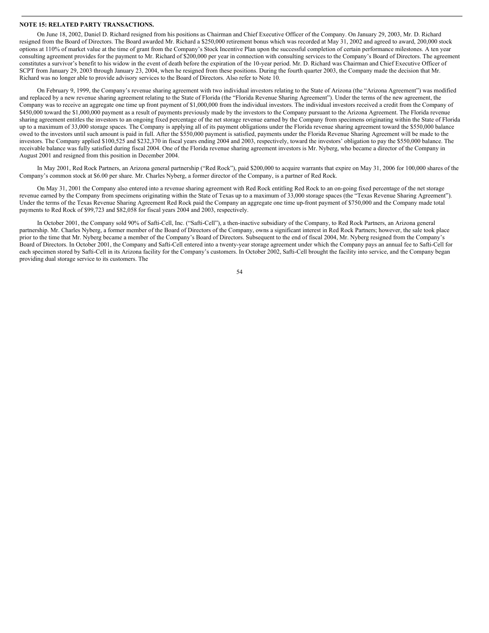# **NOTE 15: RELATED PARTY TRANSACTIONS.**

On June 18, 2002, Daniel D. Richard resigned from his positions as Chairman and Chief Executive Officer of the Company. On January 29, 2003, Mr. D. Richard resigned from the Board of Directors. The Board awarded Mr. Richard a \$250,000 retirement bonus which was recorded at May 31, 2002 and agreed to award, 200,000 stock options at 110% of market value at the time of grant from the Company's Stock Incentive Plan upon the successful completion of certain performance milestones. A ten year consulting agreement provides for the payment to Mr. Richard of \$200,000 per year in connection with consulting services to the Company's Board of Directors. The agreement constitutes a survivor's benefit to his widow in the event of death before the expiration of the 10-year period. Mr. D. Richard was Chairman and Chief Executive Officer of SCPT from January 29, 2003 through January 23, 2004, when he resigned from these positions. During the fourth quarter 2003, the Company made the decision that Mr. Richard was no longer able to provide advisory services to the Board of Directors. Also refer to Note 10.

On February 9, 1999, the Company's revenue sharing agreement with two individual investors relating to the State of Arizona (the "Arizona Agreement") was modified and replaced by a new revenue sharing agreement relating to the State of Florida (the "Florida Revenue Sharing Agreement"). Under the terms of the new agreement, the Company was to receive an aggregate one time up front payment of \$1,000,000 from the individual investors. The individual investors received a credit from the Company of \$450,000 toward the \$1,000,000 payment as a result of payments previously made by the investors to the Company pursuant to the Arizona Agreement. The Florida revenue sharing agreement entitles the investors to an ongoing fixed percentage of the net storage revenue earned by the Company from specimens originating within the State of Florida up to a maximum of 33,000 storage spaces. The Company is applying all of its payment obligations under the Florida revenue sharing agreement toward the \$550,000 balance owed to the investors until such amount is paid in full. After the \$550,000 payment is satisfied, payments under the Florida Revenue Sharing Agreement will be made to the investors. The Company applied \$100,525 and \$232,370 in fiscal years ending 2004 and 2003, respectively, toward the investors' obligation to pay the \$550,000 balance. The receivable balance was fully satisfied during fiscal 2004. One of the Florida revenue sharing agreement investors is Mr. Nyberg, who became a director of the Company in August 2001 and resigned from this position in December 2004.

In May 2001, Red Rock Partners, an Arizona general partnership ("Red Rock"), paid \$200,000 to acquire warrants that expire on May 31, 2006 for 100,000 shares of the Company's common stock at \$6.00 per share. Mr. Charles Nyberg, a former director of the Company, is a partner of Red Rock.

On May 31, 2001 the Company also entered into a revenue sharing agreement with Red Rock entitling Red Rock to an on-going fixed percentage of the net storage revenue earned by the Company from specimens originating within the State of Texas up to a maximum of 33,000 storage spaces (the "Texas Revenue Sharing Agreement"). Under the terms of the Texas Revenue Sharing Agreement Red Rock paid the Company an aggregate one time up-front payment of \$750,000 and the Company made total payments to Red Rock of \$99,723 and \$82,058 for fiscal years 2004 and 2003, respectively.

In October 2001, the Company sold 90% of Safti-Cell, Inc. ("Safti-Cell"), a then-inactive subsidiary of the Company, to Red Rock Partners, an Arizona general partnership. Mr. Charles Nyberg, a former member of the Board of Directors of the Company, owns a significant interest in Red Rock Partners; however, the sale took place prior to the time that Mr. Nyberg became a member of the Company's Board of Directors. Subsequent to the end of fiscal 2004, Mr. Nyberg resigned from the Company's Board of Directors. In October 2001, the Company and Safti-Cell entered into a twenty-year storage agreement under which the Company pays an annual fee to Safti-Cell for each specimen stored by Safti-Cell in its Arizona facility for the Company's customers. In October 2002, Safti-Cell brought the facility into service, and the Company began providing dual storage service to its customers. The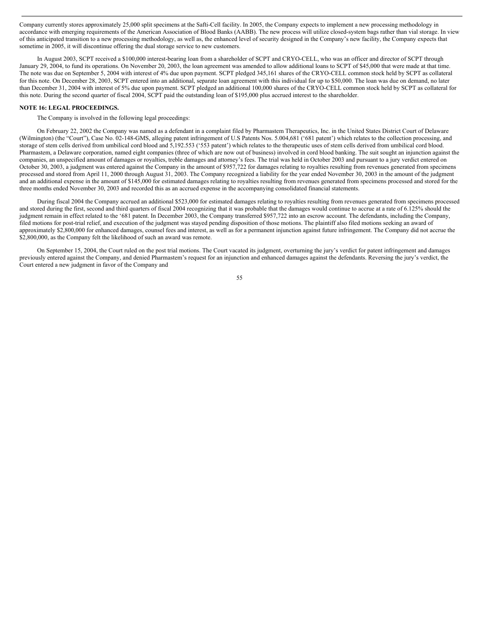Company currently stores approximately 25,000 split specimens at the Safti-Cell facility. In 2005, the Company expects to implement a new processing methodology in accordance with emerging requirements of the American Association of Blood Banks (AABB). The new process will utilize closed-system bags rather than vial storage. In view of this anticipated transition to a new processing methodology, as well as, the enhanced level of security designed in the Company's new facility, the Company expects that sometime in 2005, it will discontinue offering the dual storage service to new customers.

In August 2003, SCPT received a \$100,000 interest-bearing loan from a shareholder of SCPT and CRYO-CELL, who was an officer and director of SCPT through January 29, 2004, to fund its operations. On November 20, 2003, the loan agreement was amended to allow additional loans to SCPT of \$45,000 that were made at that time. The note was due on September 5, 2004 with interest of 4% due upon payment. SCPT pledged 345,161 shares of the CRYO-CELL common stock held by SCPT as collateral for this note. On December 28, 2003, SCPT entered into an additional, separate loan agreement with this individual for up to \$50,000. The loan was due on demand, no later than December 31, 2004 with interest of 5% due upon payment. SCPT pledged an additional 100,000 shares of the CRYO-CELL common stock held by SCPT as collateral for this note. During the second quarter of fiscal 2004, SCPT paid the outstanding loan of \$195,000 plus accrued interest to the shareholder.

#### **NOTE 16: LEGAL PROCEEDINGS.**

The Company is involved in the following legal proceedings:

On February 22, 2002 the Company was named as a defendant in a complaint filed by Pharmastem Therapeutics, Inc. in the United States District Court of Delaware (Wilmington) (the "Court"), Case No. 02-148-GMS, alleging patent infringement of U.S Patents Nos. 5.004,681 ('681 patent') which relates to the collection processing, and storage of stem cells derived from umbilical cord blood and 5,192.553 ('553 patent') which relates to the therapeutic uses of stem cells derived from umbilical cord blood. Pharmastem, a Delaware corporation, named eight companies (three of which are now out of business) involved in cord blood banking. The suit sought an injunction against the companies, an unspecified amount of damages or royalties, treble damages and attorney's fees. The trial was held in October 2003 and pursuant to a jury verdict entered on October 30, 2003, a judgment was entered against the Company in the amount of \$957,722 for damages relating to royalties resulting from revenues generated from specimens processed and stored from April 11, 2000 through August 31, 2003. The Company recognized a liability for the year ended November 30, 2003 in the amount of the judgment and an additional expense in the amount of \$145,000 for estimated damages relating to royalties resulting from revenues generated from specimens processed and stored for the three months ended November 30, 2003 and recorded this as an accrued expense in the accompanying consolidated financial statements.

During fiscal 2004 the Company accrued an additional \$523,000 for estimated damages relating to royalties resulting from revenues generated from specimens processed and stored during the first, second and third quarters of fiscal 2004 recognizing that it was probable that the damages would continue to accrue at a rate of 6.125% should the judgment remain in effect related to the '681 patent. In December 2003, the Company transferred \$957,722 into an escrow account. The defendants, including the Company, filed motions for post-trial relief, and execution of the judgment was stayed pending disposition of those motions. The plaintiff also filed motions seeking an award of approximately \$2,800,000 for enhanced damages, counsel fees and interest, as well as for a permanent injunction against future infringement. The Company did not accrue the \$2,800,000, as the Company felt the likelihood of such an award was remote.

On September 15, 2004, the Court ruled on the post trial motions. The Court vacated its judgment, overturning the jury's verdict for patent infringement and damages previously entered against the Company, and denied Pharmastem's request for an injunction and enhanced damages against the defendants. Reversing the jury's verdict, the Court entered a new judgment in favor of the Company and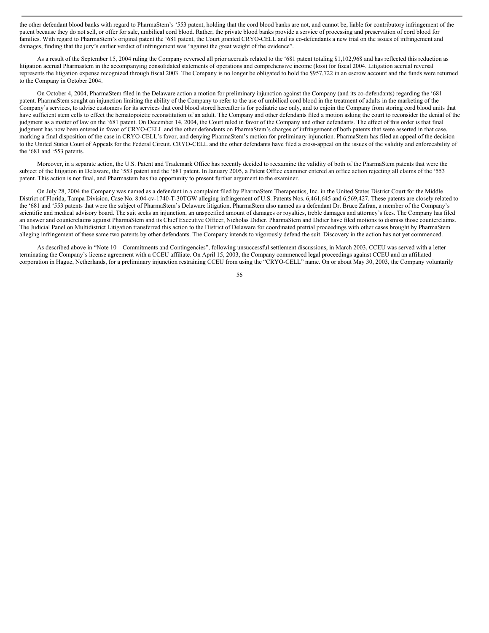the other defendant blood banks with regard to PharmaStem's '553 patent, holding that the cord blood banks are not, and cannot be, liable for contributory infringement of the patent because they do not sell, or offer for sale, umbilical cord blood. Rather, the private blood banks provide a service of processing and preservation of cord blood for families. With regard to PharmaStem's original patent the '681 patent, the Court granted CRYO-CELL and its co-defendants a new trial on the issues of infringement and damages, finding that the jury's earlier verdict of infringement was "against the great weight of the evidence".

As a result of the September 15, 2004 ruling the Company reversed all prior accruals related to the '681 patent totaling \$1,102,968 and has reflected this reduction as litigation accrual Pharmastem in the accompanying consolidated statements of operations and comprehensive income (loss) for fiscal 2004. Litigation accrual reversal represents the litigation expense recognized through fiscal 2003. The Company is no longer be obligated to hold the \$957,722 in an escrow account and the funds were returned to the Company in October 2004.

On October 4, 2004, PharmaStem filed in the Delaware action a motion for preliminary injunction against the Company (and its co-defendants) regarding the '681 patent. PharmaStem sought an injunction limiting the ability of the Company to refer to the use of umbilical cord blood in the treatment of adults in the marketing of the Company's services, to advise customers for its services that cord blood stored hereafter is for pediatric use only, and to enjoin the Company from storing cord blood units that have sufficient stem cells to effect the hematopoietic reconstitution of an adult. The Company and other defendants filed a motion asking the court to reconsider the denial of the judgment as a matter of law on the '681 patent. On December 14, 2004, the Court ruled in favor of the Company and other defendants. The effect of this order is that final judgment has now been entered in favor of CRYO-CELL and the other defendants on PharmaStem's charges of infringement of both patents that were asserted in that case, marking a final disposition of the case in CRYO-CELL's favor, and denying PharmaStem's motion for preliminary injunction. PharmaStem has filed an appeal of the decision to the United States Court of Appeals for the Federal Circuit. CRYO-CELL and the other defendants have filed a cross-appeal on the issues of the validity and enforceability of the '681 and '553 patents.

Moreover, in a separate action, the U.S. Patent and Trademark Office has recently decided to reexamine the validity of both of the PharmaStem patents that were the subject of the litigation in Delaware, the '553 patent and the '681 patent. In January 2005, a Patent Office examiner entered an office action rejecting all claims of the '553 patent. This action is not final, and Pharmastem has the opportunity to present further argument to the examiner.

On July 28, 2004 the Company was named as a defendant in a complaint filed by PharmaStem Therapeutics, Inc. in the United States District Court for the Middle District of Florida, Tampa Division, Case No. 8:04-cv-1740-T-30TGW alleging infringement of U.S. Patents Nos. 6,461,645 and 6,569,427. These patents are closely related to the '681 and '553 patents that were the subject of PharmaStem's Delaware litigation. PharmaStem also named as a defendant Dr. Bruce Zafran, a member of the Company's scientific and medical advisory board. The suit seeks an injunction, an unspecified amount of damages or royalties, treble damages and attorney's fees. The Company has filed an answer and counterclaims against PharmaStem and its Chief Executive Officer, Nicholas Didier. PharmaStem and Didier have filed motions to dismiss those counterclaims. The Judicial Panel on Multidistrict Litigation transferred this action to the District of Delaware for coordinated pretrial proceedings with other cases brought by PharmaStem alleging infringement of these same two patents by other defendants. The Company intends to vigorously defend the suit. Discovery in the action has not yet commenced.

As described above in "Note 10 – Commitments and Contingencies", following unsuccessful settlement discussions, in March 2003, CCEU was served with a letter terminating the Company's license agreement with a CCEU affiliate. On April 15, 2003, the Company commenced legal proceedings against CCEU and an affiliated corporation in Hague, Netherlands, for a preliminary injunction restraining CCEU from using the "CRYO-CELL" name. On or about May 30, 2003, the Company voluntarily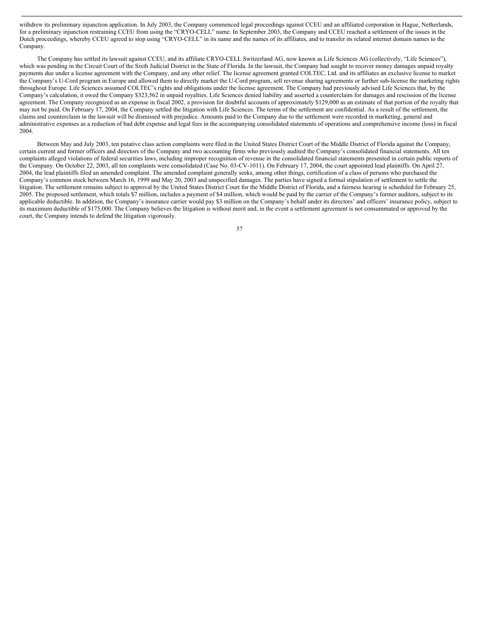withdrew its preliminary injunction application. In July 2003, the Company commenced legal proceedings against CCEU and an affiliated corporation in Hague, Netherlands, for a preliminary injunction restraining CCEU from using the "CRYO-CELL" name. In September 2003, the Company and CCEU reached a settlement of the issues in the Dutch proceedings, whereby CCEU agreed to stop using "CRYO-CELL" in its name and the names of its affiliates, and to transfer its related internet domain names to the Company.

The Company has settled its lawsuit against CCEU, and its affiliate CRYO-CELL Switzerland AG, now known as Life Sciences AG (collectively, "Life Sciences"), which was pending in the Circuit Court of the Sixth Judicial District in the State of Florida. In the lawsuit, the Company had sought to recover money damages unpaid royalty payments due under a license agreement with the Company, and any other relief. The license agreement granted COLTEC, Ltd. and its affiliates an exclusive license to market the Company's U-Cord program in Europe and allowed them to directly market the U-Cord program, sell revenue sharing agreements or further sub-license the marketing rights throughout Europe. Life Sciences assumed COLTEC's rights and obligations under the license agreement. The Company had previously advised Life Sciences that, by the Company's calculation, it owed the Company \$323,562 in unpaid royalties. Life Sciences denied liability and asserted a counterclaim for damages and rescission of the license agreement. The Company recognized as an expense in fiscal 2002, a provision for doubtful accounts of approximately \$129,000 as an estimate of that portion of the royalty that may not be paid. On February 17, 2004, the Company settled the litigation with Life Sciences. The terms of the settlement are confidential. As a result of the settlement, the claims and counterclaim in the lawsuit will be dismissed with prejudice. Amounts paid to the Company due to the settlement were recorded in marketing, general and administrative expenses as a reduction of bad debt expense and legal fees in the accompanying consolidated statements of operations and comprehensive income (loss) in fiscal 2004.

Between May and July 2003, ten putative class action complaints were filed in the United States District Court of the Middle District of Florida against the Company, certain current and former officers and directors of the Company and two accounting firms who previously audited the Company's consolidated financial statements. All ten complaints alleged violations of federal securities laws, including improper recognition of revenue in the consolidated financial statements presented in certain public reports of the Company. On October 22, 2003, all ten complaints were consolidated (Case No. 03-CV-1011). On February 17, 2004, the court appointed lead plaintiffs. On April 27, 2004, the lead plaintiffs filed an amended complaint. The amended complaint generally seeks, among other things, certification of a class of persons who purchased the Company's common stock between March 16, 1999 and May 20, 2003 and unspecified damages. The parties have signed a formal stipulation of settlement to settle the litigation. The settlement remains subject to approval by the United States District Court for the Middle District of Florida, and a fairness hearing is scheduled for February 25, 2005. The proposed settlement, which totals \$7 million, includes a payment of \$4 million, which would be paid by the carrier of the Company's former auditors, subject to its applicable deductible. In addition, the Company's insurance carrier would pay \$3 million on the Company's behalf under its directors' and officers' insurance policy, subject to its maximum deductible of \$175,000. The Company believes the litigation is without merit and, in the event a settlement agreement is not consummated or approved by the court, the Company intends to defend the litigation vigorously.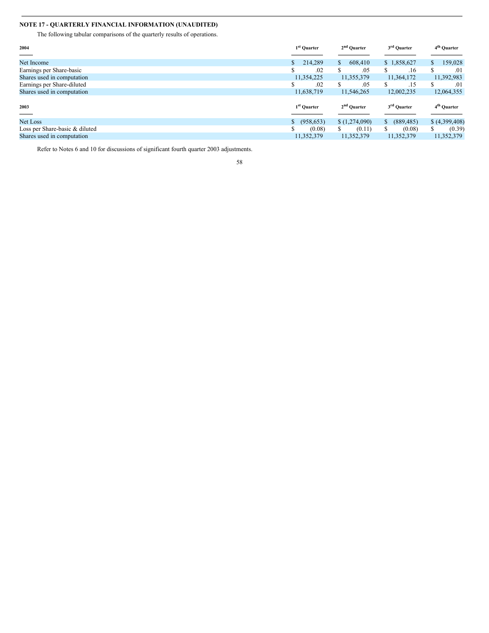# **NOTE 17 - QUARTERLY FINANCIAL INFORMATION (UNAUDITED)**

The following tabular comparisons of the quarterly results of operations.

| 2004                           | 1 <sup>st</sup> Quarter | 2 <sup>nd</sup> Quarter | 3 <sup>rd</sup> Quarter | 4 <sup>th</sup> Quarter |
|--------------------------------|-------------------------|-------------------------|-------------------------|-------------------------|
|                                |                         |                         |                         |                         |
| Net Income                     | 214,289                 | 608,410<br><sup>S</sup> | \$1,858,627             | 159,028<br>S.           |
| Earnings per Share-basic       | .02                     | .05<br>\$.              | S<br>.16                | S.<br>.01               |
| Shares used in computation     | 11,354,225              | 11,355,379              | 11,364,172              | 11,392,983              |
| Earnings per Share-diluted     | .02                     | .05<br>ς                | S<br>.15                | .01                     |
| Shares used in computation     | 11,638,719              | 11,546,265              | 12,002,235              | 12,064,355              |
|                                |                         |                         |                         |                         |
| 2003                           | 1 <sup>st</sup> Quarter | 2 <sup>nd</sup> Quarter | 3 <sup>rd</sup> Quarter | 4 <sup>th</sup> Quarter |
|                                |                         |                         |                         |                         |
| Net Loss                       | (958, 653)              | (1,274,090)             | (889, 485)<br>S         | \$(4,399,408)           |
| Loss per Share-basic & diluted | (0.08)                  | (0.11)<br>S.            | S<br>(0.08)             | S<br>(0.39)             |
| Shares used in computation     | 11,352,379              | 11,352,379              | 11,352,379              | 11,352,379              |

Refer to Notes 6 and 10 for discussions of significant fourth quarter 2003 adjustments.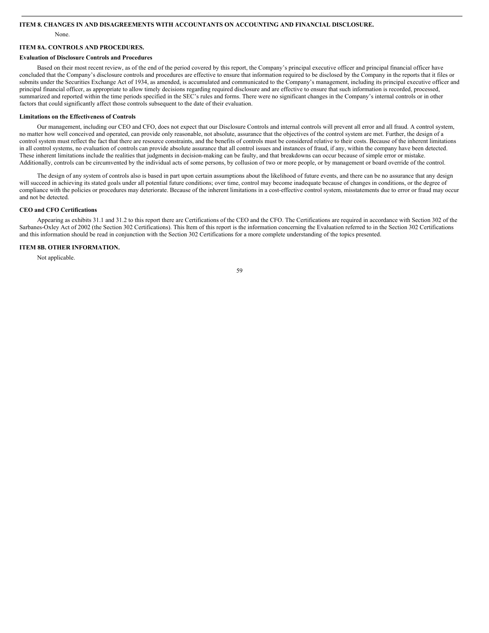# **ITEM 8. CHANGES IN AND DISAGREEMENTS WITH ACCOUNTANTS ON ACCOUNTING AND FINANCIAL DISCLOSURE.**

None.

# **ITEM 8A. CONTROLS AND PROCEDURES.**

#### **Evaluation of Disclosure Controls and Procedures**

Based on their most recent review, as of the end of the period covered by this report, the Company's principal executive officer and principal financial officer have concluded that the Company's disclosure controls and procedures are effective to ensure that information required to be disclosed by the Company in the reports that it files or submits under the Securities Exchange Act of 1934, as amended, is accumulated and communicated to the Company's management, including its principal executive officer and principal financial officer, as appropriate to allow timely decisions regarding required disclosure and are effective to ensure that such information is recorded, processed, summarized and reported within the time periods specified in the SEC's rules and forms. There were no significant changes in the Company's internal controls or in other factors that could significantly affect those controls subsequent to the date of their evaluation.

#### **Limitations on the Effectiveness of Controls**

Our management, including our CEO and CFO, does not expect that our Disclosure Controls and internal controls will prevent all error and all fraud. A control system, no matter how well conceived and operated, can provide only reasonable, not absolute, assurance that the objectives of the control system are met. Further, the design of a control system must reflect the fact that there are resource constraints, and the benefits of controls must be considered relative to their costs. Because of the inherent limitations in all control systems, no evaluation of controls can provide absolute assurance that all control issues and instances of fraud, if any, within the company have been detected. These inherent limitations include the realities that judgments in decision-making can be faulty, and that breakdowns can occur because of simple error or mistake. Additionally, controls can be circumvented by the individual acts of some persons, by collusion of two or more people, or by management or board override of the control.

The design of any system of controls also is based in part upon certain assumptions about the likelihood of future events, and there can be no assurance that any design will succeed in achieving its stated goals under all potential future conditions; over time, control may become inadequate because of changes in conditions, or the degree of compliance with the policies or procedures may deteriorate. Because of the inherent limitations in a cost-effective control system, misstatements due to error or fraud may occur and not be detected.

# **CEO and CFO Certifications**

Appearing as exhibits 31.1 and 31.2 to this report there are Certifications of the CEO and the CFO. The Certifications are required in accordance with Section 302 of the Sarbanes-Oxley Act of 2002 (the Section 302 Certifications). This Item of this report is the information concerning the Evaluation referred to in the Section 302 Certifications and this information should be read in conjunction with the Section 302 Certifications for a more complete understanding of the topics presented.

# **ITEM 8B. OTHER INFORMATION.**

Not applicable.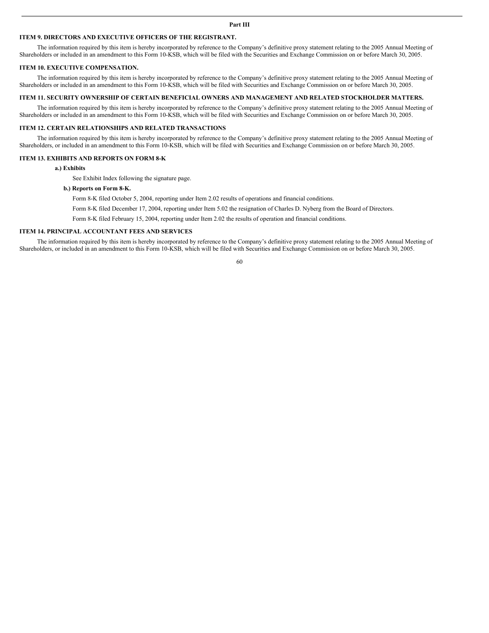#### **Part III**

#### **ITEM 9. DIRECTORS AND EXECUTIVE OFFICERS OF THE REGISTRANT.**

The information required by this item is hereby incorporated by reference to the Company's definitive proxy statement relating to the 2005 Annual Meeting of Shareholders or included in an amendment to this Form 10-KSB, which will be filed with the Securities and Exchange Commission on or before March 30, 2005.

#### **ITEM 10. EXECUTIVE COMPENSATION.**

The information required by this item is hereby incorporated by reference to the Company's definitive proxy statement relating to the 2005 Annual Meeting of Shareholders or included in an amendment to this Form 10-KSB, which will be filed with Securities and Exchange Commission on or before March 30, 2005.

## **ITEM 11. SECURITY OWNERSHIP OF CERTAIN BENEFICIAL OWNERS AND MANAGEMENT AND RELATED STOCKHOLDER MATTERS.**

The information required by this item is hereby incorporated by reference to the Company's definitive proxy statement relating to the 2005 Annual Meeting of Shareholders or included in an amendment to this Form 10-KSB, which will be filed with Securities and Exchange Commission on or before March 30, 2005.

#### **ITEM 12. CERTAIN RELATIONSHIPS AND RELATED TRANSACTIONS**

The information required by this item is hereby incorporated by reference to the Company's definitive proxy statement relating to the 2005 Annual Meeting of Shareholders, or included in an amendment to this Form 10-KSB, which will be filed with Securities and Exchange Commission on or before March 30, 2005.

# **ITEM 13. EXHIBITS AND REPORTS ON FORM 8-K**

**a.) Exhibits**

See Exhibit Index following the signature page.

# **b.) Reports on Form 8-K.**

Form 8-K filed October 5, 2004, reporting under Item 2.02 results of operations and financial conditions.

Form 8-K filed December 17, 2004, reporting under Item 5.02 the resignation of Charles D. Nyberg from the Board of Directors.

Form 8-K filed February 15, 2004, reporting under Item 2.02 the results of operation and financial conditions.

# **ITEM 14. PRINCIPAL ACCOUNTANT FEES AND SERVICES**

The information required by this item is hereby incorporated by reference to the Company's definitive proxy statement relating to the 2005 Annual Meeting of Shareholders, or included in an amendment to this Form 10-KSB, which will be filed with Securities and Exchange Commission on or before March 30, 2005.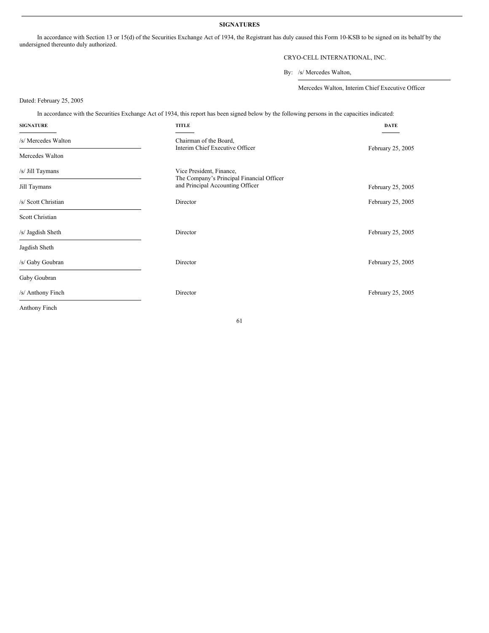# **SIGNATURES**

In accordance with Section 13 or 15(d) of the Securities Exchange Act of 1934, the Registrant has duly caused this Form 10-KSB to be signed on its behalf by the undersigned thereunto duly authorized.

# CRYO-CELL INTERNATIONAL, INC.

By: /s/ Mercedes Walton,

Mercedes Walton, Interim Chief Executive Officer

Dated: February 25, 2005

In accordance with the Securities Exchange Act of 1934, this report has been signed below by the following persons in the capacities indicated:

| <b>SIGNATURE</b>    | <b>TITLE</b>                                                                  | <b>DATE</b>       |
|---------------------|-------------------------------------------------------------------------------|-------------------|
| /s/ Mercedes Walton | Chairman of the Board,                                                        |                   |
| Mercedes Walton     | Interim Chief Executive Officer                                               | February 25, 2005 |
| /s/ Jill Taymans    | Vice President, Finance,                                                      |                   |
| Jill Taymans        | The Company's Principal Financial Officer<br>and Principal Accounting Officer | February 25, 2005 |
| /s/ Scott Christian | Director                                                                      | February 25, 2005 |
| Scott Christian     |                                                                               |                   |
| /s/ Jagdish Sheth   | Director                                                                      | February 25, 2005 |
| Jagdish Sheth       |                                                                               |                   |
| /s/ Gaby Goubran    | Director                                                                      | February 25, 2005 |
| Gaby Goubran        |                                                                               |                   |
| /s/ Anthony Finch   | Director                                                                      | February 25, 2005 |
| Anthony Finch       |                                                                               |                   |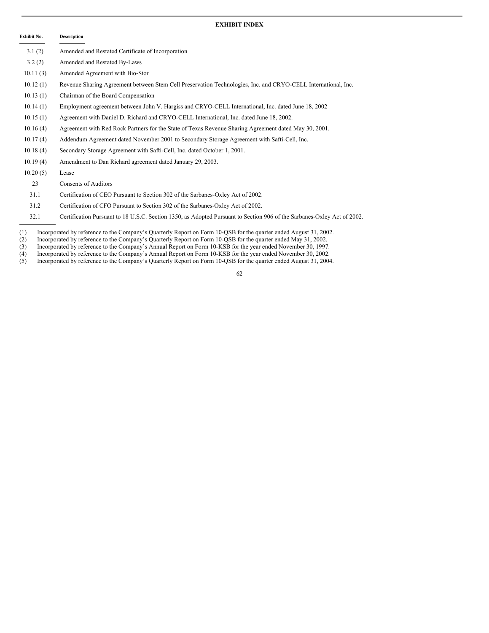# **EXHIBIT INDEX**

| Exhibit No. | <b>Description</b>                                                                                            |
|-------------|---------------------------------------------------------------------------------------------------------------|
| 3.1(2)      | Amended and Restated Certificate of Incorporation                                                             |
| 3.2(2)      | Amended and Restated By-Laws                                                                                  |
| 10.11(3)    | Amended Agreement with Bio-Stor                                                                               |
| 10.12(1)    | Revenue Sharing Agreement between Stem Cell Preservation Technologies, Inc. and CRYO-CELL International, Inc. |
| 10.13(1)    | Chairman of the Board Compensation                                                                            |
| 10.14(1)    | Employment agreement between John V. Hargiss and CRYO-CELL International, Inc. dated June 18, 2002            |
| 10.15(1)    | Agreement with Daniel D. Richard and CRYO-CELL International, Inc. dated June 18, 2002.                       |
| 10.16(4)    | Agreement with Red Rock Partners for the State of Texas Revenue Sharing Agreement dated May 30, 2001.         |
| 10.17(4)    | Addendum Agreement dated November 2001 to Secondary Storage Agreement with Safti-Cell, Inc.                   |
| 10.18(4)    | Secondary Storage Agreement with Safti-Cell, Inc. dated October 1, 2001.                                      |

10.19 (4) Amendment to Dan Richard agreement dated January 29, 2003.

10.20 (5) Lease

23 Consents of Auditors

31.1 Certification of CEO Pursuant to Section 302 of the Sarbanes-Oxley Act of 2002.

31.2 Certification of CFO Pursuant to Section 302 of the Sarbanes-Oxley Act of 2002.

32.1 Certification Pursuant to 18 U.S.C. Section 1350, as Adopted Pursuant to Section 906 of the Sarbanes-Oxley Act of 2002.

(1) Incorporated by reference to the Company's Quarterly Report on Form 10-QSB for the quarter ended August 31, 2002.

Incorporated by reference to the Company's Quarterly Report on Form 10-QSB for the quarter ended May 31, 2002.

(3) Incorporated by reference to the Company's Annual Report on Form 10-KSB for the year ended November 30, 1997.

(4) Incorporated by reference to the Company's Annual Report on Form 10-KSB for the year ended November 30, 2002.

(5) Incorporated by reference to the Company's Quarterly Report on Form 10-QSB for the quarter ended August 31, 2004.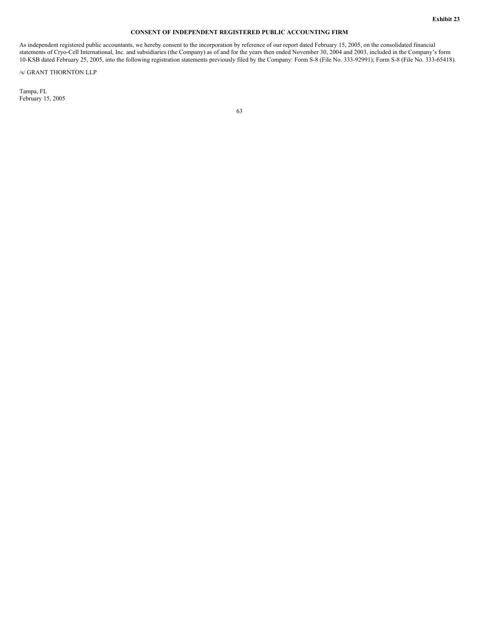# **CONSENT OF INDEPENDENT REGISTERED PUBLIC ACCOUNTING FIRM**

As independent registered public accountants, we hereby consent to the incorporation by reference of our report dated February 15, 2005, on the consolidated financial statements of Cryo-Cell International, Inc. and subsidiaries (the Company) as of and for the years then ended November 30, 2004 and 2003, included in the Company's form 10-KSB dated February 25, 2005, into the following registration statements previously filed by the Company: Form S-8 (File No. 333-92991); Form S-8 (File No. 333-65418).

/s/ GRANT THORNTON LLP

Tampa, FL February 15, 2005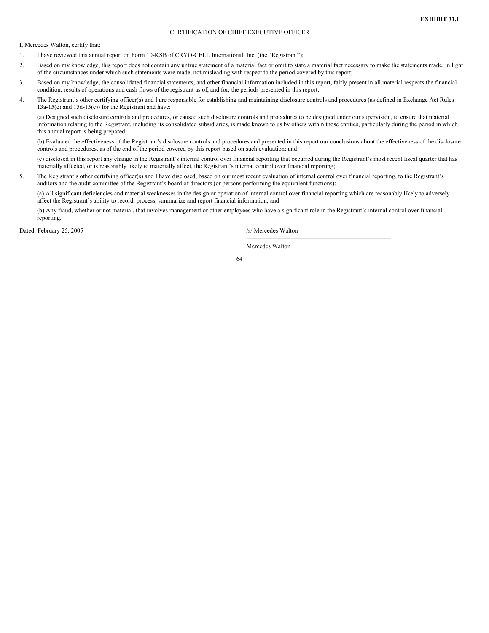# CERTIFICATION OF CHIEF EXECUTIVE OFFICER

I, Mercedes Walton, certify that:

- 1. I have reviewed this annual report on Form 10-KSB of CRYO-CELL International, Inc. (the "Registrant");
- 2. Based on my knowledge, this report does not contain any untrue statement of a material fact or omit to state a material fact necessary to make the statements made, in light of the circumstances under which such statements were made, not misleading with respect to the period covered by this report;
- 3. Based on my knowledge, the consolidated financial statements, and other financial information included in this report, fairly present in all material respects the financial condition, results of operations and cash flows of the registrant as of, and for, the periods presented in this report;
- 4. The Registrant's other certifying officer(s) and I are responsible for establishing and maintaining disclosure controls and procedures (as defined in Exchange Act Rules 13a-15(e) and 15d-15(e)) for the Registrant and have:

(a) Designed such disclosure controls and procedures, or caused such disclosure controls and procedures to be designed under our supervision, to ensure that material information relating to the Registrant, including its consolidated subsidiaries, is made known to us by others within those entities, particularly during the period in which this annual report is being prepared;

(b) Evaluated the effectiveness of the Registrant's disclosure controls and procedures and presented in this report our conclusions about the effectiveness of the disclosure controls and procedures, as of the end of the period covered by this report based on such evaluation; and

(c) disclosed in this report any change in the Registrant's internal control over financial reporting that occurred during the Registrant's most recent fiscal quarter that has materially affected, or is reasonably likely to materially affect, the Registrant's internal control over financial reporting;

5. The Registrant's other certifying officer(s) and I have disclosed, based on our most recent evaluation of internal control over financial reporting, to the Registrant's auditors and the audit committee of the Registrant's board of directors (or persons performing the equivalent functions):

(a) All significant deficiencies and material weaknesses in the design or operation of internal control over financial reporting which are reasonably likely to adversely affect the Registrant's ability to record, process, summarize and report financial information; and

(b) Any fraud, whether or not material, that involves management or other employees who have a significant role in the Registrant's internal control over financial reporting.

Dated: February 25, 2005 /s/ Mercedes Walton

Mercedes Walton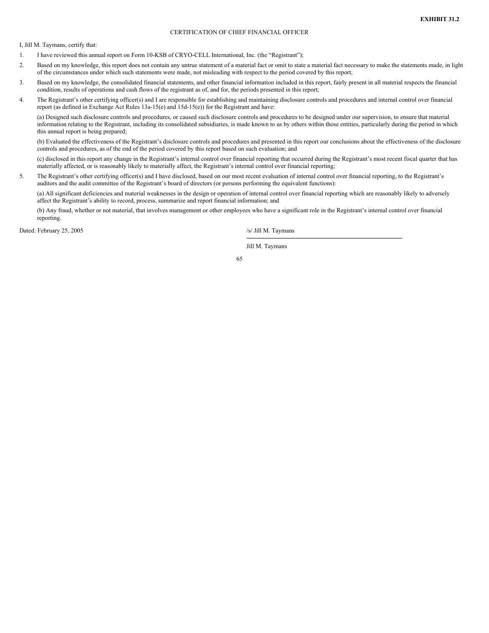# CERTIFICATION OF CHIEF FINANCIAL OFFICER

I, Jill M. Taymans, certify that:

- 1. I have reviewed this annual report on Form 10-KSB of CRYO-CELL International, Inc. (the "Registrant");
- 2. Based on my knowledge, this report does not contain any untrue statement of a material fact or omit to state a material fact necessary to make the statements made, in light of the circumstances under which such statements were made, not misleading with respect to the period covered by this report;
- 3. Based on my knowledge, the consolidated financial statements, and other financial information included in this report, fairly present in all material respects the financial condition, results of operations and cash flows of the registrant as of, and for, the periods presented in this report;
- 4. The Registrant's other certifying officer(s) and I are responsible for establishing and maintaining disclosure controls and procedures and internal control over financial report (as defined in Exchange Act Rules 13a-15(e) and 15d-15(e)) for the Registrant and have:

(a) Designed such disclosure controls and procedures, or caused such disclosure controls and procedures to be designed under our supervision, to ensure that material information relating to the Registrant, including its consolidated subsidiaries, is made known to us by others within those entities, particularly during the period in which this annual report is being prepared;

(b) Evaluated the effectiveness of the Registrant's disclosure controls and procedures and presented in this report our conclusions about the effectiveness of the disclosure controls and procedures, as of the end of the period covered by this report based on such evaluation; and

(c) disclosed in this report any change in the Registrant's internal control over financial reporting that occurred during the Registrant's most recent fiscal quarter that has materially affected, or is reasonably likely to materially affect, the Registrant's internal control over financial reporting;

5. The Registrant's other certifying officer(s) and I have disclosed, based on our most recent evaluation of internal control over financial reporting, to the Registrant's auditors and the audit committee of the Registrant's board of directors (or persons performing the equivalent functions):

(a) All significant deficiencies and material weaknesses in the design or operation of internal control over financial reporting which are reasonably likely to adversely affect the Registrant's ability to record, process, summarize and report financial information; and

(b) Any fraud, whether or not material, that involves management or other employees who have a significant role in the Registrant's internal control over financial reporting.

Dated: February 25, 2005 /s/ Jill M. Taymans

Jill M. Taymans